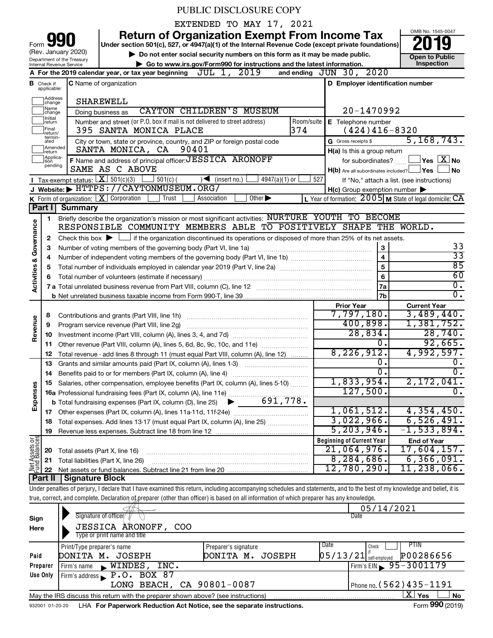# PUBLIC DISCLOSURE COPY

EXTENDED TO MAY 17, 2021

**your Section 501(c), 527, or 4947(a)(1) of the Internal Revenue Code (except private foundations) 2019** 

Form 990 (Rev. January 2020)

▶ Do not enter social security numbers on this form as it may be made public. **Dependent Open to Public Dependent Open to Public and the latest information.** Inspection **| Go to www.irs.gov/Form990 for instructions and the latest information. Inspection**

OMB No. 1545-0047

|                         |                               | Department of the Treasury<br>Go to www.irs.gov/Form990 for instructions and the latest information.<br>Internal Revenue Service                                           |                                                           | טוועש ו שטווע<br>Inspection                    |
|-------------------------|-------------------------------|----------------------------------------------------------------------------------------------------------------------------------------------------------------------------|-----------------------------------------------------------|------------------------------------------------|
|                         |                               | JUL 1, 2019<br>A For the 2019 calendar year, or tax year beginning                                                                                                         | and ending $JUN$ 30, $2020$                               |                                                |
|                         | <b>B</b> Check if applicable: | C Name of organization                                                                                                                                                     | D Employer identification number                          |                                                |
|                         | Address<br>change             | <b>SHAREWELL</b>                                                                                                                                                           |                                                           |                                                |
|                         | Name<br>change                | <b>CAYTON CHILDREN'S MUSEUM</b><br>Doing business as                                                                                                                       | 20-1470992                                                |                                                |
|                         | Initial<br>return             | Room/suite<br>Number and street (or P.O. box if mail is not delivered to street address)                                                                                   | E Telephone number                                        |                                                |
|                         | Final<br>return/              | 374<br>395 SANTA MONICA PLACE                                                                                                                                              | $(424)416-8320$                                           |                                                |
|                         | termin-<br>ated               | City or town, state or province, country, and ZIP or foreign postal code                                                                                                   | G Gross receipts \$                                       | 5, 168, 743.                                   |
|                         | Amended<br>Ireturn            | SANTA MONICA, CA<br>90401                                                                                                                                                  | H(a) Is this a group return                               |                                                |
|                         | Applica-<br>Ition<br>pending  | F Name and address of principal officer: JESSICA ARONOFF                                                                                                                   | for subordinates?                                         | $\overline{\ }$ Yes $\overline{\ \text{X}}$ No |
|                         |                               | SAME AS C ABOVE                                                                                                                                                            | $H(b)$ Are all subordinates included? $\Box$ Yes          | No                                             |
|                         |                               | <b>I</b> Tax-exempt status: $X \ 501(c)(3)$<br>501(c)(<br>$\sqrt{\frac{1}{1}}$ (insert no.)<br>4947(a)(1) or $\lfloor$                                                     | 527<br>If "No," attach a list. (see instructions)         |                                                |
|                         |                               | J Website: FITTPS: / / CAYTONMUSEUM.ORG/                                                                                                                                   | $H(c)$ Group exemption number $\blacktriangleright$       |                                                |
|                         |                               | K Form of organization: $X$ Corporation<br>Trust<br>Association<br>Other $\blacktriangleright$<br><b>Summary</b>                                                           | L Year of formation: $2005$ M State of legal domicile: CA |                                                |
|                         | Part I                        | Briefly describe the organization's mission or most significant activities: NURTURE YOUTH TO BECOME                                                                        |                                                           |                                                |
|                         | 1                             | RESPONSIBLE COMMUNITY MEMBERS ABLE TO POSITIVELY SHAPE THE WORLD.                                                                                                          |                                                           |                                                |
| Governance              | 2                             | Check this box $\blacktriangleright \Box$ if the organization discontinued its operations or disposed of more than 25% of its net assets.                                  |                                                           |                                                |
|                         | 3                             |                                                                                                                                                                            |                                                           | 33                                             |
|                         | 4                             |                                                                                                                                                                            | $\overline{4}$                                            | $\overline{33}$                                |
|                         | 5                             |                                                                                                                                                                            | $\overline{5}$                                            | 85                                             |
| <b>Activities &amp;</b> | 6                             |                                                                                                                                                                            | $6\phantom{a}$                                            | 60                                             |
|                         |                               |                                                                                                                                                                            | <b>7a</b>                                                 | $\overline{0}$ .                               |
|                         |                               |                                                                                                                                                                            | 7b                                                        | 0.                                             |
|                         |                               |                                                                                                                                                                            | <b>Prior Year</b>                                         | <b>Current Year</b>                            |
|                         | 8                             |                                                                                                                                                                            | 7,797,180.                                                | 3,489,440.                                     |
|                         | 9                             | Program service revenue (Part VIII, line 2g)                                                                                                                               | 400,898.                                                  | 1,381,752.                                     |
| Revenue                 | 10                            |                                                                                                                                                                            | 28,834.                                                   | 28,740.                                        |
|                         | 11                            | Other revenue (Part VIII, column (A), lines 5, 6d, 8c, 9c, 10c, and 11e)                                                                                                   | $\overline{0}$ .<br>8, 226, 912.                          | 92,665.                                        |
|                         | 12                            | Total revenue - add lines 8 through 11 (must equal Part VIII, column (A), line 12)                                                                                         | 0.                                                        | 4,992,597.<br>0.                               |
|                         | 13                            | Grants and similar amounts paid (Part IX, column (A), lines 1-3)                                                                                                           | $\overline{0}$ .                                          | 0.                                             |
|                         | 14<br>15                      | Salaries, other compensation, employee benefits (Part IX, column (A), lines 5-10)                                                                                          | 1,833,954.                                                | 2,172,041.                                     |
|                         |                               | 16a Professional fundraising fees (Part IX, column (A), line 11e)                                                                                                          | 127,500.                                                  | 0.                                             |
| Expenses                |                               | 691,778.<br><b>b</b> Total fundraising expenses (Part IX, column (D), line 25) $\blacktriangleright$                                                                       |                                                           |                                                |
|                         |                               |                                                                                                                                                                            | 1,061,512.                                                | 4,354,450.                                     |
|                         |                               | Total expenses. Add lines 13-17 (must equal Part IX, column (A), line 25)                                                                                                  | 3,022,966.                                                | 6, 526, 491.                                   |
|                         | 19                            |                                                                                                                                                                            | 5, 203, 946.                                              | $-1,533,894.$                                  |
| Net Assets or           |                               |                                                                                                                                                                            | <b>Beginning of Current Year</b>                          | <b>End of Year</b>                             |
|                         | 20                            | Total assets (Part X, line 16)                                                                                                                                             | 21,064,976.                                               | 17,604,157.                                    |
|                         | 21                            | Total liabilities (Part X, line 26)<br>and a complete the contract of the complete the complete the complete the complete the complete the complete t                      | 8,284,686.                                                | 6,366,091.                                     |
|                         | 22                            |                                                                                                                                                                            | 12,780,290.                                               | 11,238,066.                                    |
|                         | Part II                       | <b>Signature Block</b>                                                                                                                                                     |                                                           |                                                |
|                         |                               | Under penalties of perjury, I declare that I have examined this return, including accompanying schedules and statements, and to the best of my knowledge and belief, it is |                                                           |                                                |
|                         |                               | true, correct, and complete. Declaration of preparer (other than officer) is based on all information of which preparer has any knowledge.                                 |                                                           |                                                |
|                         |                               | Signature of officer/                                                                                                                                                      | 05/14/2021<br>Date                                        |                                                |
| Sign                    |                               |                                                                                                                                                                            |                                                           |                                                |

|          | $\overline{A} \overline{B} \rightarrow \overline{A}$                                                         |                      | 0J/LH/LULI                            |  |  |  |  |  |  |  |  |
|----------|--------------------------------------------------------------------------------------------------------------|----------------------|---------------------------------------|--|--|--|--|--|--|--|--|
| Sign     | Signature of officer                                                                                         |                      | Date                                  |  |  |  |  |  |  |  |  |
| Here     | <b>JESSICA ARONOFF,</b><br>COO                                                                               |                      |                                       |  |  |  |  |  |  |  |  |
|          | Type or print name and title                                                                                 |                      |                                       |  |  |  |  |  |  |  |  |
|          | Print/Type preparer's name                                                                                   | Preparer's signature | PTIN<br>Date<br>Check                 |  |  |  |  |  |  |  |  |
| Paid     | DONITA M. JOSEPH                                                                                             | JOSEPH<br>DONITA M.  | P00286656<br>$05/13/21$ self-employed |  |  |  |  |  |  |  |  |
| Preparer | WINDES<br>INC.<br>Firm's name<br>$\mathbf{R}$                                                                |                      | Firm's EIN $\frac{95-3001179}{ }$     |  |  |  |  |  |  |  |  |
| Use Only | Firm's address P.O. BOX 87                                                                                   |                      |                                       |  |  |  |  |  |  |  |  |
|          | LONG BEACH, CA 90801-0087                                                                                    |                      | Phone no. $(562)$ 435 - 1191          |  |  |  |  |  |  |  |  |
|          | May the IRS discuss this return with the preparer shown above? (see instructions)                            |                      | $\mathbf{X}$ Yes<br><b>No</b>         |  |  |  |  |  |  |  |  |
|          | Form 990 (2019)<br>LHA For Paperwork Reduction Act Notice, see the separate instructions.<br>932001 01-20-20 |                      |                                       |  |  |  |  |  |  |  |  |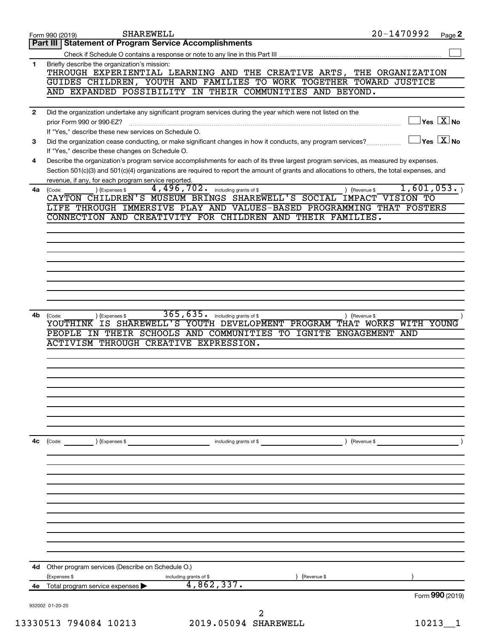|              | <b>SHAREWELL</b><br>Form 990 (2019)                                                                                                                                                               | 20-1470992<br>Page 2                                                                                                                                                                                                                                                                 |
|--------------|---------------------------------------------------------------------------------------------------------------------------------------------------------------------------------------------------|--------------------------------------------------------------------------------------------------------------------------------------------------------------------------------------------------------------------------------------------------------------------------------------|
|              | Part III   Statement of Program Service Accomplishments                                                                                                                                           |                                                                                                                                                                                                                                                                                      |
|              |                                                                                                                                                                                                   |                                                                                                                                                                                                                                                                                      |
| 1.           | Briefly describe the organization's mission:<br>GUIDES CHILDREN, YOUTH AND FAMILIES TO WORK TOGETHER TOWARD JUSTICE                                                                               | THROUGH EXPERIENTIAL LEARNING AND THE CREATIVE ARTS, THE ORGANIZATION                                                                                                                                                                                                                |
|              | AND EXPANDED POSSIBILITY IN THEIR COMMUNITIES AND BEYOND.                                                                                                                                         |                                                                                                                                                                                                                                                                                      |
|              |                                                                                                                                                                                                   |                                                                                                                                                                                                                                                                                      |
| $\mathbf{2}$ | Did the organization undertake any significant program services during the year which were not listed on the<br>prior Form 990 or 990-EZ?<br>If "Yes," describe these new services on Schedule O. | $\vert$ Yes $\boxed{\text{X}}$ No                                                                                                                                                                                                                                                    |
| З            | Did the organization cease conducting, or make significant changes in how it conducts, any program services?<br>If "Yes," describe these changes on Schedule O.                                   | $\sqrt{\mathsf{Yes}\ \mathsf{X}}$ No                                                                                                                                                                                                                                                 |
| 4            |                                                                                                                                                                                                   | Describe the organization's program service accomplishments for each of its three largest program services, as measured by expenses.<br>Section 501(c)(3) and 501(c)(4) organizations are required to report the amount of grants and allocations to others, the total expenses, and |
| 4a           | revenue, if any, for each program service reported.<br>4,496,702.<br>(Expenses \$<br>including grants of \$<br>(Code:<br>CAYTON CHILDREN'S MUSEUM BRINGS SHAREWELL'S SOCIAL IMPACT VISION TO      | 1,601,053.<br>) (Revenue \$                                                                                                                                                                                                                                                          |
|              | CONNECTION AND CREATIVITY FOR CHILDREN AND THEIR FAMILIES.                                                                                                                                        | LIFE THROUGH IMMERSIVE PLAY AND VALUES-BASED PROGRAMMING THAT FOSTERS                                                                                                                                                                                                                |
|              |                                                                                                                                                                                                   |                                                                                                                                                                                                                                                                                      |
|              |                                                                                                                                                                                                   |                                                                                                                                                                                                                                                                                      |
|              |                                                                                                                                                                                                   |                                                                                                                                                                                                                                                                                      |
|              |                                                                                                                                                                                                   |                                                                                                                                                                                                                                                                                      |
|              |                                                                                                                                                                                                   |                                                                                                                                                                                                                                                                                      |
|              |                                                                                                                                                                                                   |                                                                                                                                                                                                                                                                                      |
|              |                                                                                                                                                                                                   |                                                                                                                                                                                                                                                                                      |
| 4b           | 365,635.                                                                                                                                                                                          |                                                                                                                                                                                                                                                                                      |
|              | including grants of \$<br>) (Expenses \$<br>(Code:<br>YOUTHINK IS SHAREWELL'S YOUTH DEVELOPMENT PROGRAM                                                                                           | ) (Revenue \$<br>THAT WORKS WITH YOUNG                                                                                                                                                                                                                                               |
|              | PEOPLE IN THEIR SCHOOLS AND COMMUNITIES TO IGNITE ENGAGEMENT AND                                                                                                                                  |                                                                                                                                                                                                                                                                                      |
|              | <b>ACTIVISM THROUGH CREATIVE EXPRESSION.</b>                                                                                                                                                      |                                                                                                                                                                                                                                                                                      |
|              |                                                                                                                                                                                                   |                                                                                                                                                                                                                                                                                      |
|              |                                                                                                                                                                                                   |                                                                                                                                                                                                                                                                                      |
|              |                                                                                                                                                                                                   |                                                                                                                                                                                                                                                                                      |
|              |                                                                                                                                                                                                   |                                                                                                                                                                                                                                                                                      |
|              |                                                                                                                                                                                                   |                                                                                                                                                                                                                                                                                      |
|              |                                                                                                                                                                                                   |                                                                                                                                                                                                                                                                                      |
|              |                                                                                                                                                                                                   |                                                                                                                                                                                                                                                                                      |
|              |                                                                                                                                                                                                   |                                                                                                                                                                                                                                                                                      |
| 4c           | (Code: ) (Expenses \$                                                                                                                                                                             | including grants of \$<br>) (Revenue \$                                                                                                                                                                                                                                              |
|              |                                                                                                                                                                                                   |                                                                                                                                                                                                                                                                                      |
|              |                                                                                                                                                                                                   |                                                                                                                                                                                                                                                                                      |
|              |                                                                                                                                                                                                   |                                                                                                                                                                                                                                                                                      |
|              |                                                                                                                                                                                                   |                                                                                                                                                                                                                                                                                      |
|              |                                                                                                                                                                                                   |                                                                                                                                                                                                                                                                                      |
|              |                                                                                                                                                                                                   |                                                                                                                                                                                                                                                                                      |
|              |                                                                                                                                                                                                   |                                                                                                                                                                                                                                                                                      |
|              |                                                                                                                                                                                                   |                                                                                                                                                                                                                                                                                      |
|              |                                                                                                                                                                                                   |                                                                                                                                                                                                                                                                                      |
|              |                                                                                                                                                                                                   |                                                                                                                                                                                                                                                                                      |
|              |                                                                                                                                                                                                   |                                                                                                                                                                                                                                                                                      |
|              | 4d Other program services (Describe on Schedule O.)                                                                                                                                               |                                                                                                                                                                                                                                                                                      |
| 4e -         | (Expenses \$<br>including grants of \$<br>4,862,337.<br>Total program service expenses                                                                                                            | (Revenue \$                                                                                                                                                                                                                                                                          |
|              |                                                                                                                                                                                                   | Form 990 (2019)                                                                                                                                                                                                                                                                      |
|              | 932002 01-20-20                                                                                                                                                                                   |                                                                                                                                                                                                                                                                                      |
|              |                                                                                                                                                                                                   |                                                                                                                                                                                                                                                                                      |
|              | 13330513 794084 10213                                                                                                                                                                             | 2019.05094 SHAREWELL<br>10213                                                                                                                                                                                                                                                        |
|              |                                                                                                                                                                                                   |                                                                                                                                                                                                                                                                                      |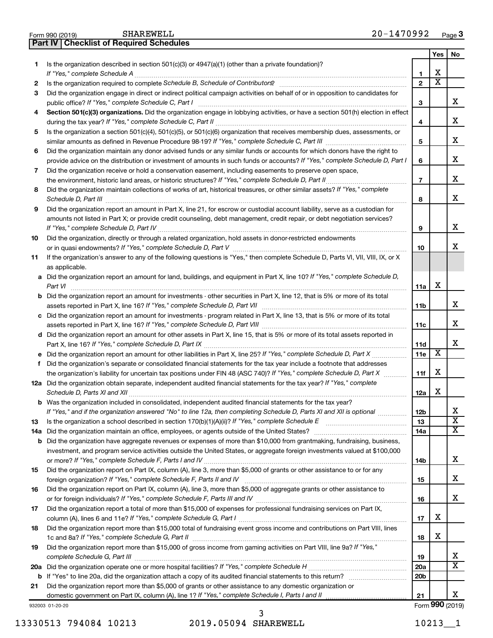| 1   | Is the organization described in section $501(c)(3)$ or $4947(a)(1)$ (other than a private foundation)?                                            |                 |                       |                         |  |  |
|-----|----------------------------------------------------------------------------------------------------------------------------------------------------|-----------------|-----------------------|-------------------------|--|--|
|     | If "Yes," complete Schedule A                                                                                                                      | 1               | х                     |                         |  |  |
| 2   |                                                                                                                                                    | $\overline{2}$  | $\overline{\text{x}}$ |                         |  |  |
| З   | Did the organization engage in direct or indirect political campaign activities on behalf of or in opposition to candidates for                    | 3               |                       | х                       |  |  |
| 4   | Section 501(c)(3) organizations. Did the organization engage in lobbying activities, or have a section 501(h) election in effect                   | 4               |                       | х                       |  |  |
| 5   | Is the organization a section 501(c)(4), 501(c)(5), or 501(c)(6) organization that receives membership dues, assessments, or                       | 5               |                       | х                       |  |  |
|     | Did the organization maintain any donor advised funds or any similar funds or accounts for which donors have the right to                          |                 |                       |                         |  |  |
| 6   | provide advice on the distribution or investment of amounts in such funds or accounts? If "Yes," complete Schedule D, Part I                       |                 |                       |                         |  |  |
| 7   | Did the organization receive or hold a conservation easement, including easements to preserve open space,                                          | 6               |                       | х                       |  |  |
|     | .                                                                                                                                                  | $\overline{7}$  |                       | х                       |  |  |
| 8   | Did the organization maintain collections of works of art, historical treasures, or other similar assets? If "Yes," complete                       |                 |                       |                         |  |  |
|     |                                                                                                                                                    | 8               |                       | x                       |  |  |
| 9   | Did the organization report an amount in Part X, line 21, for escrow or custodial account liability, serve as a custodian for                      |                 |                       |                         |  |  |
|     | amounts not listed in Part X; or provide credit counseling, debt management, credit repair, or debt negotiation services?                          |                 |                       |                         |  |  |
|     |                                                                                                                                                    | 9               |                       | х                       |  |  |
| 10  | Did the organization, directly or through a related organization, hold assets in donor-restricted endowments                                       |                 |                       |                         |  |  |
|     |                                                                                                                                                    | 10              |                       | х                       |  |  |
| 11  | If the organization's answer to any of the following questions is "Yes," then complete Schedule D, Parts VI, VII, VIII, IX, or X<br>as applicable. |                 |                       |                         |  |  |
|     | a Did the organization report an amount for land, buildings, and equipment in Part X, line 10? If "Yes," complete Schedule D,                      |                 |                       |                         |  |  |
|     | Part VI                                                                                                                                            | 11a             | х                     |                         |  |  |
|     | <b>b</b> Did the organization report an amount for investments - other securities in Part X, line 12, that is 5% or more of its total              | 11b             |                       | х                       |  |  |
|     |                                                                                                                                                    |                 |                       |                         |  |  |
|     | c Did the organization report an amount for investments - program related in Part X, line 13, that is 5% or more of its total                      |                 |                       |                         |  |  |
|     | d Did the organization report an amount for other assets in Part X, line 15, that is 5% or more of its total assets reported in                    |                 |                       | х                       |  |  |
|     |                                                                                                                                                    |                 |                       | х                       |  |  |
|     |                                                                                                                                                    |                 |                       |                         |  |  |
|     | f Did the organization's separate or consolidated financial statements for the tax year include a footnote that addresses                          | 11e             | X                     |                         |  |  |
|     | the organization's liability for uncertain tax positions under FIN 48 (ASC 740)? If "Yes," complete Schedule D, Part X                             | 11f             | х                     |                         |  |  |
|     | 12a Did the organization obtain separate, independent audited financial statements for the tax year? If "Yes," complete                            |                 |                       |                         |  |  |
|     | Schedule D, Parts XI and XII                                                                                                                       | 12a             | х                     |                         |  |  |
|     | <b>b</b> Was the organization included in consolidated, independent audited financial statements for the tax year?                                 |                 |                       |                         |  |  |
|     | If "Yes," and if the organization answered "No" to line 12a, then completing Schedule D, Parts XI and XII is optional <i></i>                      | 12b             |                       | x                       |  |  |
|     |                                                                                                                                                    | 13              |                       | $\overline{\textbf{x}}$ |  |  |
| 14a |                                                                                                                                                    | 14a             |                       | $\overline{\textbf{x}}$ |  |  |
| b   | Did the organization have aggregate revenues or expenses of more than \$10,000 from grantmaking, fundraising, business,                            |                 |                       |                         |  |  |
|     | investment, and program service activities outside the United States, or aggregate foreign investments valued at \$100,000                         |                 |                       |                         |  |  |
|     |                                                                                                                                                    | 14b             |                       | х                       |  |  |
| 15  | Did the organization report on Part IX, column (A), line 3, more than \$5,000 of grants or other assistance to or for any                          |                 |                       | x                       |  |  |
| 16  | Did the organization report on Part IX, column (A), line 3, more than \$5,000 of aggregate grants or other assistance to                           | 15              |                       |                         |  |  |
|     |                                                                                                                                                    | 16              |                       | x                       |  |  |
| 17  | Did the organization report a total of more than \$15,000 of expenses for professional fundraising services on Part IX,                            |                 |                       |                         |  |  |
|     |                                                                                                                                                    | 17              | х                     |                         |  |  |
| 18  | Did the organization report more than \$15,000 total of fundraising event gross income and contributions on Part VIII, lines                       |                 |                       |                         |  |  |
|     |                                                                                                                                                    | 18              | х                     |                         |  |  |
| 19  | Did the organization report more than \$15,000 of gross income from gaming activities on Part VIII, line 9a? If "Yes,"                             |                 |                       | x                       |  |  |
|     |                                                                                                                                                    | 19<br>20a       |                       | X                       |  |  |
| b   | If "Yes" to line 20a, did the organization attach a copy of its audited financial statements to this return?                                       | 20 <sub>b</sub> |                       |                         |  |  |
| 21  | Did the organization report more than \$5,000 of grants or other assistance to any domestic organization or                                        |                 |                       |                         |  |  |
|     | domestic government on Part IX, column (A), line 1? If "Yes," complete Schedule I, Parts I and II                                                  | 21              |                       | х                       |  |  |
|     | 932003 01-20-20                                                                                                                                    |                 |                       | Form 990 (2019)         |  |  |

13330513 794084 10213 2019.05094 SHAREWELL 10213\_1 3

**Yes No**

| Form 990 (2019) |  | onanewell |                                                |
|-----------------|--|-----------|------------------------------------------------|
|                 |  |           | <b>Part IV Checklist of Required Schedules</b> |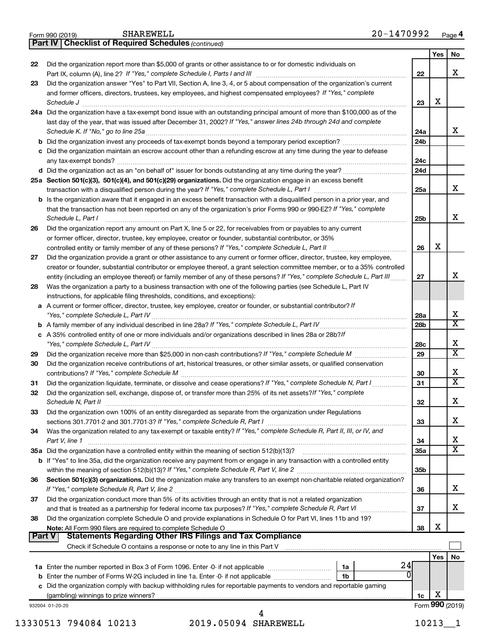|    | 20-1470992<br>SHAREWELL<br>Form 990 (2019)                                                                                                                      |                 |     | Page 4                       |
|----|-----------------------------------------------------------------------------------------------------------------------------------------------------------------|-----------------|-----|------------------------------|
|    | <b>Part IV   Checklist of Required Schedules (continued)</b>                                                                                                    |                 |     |                              |
|    |                                                                                                                                                                 |                 | Yes | No                           |
| 22 | Did the organization report more than \$5,000 of grants or other assistance to or for domestic individuals on                                                   |                 |     |                              |
|    |                                                                                                                                                                 | 22              |     | X                            |
| 23 | Did the organization answer "Yes" to Part VII, Section A, line 3, 4, or 5 about compensation of the organization's current                                      |                 |     |                              |
|    | and former officers, directors, trustees, key employees, and highest compensated employees? If "Yes," complete                                                  |                 |     |                              |
|    | Schedule J                                                                                                                                                      | 23              | X   |                              |
|    | 24a Did the organization have a tax-exempt bond issue with an outstanding principal amount of more than \$100,000 as of the                                     |                 |     |                              |
|    | last day of the year, that was issued after December 31, 2002? If "Yes," answer lines 24b through 24d and complete                                              |                 |     |                              |
|    |                                                                                                                                                                 | 24a             |     | x                            |
|    | <b>b</b> Did the organization invest any proceeds of tax-exempt bonds beyond a temporary period exception?                                                      | 24 <sub>b</sub> |     |                              |
|    | c Did the organization maintain an escrow account other than a refunding escrow at any time during the year to defease                                          |                 |     |                              |
|    |                                                                                                                                                                 | 24c             |     |                              |
|    | d Did the organization act as an "on behalf of" issuer for bonds outstanding at any time during the year?                                                       | 24d             |     |                              |
|    | 25a Section 501(c)(3), 501(c)(4), and 501(c)(29) organizations. Did the organization engage in an excess benefit                                                |                 |     |                              |
|    |                                                                                                                                                                 | 25a             |     | x                            |
|    | <b>b</b> Is the organization aware that it engaged in an excess benefit transaction with a disqualified person in a prior year, and                             |                 |     |                              |
|    | that the transaction has not been reported on any of the organization's prior Forms 990 or 990-EZ? If "Yes," complete                                           |                 |     |                              |
|    | Schedule L, Part I                                                                                                                                              | 25b             |     | х                            |
| 26 | Did the organization report any amount on Part X, line 5 or 22, for receivables from or payables to any current                                                 |                 |     |                              |
|    | or former officer, director, trustee, key employee, creator or founder, substantial contributor, or 35%                                                         |                 |     |                              |
|    |                                                                                                                                                                 | 26              | х   |                              |
|    | controlled entity or family member of any of these persons? If "Yes," complete Schedule L, Part II                                                              |                 |     |                              |
| 27 | Did the organization provide a grant or other assistance to any current or former officer, director, trustee, key employee,                                     |                 |     |                              |
|    | creator or founder, substantial contributor or employee thereof, a grant selection committee member, or to a 35% controlled                                     |                 |     | х                            |
|    | entity (including an employee thereof) or family member of any of these persons? If "Yes," complete Schedule L, Part III                                        | 27              |     |                              |
| 28 | Was the organization a party to a business transaction with one of the following parties (see Schedule L, Part IV                                               |                 |     |                              |
|    | instructions, for applicable filing thresholds, conditions, and exceptions):                                                                                    |                 |     |                              |
|    | a A current or former officer, director, trustee, key employee, creator or founder, or substantial contributor? If                                              |                 |     |                              |
|    | "Yes," complete Schedule L, Part IV                                                                                                                             | 28a             |     | X<br>$\overline{\mathbf{x}}$ |
|    |                                                                                                                                                                 | 28b             |     |                              |
|    | c A 35% controlled entity of one or more individuals and/or organizations described in lines 28a or 28b?/f                                                      |                 |     |                              |
|    |                                                                                                                                                                 | 28c             |     | X                            |
| 29 |                                                                                                                                                                 | 29              |     | $\overline{\mathtt{x}}$      |
| 30 | Did the organization receive contributions of art, historical treasures, or other similar assets, or qualified conservation                                     |                 |     |                              |
|    |                                                                                                                                                                 | 30              |     | X                            |
| 31 | Did the organization liquidate, terminate, or dissolve and cease operations? If "Yes," complete Schedule N, Part I                                              | 31              |     | $\overline{\mathtt{x}}$      |
|    | Did the organization sell, exchange, dispose of, or transfer more than 25% of its net assets? If "Yes," complete                                                |                 |     |                              |
|    | Schedule N, Part II                                                                                                                                             | 32              |     | х                            |
| 33 | Did the organization own 100% of an entity disregarded as separate from the organization under Regulations                                                      |                 |     |                              |
|    |                                                                                                                                                                 | 33              |     | х                            |
| 34 | Was the organization related to any tax-exempt or taxable entity? If "Yes," complete Schedule R, Part II, III, or IV, and                                       |                 |     |                              |
|    | Part V, line 1                                                                                                                                                  | 34              |     | x                            |
|    | 35a Did the organization have a controlled entity within the meaning of section 512(b)(13)?                                                                     | 35a             |     | $\overline{\mathtt{x}}$      |
|    | b If "Yes" to line 35a, did the organization receive any payment from or engage in any transaction with a controlled entity                                     |                 |     |                              |
|    |                                                                                                                                                                 | 35b             |     |                              |
| 36 | Section 501(c)(3) organizations. Did the organization make any transfers to an exempt non-charitable related organization?                                      |                 |     |                              |
|    |                                                                                                                                                                 | 36              |     | x                            |
| 37 | Did the organization conduct more than 5% of its activities through an entity that is not a related organization                                                |                 |     |                              |
|    |                                                                                                                                                                 | 37              |     | x                            |
| 38 | Did the organization complete Schedule O and provide explanations in Schedule O for Part VI, lines 11b and 19?                                                  |                 |     |                              |
|    |                                                                                                                                                                 | 38              | х   |                              |
|    | <b>Statements Regarding Other IRS Filings and Tax Compliance</b><br>Part V                                                                                      |                 |     |                              |
|    | Check if Schedule O contains a response or note to any line in this Part V [11] [12] Check if Schedule O contains a response or note to any line in this Part V |                 |     |                              |
|    |                                                                                                                                                                 |                 | Yes | No                           |
|    | 24<br>1a                                                                                                                                                        |                 |     |                              |
|    | 1 <sub>b</sub>                                                                                                                                                  | 0               |     |                              |
|    | c Did the organization comply with backup withholding rules for reportable payments to vendors and reportable gaming                                            |                 |     |                              |
|    |                                                                                                                                                                 | 1c              | х   |                              |
|    | 932004 01-20-20                                                                                                                                                 |                 |     | Form 990 (2019)              |
|    | 4                                                                                                                                                               |                 |     |                              |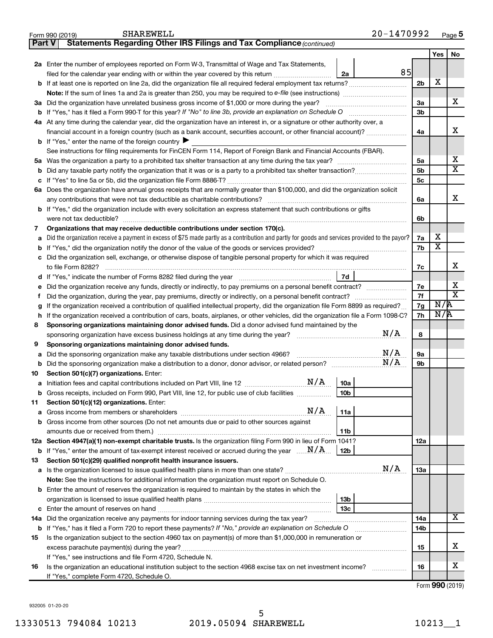|        | 20-1470992<br><b>SHAREWELL</b><br>Form 990 (2019)                                                                                               |                 |                         | Page 5                  |  |  |  |  |  |  |  |
|--------|-------------------------------------------------------------------------------------------------------------------------------------------------|-----------------|-------------------------|-------------------------|--|--|--|--|--|--|--|
| Part V | Statements Regarding Other IRS Filings and Tax Compliance (continued)                                                                           |                 |                         |                         |  |  |  |  |  |  |  |
|        |                                                                                                                                                 |                 | Yes                     | No                      |  |  |  |  |  |  |  |
|        | 2a Enter the number of employees reported on Form W-3, Transmittal of Wage and Tax Statements,                                                  |                 |                         |                         |  |  |  |  |  |  |  |
|        | 85<br>filed for the calendar year ending with or within the year covered by this return<br>2a                                                   |                 |                         |                         |  |  |  |  |  |  |  |
|        |                                                                                                                                                 |                 |                         |                         |  |  |  |  |  |  |  |
|        |                                                                                                                                                 |                 |                         |                         |  |  |  |  |  |  |  |
|        | 3a Did the organization have unrelated business gross income of \$1,000 or more during the year?                                                | За              |                         | X                       |  |  |  |  |  |  |  |
|        |                                                                                                                                                 | 3b              |                         |                         |  |  |  |  |  |  |  |
|        | 4a At any time during the calendar year, did the organization have an interest in, or a signature or other authority over, a                    |                 |                         |                         |  |  |  |  |  |  |  |
|        | financial account in a foreign country (such as a bank account, securities account, or other financial account)?                                | 4a              |                         | X                       |  |  |  |  |  |  |  |
|        | <b>b</b> If "Yes," enter the name of the foreign country $\blacktriangleright$                                                                  |                 |                         |                         |  |  |  |  |  |  |  |
|        | See instructions for filing requirements for FinCEN Form 114, Report of Foreign Bank and Financial Accounts (FBAR).                             |                 |                         |                         |  |  |  |  |  |  |  |
|        |                                                                                                                                                 | 5a              |                         | х                       |  |  |  |  |  |  |  |
| b      |                                                                                                                                                 | 5 <sub>b</sub>  |                         | $\overline{\mathbf{X}}$ |  |  |  |  |  |  |  |
| c      |                                                                                                                                                 | 5c              |                         |                         |  |  |  |  |  |  |  |
|        | 6a Does the organization have annual gross receipts that are normally greater than \$100,000, and did the organization solicit                  |                 |                         |                         |  |  |  |  |  |  |  |
|        | any contributions that were not tax deductible as charitable contributions?                                                                     | 6a              |                         | x                       |  |  |  |  |  |  |  |
|        | <b>b</b> If "Yes," did the organization include with every solicitation an express statement that such contributions or gifts                   |                 |                         |                         |  |  |  |  |  |  |  |
|        |                                                                                                                                                 | 6b              |                         |                         |  |  |  |  |  |  |  |
| 7      | Organizations that may receive deductible contributions under section 170(c).                                                                   |                 |                         |                         |  |  |  |  |  |  |  |
| a      | Did the organization receive a payment in excess of \$75 made partly as a contribution and partly for goods and services provided to the payor? | 7a              | x                       |                         |  |  |  |  |  |  |  |
| b      |                                                                                                                                                 | 7b              | $\overline{\textbf{x}}$ |                         |  |  |  |  |  |  |  |
| с      | Did the organization sell, exchange, or otherwise dispose of tangible personal property for which it was required                               |                 |                         |                         |  |  |  |  |  |  |  |
|        |                                                                                                                                                 | 7c              |                         | x                       |  |  |  |  |  |  |  |
| d      | 7d                                                                                                                                              |                 |                         |                         |  |  |  |  |  |  |  |
| е      | Did the organization receive any funds, directly or indirectly, to pay premiums on a personal benefit contract?                                 | 7e              |                         | х                       |  |  |  |  |  |  |  |
| Ť.     |                                                                                                                                                 | 7f              |                         | $\overline{\mathbf{x}}$ |  |  |  |  |  |  |  |
|        | If the organization received a contribution of qualified intellectual property, did the organization file Form 8899 as required?                | 7g              | N/R                     |                         |  |  |  |  |  |  |  |
| g<br>h | If the organization received a contribution of cars, boats, airplanes, or other vehicles, did the organization file a Form 1098-C?              | 7h              | N/R                     |                         |  |  |  |  |  |  |  |
| 8      | Sponsoring organizations maintaining donor advised funds. Did a donor advised fund maintained by the                                            |                 |                         |                         |  |  |  |  |  |  |  |
|        | N/A                                                                                                                                             | 8               |                         |                         |  |  |  |  |  |  |  |
| 9      | Sponsoring organizations maintaining donor advised funds.                                                                                       |                 |                         |                         |  |  |  |  |  |  |  |
| а      | N/A<br>Did the sponsoring organization make any taxable distributions under section 4966?                                                       | 9а              |                         |                         |  |  |  |  |  |  |  |
| b      | N/A                                                                                                                                             | 9b              |                         |                         |  |  |  |  |  |  |  |
| 10     | Section 501(c)(7) organizations. Enter:                                                                                                         |                 |                         |                         |  |  |  |  |  |  |  |
| а      | N/A<br>10a                                                                                                                                      |                 |                         |                         |  |  |  |  |  |  |  |
|        | Gross receipts, included on Form 990, Part VIII, line 12, for public use of club facilities<br>10 <sub>b</sub>                                  |                 |                         |                         |  |  |  |  |  |  |  |
| 11     | Section 501(c)(12) organizations. Enter:                                                                                                        |                 |                         |                         |  |  |  |  |  |  |  |
|        | N/A<br>11a                                                                                                                                      |                 |                         |                         |  |  |  |  |  |  |  |
| а      | Gross income from other sources (Do not net amounts due or paid to other sources against                                                        |                 |                         |                         |  |  |  |  |  |  |  |
| b      | 11 <sub>b</sub>                                                                                                                                 |                 |                         |                         |  |  |  |  |  |  |  |
|        | 12a Section 4947(a)(1) non-exempt charitable trusts. Is the organization filing Form 990 in lieu of Form 1041?                                  | 12a             |                         |                         |  |  |  |  |  |  |  |
|        | <b>b</b> If "Yes," enter the amount of tax-exempt interest received or accrued during the year $\ldots$ $\mathbf{N}/\mathbf{A}$ .<br>12b        |                 |                         |                         |  |  |  |  |  |  |  |
| 13     | Section 501(c)(29) qualified nonprofit health insurance issuers.                                                                                |                 |                         |                         |  |  |  |  |  |  |  |
|        | N/A                                                                                                                                             | 13a             |                         |                         |  |  |  |  |  |  |  |
| а      | Note: See the instructions for additional information the organization must report on Schedule O.                                               |                 |                         |                         |  |  |  |  |  |  |  |
|        |                                                                                                                                                 |                 |                         |                         |  |  |  |  |  |  |  |
|        | <b>b</b> Enter the amount of reserves the organization is required to maintain by the states in which the                                       |                 |                         |                         |  |  |  |  |  |  |  |
|        | 13 <sub>b</sub><br>13 <sub>c</sub>                                                                                                              |                 |                         |                         |  |  |  |  |  |  |  |
| c      |                                                                                                                                                 |                 |                         | $\overline{\mathbf{X}}$ |  |  |  |  |  |  |  |
|        | 14a Did the organization receive any payments for indoor tanning services during the tax year?                                                  | 14a             |                         |                         |  |  |  |  |  |  |  |
|        | <b>b</b> If "Yes," has it filed a Form 720 to report these payments? If "No," provide an explanation on Schedule O                              | 14 <sub>b</sub> |                         |                         |  |  |  |  |  |  |  |
| 15     | Is the organization subject to the section 4960 tax on payment(s) of more than \$1,000,000 in remuneration or                                   |                 |                         | х                       |  |  |  |  |  |  |  |
|        | excess parachute payment(s) during the year?                                                                                                    | 15              |                         |                         |  |  |  |  |  |  |  |
|        | If "Yes," see instructions and file Form 4720, Schedule N.                                                                                      |                 |                         | х                       |  |  |  |  |  |  |  |
| 16     | Is the organization an educational institution subject to the section 4968 excise tax on net investment income?                                 | 16              |                         |                         |  |  |  |  |  |  |  |
|        | If "Yes," complete Form 4720, Schedule O.                                                                                                       |                 |                         |                         |  |  |  |  |  |  |  |

Form (2019) **990**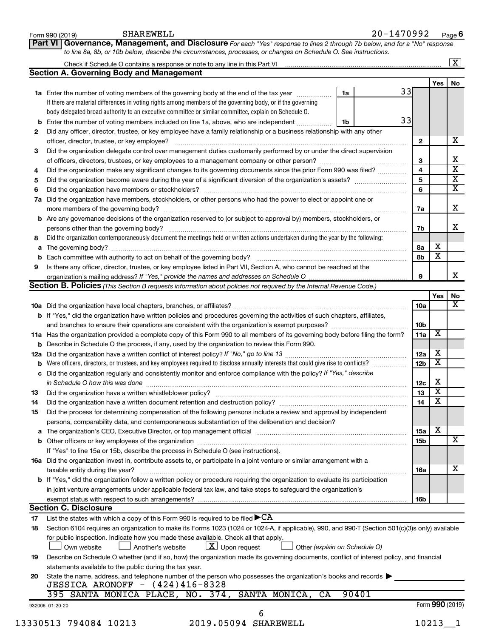|    | SHAREWELL<br>Form 990 (2019)                                                                                                                                                                                                   |    | 20-1470992 |                 |                         | Page 6                  |
|----|--------------------------------------------------------------------------------------------------------------------------------------------------------------------------------------------------------------------------------|----|------------|-----------------|-------------------------|-------------------------|
|    | Governance, Management, and Disclosure For each "Yes" response to lines 2 through 7b below, and for a "No" response<br><b>Part VI</b>                                                                                          |    |            |                 |                         |                         |
|    | to line 8a, 8b, or 10b below, describe the circumstances, processes, or changes on Schedule O. See instructions.                                                                                                               |    |            |                 |                         |                         |
|    |                                                                                                                                                                                                                                |    |            |                 |                         | $\boxed{\textbf{X}}$    |
|    | <b>Section A. Governing Body and Management</b>                                                                                                                                                                                |    |            |                 |                         |                         |
|    |                                                                                                                                                                                                                                |    |            |                 | Yes I                   | No                      |
|    | 1a Enter the number of voting members of the governing body at the end of the tax year                                                                                                                                         | 1a | 33         |                 |                         |                         |
|    | If there are material differences in voting rights among members of the governing body, or if the governing                                                                                                                    |    |            |                 |                         |                         |
|    | body delegated broad authority to an executive committee or similar committee, explain on Schedule O.                                                                                                                          |    | 33         |                 |                         |                         |
|    | <b>b</b> Enter the number of voting members included on line 1a, above, who are independent <i>manumum</i>                                                                                                                     | 1b |            |                 |                         |                         |
| 2  | Did any officer, director, trustee, or key employee have a family relationship or a business relationship with any other                                                                                                       |    |            | $\mathbf{2}$    |                         | х                       |
| 3  | Did the organization delegate control over management duties customarily performed by or under the direct supervision                                                                                                          |    |            |                 |                         |                         |
|    |                                                                                                                                                                                                                                |    |            | 3               |                         | X                       |
| 4  | Did the organization make any significant changes to its governing documents since the prior Form 990 was filed?                                                                                                               |    |            | 4               |                         | $\overline{\mathbf{x}}$ |
| 5  |                                                                                                                                                                                                                                |    |            | 5               |                         | $\overline{\mathbf{x}}$ |
| 6  |                                                                                                                                                                                                                                |    |            | 6               |                         | $\overline{\textbf{x}}$ |
|    | 7a Did the organization have members, stockholders, or other persons who had the power to elect or appoint one or                                                                                                              |    |            |                 |                         |                         |
|    |                                                                                                                                                                                                                                |    |            | 7a              |                         | Х                       |
|    | <b>b</b> Are any governance decisions of the organization reserved to (or subject to approval by) members, stockholders, or                                                                                                    |    |            |                 |                         |                         |
|    | persons other than the governing body?                                                                                                                                                                                         |    |            | 7b              |                         | x                       |
| 8  | Did the organization contemporaneously document the meetings held or written actions undertaken during the year by the following:                                                                                              |    |            |                 |                         |                         |
|    |                                                                                                                                                                                                                                |    |            | 8a              | х                       |                         |
|    |                                                                                                                                                                                                                                |    |            | 8b              | $\overline{\textbf{x}}$ |                         |
| 9  | Is there any officer, director, trustee, or key employee listed in Part VII, Section A, who cannot be reached at the                                                                                                           |    |            |                 |                         |                         |
|    |                                                                                                                                                                                                                                |    |            | 9               |                         | x                       |
|    | Section B. Policies (This Section B requests information about policies not required by the Internal Revenue Code.)                                                                                                            |    |            |                 |                         |                         |
|    |                                                                                                                                                                                                                                |    |            |                 | Yes                     | No                      |
|    |                                                                                                                                                                                                                                |    |            | 10a             |                         | x                       |
|    | b If "Yes," did the organization have written policies and procedures governing the activities of such chapters, affiliates,                                                                                                   |    |            |                 |                         |                         |
|    |                                                                                                                                                                                                                                |    |            | 10b             |                         |                         |
|    | 11a Has the organization provided a complete copy of this Form 990 to all members of its governing body before filing the form?                                                                                                |    |            | 11a             | X                       |                         |
|    | <b>b</b> Describe in Schedule O the process, if any, used by the organization to review this Form 990.                                                                                                                         |    |            |                 |                         |                         |
|    |                                                                                                                                                                                                                                |    |            | 12a             | х                       |                         |
|    |                                                                                                                                                                                                                                |    |            | 12 <sub>b</sub> | X                       |                         |
|    | c Did the organization regularly and consistently monitor and enforce compliance with the policy? If "Yes," describe                                                                                                           |    |            |                 |                         |                         |
|    | in Schedule O how this was done encourance and an according to the state of the state of the state of the state of the state of the state of the state of the state of the state of the state of the state of the state of the |    |            | 12c             | X                       |                         |
| 13 | Did the organization have a written whistleblower policy?                                                                                                                                                                      |    |            | 13              | X.                      |                         |
| 14 | Did the organization have a written document retention and destruction policy? [11] manufaction in the organization have a written document retention and destruction policy?                                                  |    |            | 14              | X                       |                         |
| 15 | Did the process for determining compensation of the following persons include a review and approval by independent                                                                                                             |    |            |                 |                         |                         |
|    | persons, comparability data, and contemporaneous substantiation of the deliberation and decision?                                                                                                                              |    |            |                 |                         |                         |
|    | a The organization's CEO, Executive Director, or top management official manufactured content of the organization's CEO, Executive Director, or top management official manufactured and the state of the state of the state o |    |            | 15a             | х                       |                         |
|    |                                                                                                                                                                                                                                |    |            | 15b             |                         | X                       |
|    | If "Yes" to line 15a or 15b, describe the process in Schedule O (see instructions).                                                                                                                                            |    |            |                 |                         |                         |
|    | 16a Did the organization invest in, contribute assets to, or participate in a joint venture or similar arrangement with a                                                                                                      |    |            |                 |                         |                         |
|    | taxable entity during the year?                                                                                                                                                                                                |    |            | 16a             |                         | х                       |
|    | <b>b</b> If "Yes," did the organization follow a written policy or procedure requiring the organization to evaluate its participation                                                                                          |    |            |                 |                         |                         |
|    | in joint venture arrangements under applicable federal tax law, and take steps to safeguard the organization's                                                                                                                 |    |            |                 |                         |                         |
|    |                                                                                                                                                                                                                                |    |            | 16b             |                         |                         |
|    | <b>Section C. Disclosure</b>                                                                                                                                                                                                   |    |            |                 |                         |                         |
| 17 | List the states with which a copy of this Form 990 is required to be filed $\blacktriangleright$ CA                                                                                                                            |    |            |                 |                         |                         |
| 18 | Section 6104 requires an organization to make its Forms 1023 (1024 or 1024-A, if applicable), 990, and 990-T (Section 501(c)(3)s only) available                                                                               |    |            |                 |                         |                         |
|    | for public inspection. Indicate how you made these available. Check all that apply.<br>$\lfloor x \rfloor$ Upon request<br>Own website<br>Another's website<br>Other (explain on Schedule O)                                   |    |            |                 |                         |                         |
|    |                                                                                                                                                                                                                                |    |            |                 |                         |                         |
| 19 | Describe on Schedule O whether (and if so, how) the organization made its governing documents, conflict of interest policy, and financial                                                                                      |    |            |                 |                         |                         |
|    | statements available to the public during the tax year.                                                                                                                                                                        |    |            |                 |                         |                         |
| 20 | State the name, address, and telephone number of the person who possesses the organization's books and records<br>JESSICA ARONOFF - (424)416-8328                                                                              |    |            |                 |                         |                         |
|    | 395 SANTA MONICA PLACE, NO. 374, SANTA MONICA, CA                                                                                                                                                                              |    | 90401      |                 |                         |                         |
|    |                                                                                                                                                                                                                                |    |            |                 | Form 990 (2019)         |                         |
|    | 932006 01-20-20                                                                                                                                                                                                                |    |            |                 |                         |                         |
|    |                                                                                                                                                                                                                                |    |            |                 | 10213                   |                         |
|    | 13330513 794084 10213<br>2019.05094 SHAREWELL                                                                                                                                                                                  |    |            |                 |                         |                         |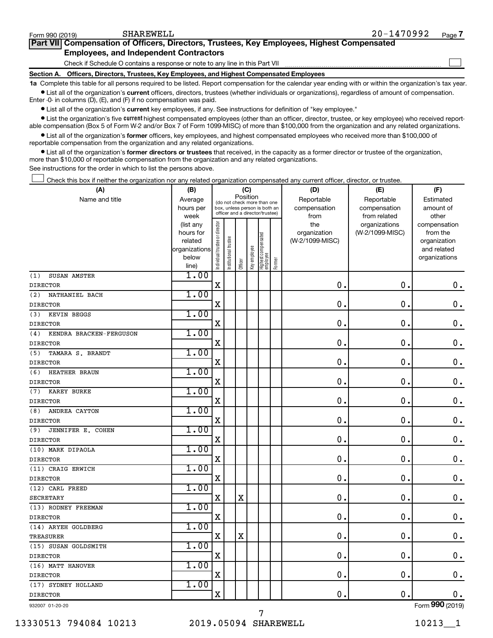$\Box$ 

| Part VII Compensation of Officers, Directors, Trustees, Key Employees, Highest Compensated |  |
|--------------------------------------------------------------------------------------------|--|
| <b>Employees, and Independent Contractors</b>                                              |  |

Check if Schedule O contains a response or note to any line in this Part VII

**Section A. Officers, Directors, Trustees, Key Employees, and Highest Compensated Employees**

**1a**  Complete this table for all persons required to be listed. Report compensation for the calendar year ending with or within the organization's tax year.  $\bullet$  List all of the organization's current officers, directors, trustees (whether individuals or organizations), regardless of amount of compensation.

Enter -0- in columns (D), (E), and (F) if no compensation was paid.

**•** List all of the organization's current key employees, if any. See instructions for definition of "key employee."

• List the organization's five *current* highest compensated employees (other than an officer, director, trustee, or key employee) who received reportable compensation (Box 5 of Form W-2 and/or Box 7 of Form 1099-MISC) of more than \$100,000 from the organization and any related organizations.

 $\bullet$  List all of the organization's former officers, key employees, and highest compensated employees who received more than \$100,000 of reportable compensation from the organization and any related organizations.

**•** List all of the organization's former directors or trustees that received, in the capacity as a former director or trustee of the organization, more than \$10,000 of reportable compensation from the organization and any related organizations.

See instructions for the order in which to list the persons above.

Check this box if neither the organization nor any related organization compensated any current officer, director, or trustee.  $\overline{a}$ 

| (A)                            | (B)                    |                                |                                                                  | (C)         |              |                                 |        | (D)             | (E)                              | (F)                      |
|--------------------------------|------------------------|--------------------------------|------------------------------------------------------------------|-------------|--------------|---------------------------------|--------|-----------------|----------------------------------|--------------------------|
| Name and title                 | Average                |                                | (do not check more than one                                      | Position    |              |                                 |        | Reportable      | Reportable                       | Estimated                |
|                                | hours per              |                                | box, unless person is both an<br>officer and a director/trustee) |             |              |                                 |        | compensation    | compensation                     | amount of                |
|                                | week                   |                                |                                                                  |             |              |                                 |        | from<br>the     | from related                     | other                    |
|                                | (list any<br>hours for |                                |                                                                  |             |              |                                 |        | organization    | organizations<br>(W-2/1099-MISC) | compensation<br>from the |
|                                | related                |                                | trustee                                                          |             |              |                                 |        | (W-2/1099-MISC) |                                  | organization             |
|                                | organizations          |                                |                                                                  |             |              |                                 |        |                 |                                  | and related              |
|                                | below                  | Individual trustee or director | Institutional t                                                  |             | Key employee | Highest compensated<br>employee |        |                 |                                  | organizations            |
|                                | line)                  |                                |                                                                  | Officer     |              |                                 | Former |                 |                                  |                          |
| (1)<br>SUSAN AMSTER            | 1.00                   |                                |                                                                  |             |              |                                 |        |                 |                                  |                          |
| <b>DIRECTOR</b>                |                        | $\mathbf X$                    |                                                                  |             |              |                                 |        | 0.              | $\mathbf 0$ .                    | 0.                       |
| (2)<br>NATHANIEL BACH          | 1.00                   |                                |                                                                  |             |              |                                 |        |                 |                                  |                          |
| <b>DIRECTOR</b>                |                        | $\mathbf X$                    |                                                                  |             |              |                                 |        | $\mathbf 0$ .   | $\mathbf 0$ .                    | $\mathbf 0$ .            |
| KEVIN BEGGS<br>(3)             | 1.00                   |                                |                                                                  |             |              |                                 |        |                 |                                  |                          |
| <b>DIRECTOR</b>                |                        | $\mathbf X$                    |                                                                  |             |              |                                 |        | 0.              | 0.                               | $\mathbf 0$ .            |
| KENDRA BRACKEN-FERGUSON<br>(4) | 1.00                   |                                |                                                                  |             |              |                                 |        |                 |                                  |                          |
| <b>DIRECTOR</b>                |                        | $\mathbf X$                    |                                                                  |             |              |                                 |        | 0.              | $\mathbf 0$ .                    | $\mathbf 0$ .            |
| TAMARA S. BRANDT<br>(5)        | 1.00                   |                                |                                                                  |             |              |                                 |        |                 |                                  |                          |
| <b>DIRECTOR</b>                |                        | $\mathbf X$                    |                                                                  |             |              |                                 |        | $\mathbf 0$ .   | $\mathbf 0$ .                    | $\mathbf 0$ .            |
| HEATHER BRAUN<br>(6)           | 1.00                   |                                |                                                                  |             |              |                                 |        |                 |                                  |                          |
| <b>DIRECTOR</b>                |                        | X                              |                                                                  |             |              |                                 |        | 0.              | $\mathbf 0$                      | $\mathbf 0$ .            |
| <b>KAREY BURKE</b><br>(7)      | 1.00                   |                                |                                                                  |             |              |                                 |        |                 |                                  |                          |
| <b>DIRECTOR</b>                |                        | X                              |                                                                  |             |              |                                 |        | 0.              | $\mathbf 0$ .                    | $\mathbf 0$ .            |
| (8)<br>ANDREA CAYTON           | 1.00                   |                                |                                                                  |             |              |                                 |        |                 |                                  |                          |
| <b>DIRECTOR</b>                |                        | $\mathbf X$                    |                                                                  |             |              |                                 |        | $\mathbf 0$ .   | $\mathbf 0$                      | $\mathbf 0$ .            |
| JENNIFER E. COHEN<br>(9)       | 1.00                   |                                |                                                                  |             |              |                                 |        |                 |                                  |                          |
| <b>DIRECTOR</b>                |                        | $\mathbf X$                    |                                                                  |             |              |                                 |        | $\mathbf 0$ .   | $\mathbf 0$ .                    | $\mathbf 0$ .            |
| (10) MARK DIPAOLA              | 1.00                   |                                |                                                                  |             |              |                                 |        |                 |                                  |                          |
| <b>DIRECTOR</b>                |                        | $\mathbf X$                    |                                                                  |             |              |                                 |        | $\mathbf{0}$ .  | $\mathbf 0$ .                    | $0$ .                    |
| (11) CRAIG ERWICH              | 1.00                   |                                |                                                                  |             |              |                                 |        |                 |                                  |                          |
| <b>DIRECTOR</b>                |                        | X                              |                                                                  |             |              |                                 |        | $\mathbf 0$ .   | $\mathbf 0$ .                    | $\mathbf 0$ .            |
| (12) CARL FREED                | 1.00                   |                                |                                                                  |             |              |                                 |        |                 |                                  |                          |
| <b>SECRETARY</b>               |                        | $\mathbf X$                    |                                                                  | $\mathbf X$ |              |                                 |        | 0.              | $\mathbf 0$ .                    | $0$ .                    |
| (13) RODNEY FREEMAN            | 1.00                   |                                |                                                                  |             |              |                                 |        |                 |                                  |                          |
| <b>DIRECTOR</b>                |                        | Χ                              |                                                                  |             |              |                                 |        | $\mathbf 0$ .   | $\mathbf 0$ .                    | $\mathbf 0$ .            |
| (14) ARYEH GOLDBERG            | 1.00                   |                                |                                                                  |             |              |                                 |        |                 |                                  |                          |
| TREASURER                      |                        | $\mathbf X$                    |                                                                  | $\mathbf X$ |              |                                 |        | 0.              | $\mathbf 0$ .                    | $\mathbf 0$ .            |
| (15) SUSAN GOLDSMITH           | 1.00                   |                                |                                                                  |             |              |                                 |        |                 |                                  |                          |
| <b>DIRECTOR</b>                |                        | $\mathbf X$                    |                                                                  |             |              |                                 |        | 0.              | $\mathbf 0$ .                    | $\mathbf 0$ .            |
| (16) MATT HANOVER              | 1.00                   |                                |                                                                  |             |              |                                 |        |                 |                                  |                          |
| <b>DIRECTOR</b>                |                        | $\mathbf X$                    |                                                                  |             |              |                                 |        | 0.              | $\mathbf 0$ .                    | $\mathbf 0$ .            |
| (17) SYDNEY HOLLAND            | 1.00                   |                                |                                                                  |             |              |                                 |        |                 |                                  |                          |
| <b>DIRECTOR</b>                |                        | $\mathbf X$                    |                                                                  |             |              |                                 |        | 0.              | $\mathbf 0$ .                    | 0.                       |
|                                |                        |                                |                                                                  |             |              |                                 |        |                 |                                  | $\overline{000}$         |

7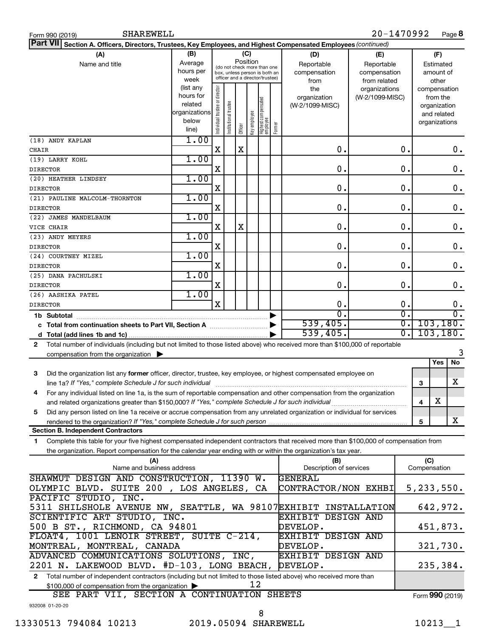| <b>SHAREWELL</b><br>Form 990 (2019)                                                                                                        |                                 |                                                       |                                 |         |              |                                   |        |                         | 20-1470992      |                  |              |               | Page 8             |
|--------------------------------------------------------------------------------------------------------------------------------------------|---------------------------------|-------------------------------------------------------|---------------------------------|---------|--------------|-----------------------------------|--------|-------------------------|-----------------|------------------|--------------|---------------|--------------------|
| <b>Part VII</b><br>Section A. Officers, Directors, Trustees, Key Employees, and Highest Compensated Employees (continued)                  |                                 |                                                       |                                 |         |              |                                   |        |                         |                 |                  |              |               |                    |
| (A)                                                                                                                                        | (B)<br>(C)<br>(F)<br>(D)<br>(E) |                                                       |                                 |         |              |                                   |        |                         |                 |                  |              |               |                    |
| Name and title                                                                                                                             | Average                         | Position<br>Reportable<br>(do not check more than one |                                 |         |              |                                   |        | Reportable              |                 |                  | Estimated    |               |                    |
|                                                                                                                                            | hours per                       |                                                       | box, unless person is both an   |         |              |                                   |        | compensation            | compensation    |                  |              | amount of     |                    |
|                                                                                                                                            | week                            |                                                       | officer and a director/trustee) |         |              |                                   |        | from                    | from related    |                  |              | other         |                    |
|                                                                                                                                            | (list any                       |                                                       |                                 |         |              |                                   |        | the                     | organizations   |                  |              | compensation  |                    |
|                                                                                                                                            | hours for                       |                                                       |                                 |         |              |                                   |        | organization            | (W-2/1099-MISC) |                  |              | from the      |                    |
|                                                                                                                                            | related                         |                                                       |                                 |         |              |                                   |        | (W-2/1099-MISC)         |                 |                  |              | organization  |                    |
|                                                                                                                                            | organizations                   |                                                       |                                 |         |              |                                   |        |                         |                 |                  |              | and related   |                    |
|                                                                                                                                            | below                           | Individual trustee or director                        | Institutional trustee           |         | Key employee |                                   |        |                         |                 |                  |              | organizations |                    |
|                                                                                                                                            | line)                           |                                                       |                                 | Officer |              | Highest compensated<br>  employee | Former |                         |                 |                  |              |               |                    |
| (18) ANDY KAPLAN                                                                                                                           | 1.00                            |                                                       |                                 |         |              |                                   |        |                         |                 |                  |              |               |                    |
| CHAIR                                                                                                                                      |                                 | x                                                     |                                 | X       |              |                                   |        | $\mathbf 0$ .           |                 | 0.               |              |               | 0.                 |
| (19) LARRY KOHL                                                                                                                            | 1.00                            |                                                       |                                 |         |              |                                   |        |                         |                 |                  |              |               |                    |
| <b>DIRECTOR</b>                                                                                                                            |                                 | X                                                     |                                 |         |              |                                   |        | 0.                      |                 | $\mathbf 0$ .    |              |               | $\mathbf 0$ .      |
| (20) HEATHER LINDSEY                                                                                                                       | 1.00                            |                                                       |                                 |         |              |                                   |        |                         |                 |                  |              |               |                    |
|                                                                                                                                            |                                 | X                                                     |                                 |         |              |                                   |        | 0.                      |                 | $\mathbf 0$ .    |              |               | $\mathbf 0$ .      |
| <b>DIRECTOR</b>                                                                                                                            |                                 |                                                       |                                 |         |              |                                   |        |                         |                 |                  |              |               |                    |
| (21) PAULINE MALCOLM-THORNTON                                                                                                              | 1.00                            |                                                       |                                 |         |              |                                   |        |                         |                 |                  |              |               |                    |
| <b>DIRECTOR</b>                                                                                                                            |                                 | X                                                     |                                 |         |              |                                   |        | 0.                      |                 | 0.               |              |               | $\mathbf 0$ .      |
| (22) JAMES MANDELBAUM                                                                                                                      | 1.00                            |                                                       |                                 |         |              |                                   |        |                         |                 |                  |              |               |                    |
| VICE CHAIR                                                                                                                                 |                                 | X                                                     |                                 | X       |              |                                   |        | $\mathbf 0$ .           |                 | 0.               |              |               | $\boldsymbol{0}$ . |
| (23) ANDY MEYERS                                                                                                                           | 1.00                            |                                                       |                                 |         |              |                                   |        |                         |                 |                  |              |               |                    |
| <b>DIRECTOR</b>                                                                                                                            |                                 | X                                                     |                                 |         |              |                                   |        | $\mathbf 0$ .           |                 | 0.               |              |               | $\boldsymbol{0}$ . |
| (24) COURTNEY MIZEL                                                                                                                        | 1.00                            |                                                       |                                 |         |              |                                   |        |                         |                 |                  |              |               |                    |
| <b>DIRECTOR</b>                                                                                                                            |                                 | X                                                     |                                 |         |              |                                   |        | $\mathbf 0$ .           |                 | $\mathbf 0$ .    |              |               | $\boldsymbol{0}$ . |
|                                                                                                                                            | 1.00                            |                                                       |                                 |         |              |                                   |        |                         |                 |                  |              |               |                    |
| (25) DANA PACHULSKI                                                                                                                        |                                 |                                                       |                                 |         |              |                                   |        |                         |                 |                  |              |               |                    |
| <b>DIRECTOR</b>                                                                                                                            |                                 | Χ                                                     |                                 |         |              |                                   |        | 0.                      |                 | $\mathbf 0$ .    |              |               | $\boldsymbol{0}$ . |
| (26) AASHIKA PATEL                                                                                                                         | 1.00                            |                                                       |                                 |         |              |                                   |        |                         |                 |                  |              |               |                    |
| <b>DIRECTOR</b>                                                                                                                            |                                 | $\mathbf X$                                           |                                 |         |              |                                   |        | 0.                      |                 | 0.               |              |               | 0.                 |
| 1b Subtotal                                                                                                                                |                                 |                                                       |                                 |         |              |                                   |        | $\overline{0}$ .        |                 | σ.               |              |               | $\overline{0}$ .   |
| c Total from continuation sheets to Part VII, Section A manuscreen continuum                                                               |                                 |                                                       |                                 |         |              |                                   |        | 539,405.                |                 | $\overline{0}$ . |              |               | 103, 180.          |
|                                                                                                                                            |                                 |                                                       |                                 |         |              |                                   |        | 539,405.                |                 | $\overline{0}$ . |              |               | 103, 180.          |
| Total number of individuals (including but not limited to those listed above) who received more than \$100,000 of reportable<br>2          |                                 |                                                       |                                 |         |              |                                   |        |                         |                 |                  |              |               |                    |
| compensation from the organization $\blacktriangleright$                                                                                   |                                 |                                                       |                                 |         |              |                                   |        |                         |                 |                  |              |               | 3                  |
|                                                                                                                                            |                                 |                                                       |                                 |         |              |                                   |        |                         |                 |                  |              | Yes           | No                 |
| 3<br>Did the organization list any former officer, director, trustee, key employee, or highest compensated employee on                     |                                 |                                                       |                                 |         |              |                                   |        |                         |                 |                  |              |               |                    |
|                                                                                                                                            |                                 |                                                       |                                 |         |              |                                   |        |                         |                 |                  |              |               | X                  |
|                                                                                                                                            |                                 |                                                       |                                 |         |              |                                   |        |                         |                 |                  | 3            |               |                    |
| For any individual listed on line 1a, is the sum of reportable compensation and other compensation from the organization                   |                                 |                                                       |                                 |         |              |                                   |        |                         |                 |                  |              |               |                    |
| and related organizations greater than \$150,000? If "Yes," complete Schedule J for such individual                                        |                                 |                                                       |                                 |         |              |                                   |        |                         |                 |                  | 4            | х             |                    |
| Did any person listed on line 1a receive or accrue compensation from any unrelated organization or individual for services<br>5            |                                 |                                                       |                                 |         |              |                                   |        |                         |                 |                  |              |               |                    |
|                                                                                                                                            |                                 |                                                       |                                 |         |              |                                   |        |                         |                 |                  | 5            |               | x                  |
| <b>Section B. Independent Contractors</b>                                                                                                  |                                 |                                                       |                                 |         |              |                                   |        |                         |                 |                  |              |               |                    |
| Complete this table for your five highest compensated independent contractors that received more than \$100,000 of compensation from<br>1. |                                 |                                                       |                                 |         |              |                                   |        |                         |                 |                  |              |               |                    |
| the organization. Report compensation for the calendar year ending with or within the organization's tax year.                             |                                 |                                                       |                                 |         |              |                                   |        |                         |                 |                  |              |               |                    |
| (A)                                                                                                                                        |                                 |                                                       |                                 |         |              |                                   |        | (B)                     |                 |                  | (C)          |               |                    |
| Name and business address                                                                                                                  |                                 |                                                       |                                 |         |              |                                   |        | Description of services |                 |                  | Compensation |               |                    |
| SHAWMUT DESIGN AND CONSTRUCTION, 11390 W.                                                                                                  |                                 |                                                       |                                 |         |              |                                   |        | <b>GENERAL</b>          |                 |                  |              |               |                    |
| OLYMPIC BLVD. SUITE 200, LOS ANGELES, CA                                                                                                   |                                 |                                                       |                                 |         |              |                                   |        | CONTRACTOR/NON EXHBI    |                 |                  |              |               | 5, 233, 550.       |
| PACIFIC STUDIO, INC.                                                                                                                       |                                 |                                                       |                                 |         |              |                                   |        |                         |                 |                  |              |               |                    |
|                                                                                                                                            |                                 |                                                       |                                 |         |              |                                   |        |                         |                 |                  |              |               |                    |
| 5311 SHILSHOLE AVENUE NW, SEATTLE, WA 98107EXHIBIT INSTALLATION                                                                            |                                 |                                                       |                                 |         |              |                                   |        |                         |                 |                  |              |               | 642,972.           |
| SCIENTIFIC ART STUDIO, INC.                                                                                                                |                                 |                                                       |                                 |         |              |                                   |        | EXHIBIT DESIGN AND      |                 |                  |              |               |                    |
| 500 B ST., RICHMOND, CA 94801<br>DEVELOP.<br>451,873.                                                                                      |                                 |                                                       |                                 |         |              |                                   |        |                         |                 |                  |              |               |                    |
| FLOAT4, 1001 LENOIR STREET, SUITE C-214,<br><b>EXHIBIT DESIGN AND</b>                                                                      |                                 |                                                       |                                 |         |              |                                   |        |                         |                 |                  |              |               |                    |
| MONTREAL, MONTREAL, CANADA<br>321,730.<br>DEVELOP.                                                                                         |                                 |                                                       |                                 |         |              |                                   |        |                         |                 |                  |              |               |                    |
| ADVANCED COMMUNICATIONS SOLUTIONS, INC,<br><b>EXHIBIT DESIGN AND</b>                                                                       |                                 |                                                       |                                 |         |              |                                   |        |                         |                 |                  |              |               |                    |
| 2201 N. LAKEWOOD BLVD. #D-103, LONG BEACH,<br>235,384.<br>DEVELOP.                                                                         |                                 |                                                       |                                 |         |              |                                   |        |                         |                 |                  |              |               |                    |
| Total number of independent contractors (including but not limited to those listed above) who received more than<br>2                      |                                 |                                                       |                                 |         |              |                                   |        |                         |                 |                  |              |               |                    |
| 12<br>\$100,000 of compensation from the organization                                                                                      |                                 |                                                       |                                 |         |              |                                   |        |                         |                 |                  |              |               |                    |
| SEE PART VII, SECTION A CONTINUATION SHEETS<br>Form 990 (2019)                                                                             |                                 |                                                       |                                 |         |              |                                   |        |                         |                 |                  |              |               |                    |
|                                                                                                                                            |                                 |                                                       |                                 |         |              |                                   |        |                         |                 |                  |              |               |                    |
| 932008 01-20-20                                                                                                                            |                                 |                                                       |                                 |         |              | 8                                 |        |                         |                 |                  |              |               |                    |
|                                                                                                                                            |                                 |                                                       |                                 |         |              |                                   |        |                         |                 |                  |              |               |                    |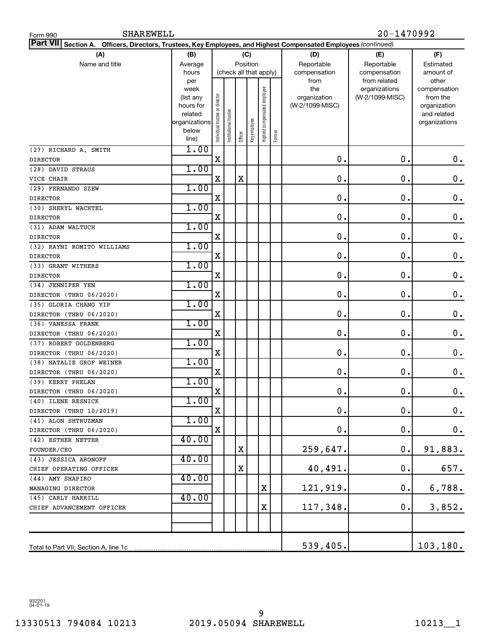| <b>SHAREWELL</b><br>Form 990                                                                                                  | 20-1470992             |                                |                       |         |                        |                              |        |                                 |                 |                          |
|-------------------------------------------------------------------------------------------------------------------------------|------------------------|--------------------------------|-----------------------|---------|------------------------|------------------------------|--------|---------------------------------|-----------------|--------------------------|
| Part VII <br><b>Section A.</b><br>Officers, Directors, Trustees, Key Employees, and Highest Compensated Employees (continued) |                        |                                |                       |         |                        |                              |        |                                 |                 |                          |
| (A)                                                                                                                           | (B)                    |                                |                       |         | (C)                    |                              |        | (D)                             | (E)             | (F)                      |
| Name and title                                                                                                                | Average                |                                |                       |         | Position               |                              |        | Reportable                      | Reportable      | Estimated                |
|                                                                                                                               | hours                  |                                |                       |         | (check all that apply) |                              |        | compensation                    | compensation    | amount of                |
|                                                                                                                               | per                    |                                |                       |         |                        |                              |        | from                            | from related    | other                    |
|                                                                                                                               | week                   |                                |                       |         |                        |                              |        | the                             | organizations   | compensation             |
|                                                                                                                               | (list any<br>hours for |                                |                       |         |                        |                              |        | organization<br>(W-2/1099-MISC) | (W-2/1099-MISC) | from the<br>organization |
|                                                                                                                               | related                |                                |                       |         |                        |                              |        |                                 |                 | and related              |
|                                                                                                                               | organizations          |                                |                       |         |                        |                              |        |                                 |                 | organizations            |
|                                                                                                                               | below                  | Individual trustee or director | Institutional trustee |         | Key employee           | Highest compensated employee |        |                                 |                 |                          |
|                                                                                                                               | line)                  |                                |                       | Officer |                        |                              | Former |                                 |                 |                          |
| (27) RICHARD A. SMITH                                                                                                         | 1.00                   |                                |                       |         |                        |                              |        |                                 |                 |                          |
| <b>DIRECTOR</b>                                                                                                               |                        | X                              |                       |         |                        |                              |        | $\mathbf 0$ .                   | $\mathbf 0$ .   | $\mathbf 0$ .            |
| (28) DAVID STRAUS                                                                                                             | 1.00                   |                                |                       |         |                        |                              |        |                                 |                 |                          |
| VICE CHAIR                                                                                                                    |                        | X                              |                       | X       |                        |                              |        | $\mathbf 0$ .                   | $\mathbf 0$ .   | 0.                       |
| (29) FERNANDO SZEW                                                                                                            | 1.00                   |                                |                       |         |                        |                              |        |                                 |                 |                          |
| <b>DIRECTOR</b>                                                                                                               |                        | X                              |                       |         |                        |                              |        | $\mathbf 0$ .                   | $\mathbf 0$ .   | 0.                       |
| (30) SHERYL WACHTEL                                                                                                           | 1.00                   |                                |                       |         |                        |                              |        |                                 |                 |                          |
| <b>DIRECTOR</b>                                                                                                               |                        | X                              |                       |         |                        |                              |        | 0.                              | 0.              | 0.                       |
| (31) ADAM WALTUCH                                                                                                             | 1.00                   |                                |                       |         |                        |                              |        |                                 |                 |                          |
| <b>DIRECTOR</b>                                                                                                               |                        | X                              |                       |         |                        |                              |        | 0.                              | $\mathbf 0$ .   | 0.                       |
| (32) RAYNI ROMITO WILLIAMS                                                                                                    | 1.00                   |                                |                       |         |                        |                              |        |                                 |                 |                          |
| <b>DIRECTOR</b>                                                                                                               |                        | X                              |                       |         |                        |                              |        | $\mathbf 0$ .                   | $\mathbf 0$ .   | 0.                       |
| (33) GRANT WITHERS                                                                                                            | 1.00                   |                                |                       |         |                        |                              |        |                                 |                 |                          |
| <b>DIRECTOR</b>                                                                                                               |                        | X                              |                       |         |                        |                              |        | $\mathbf 0$ .                   | $\mathbf 0$ .   | 0.                       |
| (34) JENNIFER YEN                                                                                                             | 1.00                   | X                              |                       |         |                        |                              |        | 0.                              | $\mathbf 0$ .   |                          |
| DIRECTOR (THRU 06/2020)                                                                                                       | 1.00                   |                                |                       |         |                        |                              |        |                                 |                 | 0.                       |
| (35) GLORIA CHANG YIP                                                                                                         |                        | X                              |                       |         |                        |                              |        | 0.                              | $\mathbf 0$ .   | 0.                       |
| DIRECTOR (THRU 06/2020)<br>(36) VANESSA FRANK                                                                                 | 1.00                   |                                |                       |         |                        |                              |        |                                 |                 |                          |
| DIRECTOR (THRU 06/2020)                                                                                                       |                        | X                              |                       |         |                        |                              |        | $\mathbf 0$ .                   | $\mathbf 0$ .   | 0.                       |
| (37) ROBERT GOLDENBERG                                                                                                        | 1.00                   |                                |                       |         |                        |                              |        |                                 |                 |                          |
| DIRECTOR (THRU 06/2020)                                                                                                       |                        | X                              |                       |         |                        |                              |        | $\mathbf 0$ .                   | $\mathbf 0$ .   | 0.                       |
| (38) NATALIE GROF WEINER                                                                                                      | 1.00                   |                                |                       |         |                        |                              |        |                                 |                 |                          |
| DIRECTOR (THRU 06/2020)                                                                                                       |                        | X                              |                       |         |                        |                              |        | $\mathbf 0$                     | $\mathbf 0$ .   | 0.                       |
| (39) KERRY PHELAN                                                                                                             | 1.00                   |                                |                       |         |                        |                              |        |                                 |                 |                          |
| DIRECTOR (THRU 06/2020)                                                                                                       |                        | х                              |                       |         |                        |                              |        | Ο.                              | ο.              | 0.                       |
| (40) ILENE RESNICK                                                                                                            | 1.00                   |                                |                       |         |                        |                              |        |                                 |                 |                          |
| DIRECTOR (THRU 10/2019)                                                                                                       |                        | X                              |                       |         |                        |                              |        | $\mathbf 0$ .                   | $\mathbf 0$ .   | $\mathbf 0$ .            |
| (41) ALON SHTRUZMAN                                                                                                           | 1.00                   |                                |                       |         |                        |                              |        |                                 |                 |                          |
| DIRECTOR (THRU 06/2020)                                                                                                       |                        | X                              |                       |         |                        |                              |        | 0.                              | $\mathbf 0$ .   | 0.                       |
| (42) ESTHER NETTER                                                                                                            | 40.00                  |                                |                       |         |                        |                              |        |                                 |                 |                          |
| FOUNDER/CEO                                                                                                                   |                        |                                |                       | X       |                        |                              |        | 259,647.                        | 0.              | 91,883.                  |
| (43) JESSICA ARONOFF                                                                                                          | 40.00                  |                                |                       |         |                        |                              |        |                                 |                 |                          |
| CHIEF OPERATING OFFICER                                                                                                       |                        |                                |                       | X       |                        |                              |        | 40,491.                         | $\mathbf 0$ .   | 657.                     |
| (44) AMY SHAPIRO                                                                                                              | 40.00                  |                                |                       |         |                        |                              |        |                                 |                 |                          |
| MANAGING DIRECTOR                                                                                                             |                        |                                |                       |         |                        | Χ                            |        | 121,919.                        | 0.              | 6,788.                   |
| (45) CARLY HARRILL                                                                                                            | 40.00                  |                                |                       |         |                        |                              |        |                                 |                 |                          |
| CHIEF ADVANCEMENT OFFICER                                                                                                     |                        |                                |                       |         |                        | X                            |        | 117,348.                        | 0.              | 3,852.                   |
|                                                                                                                               |                        |                                |                       |         |                        |                              |        |                                 |                 |                          |
|                                                                                                                               |                        |                                |                       |         |                        |                              |        |                                 |                 |                          |
| Total to Part VII, Section A, line 1c                                                                                         |                        |                                |                       |         |                        |                              |        | 539,405.                        |                 | 103, 180.                |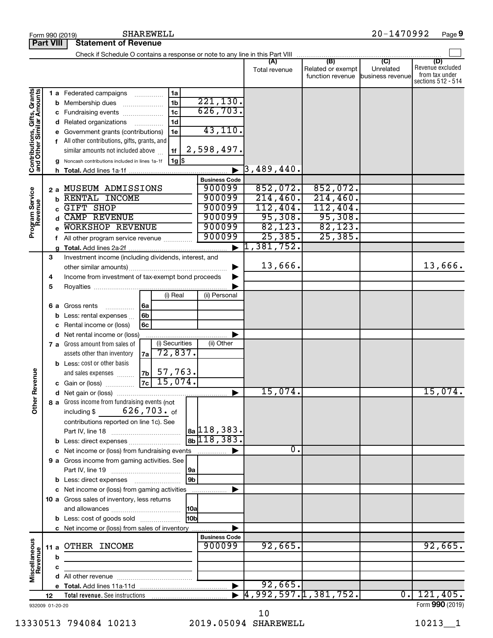|                                                           |                  |                                               | SHAREWELL<br>Form 990 (2019)                                                |                      |                      |                                   | $20 - 1470992$   | Page 9                               |
|-----------------------------------------------------------|------------------|-----------------------------------------------|-----------------------------------------------------------------------------|----------------------|----------------------|-----------------------------------|------------------|--------------------------------------|
|                                                           | <b>Part VIII</b> |                                               | <b>Statement of Revenue</b>                                                 |                      |                      |                                   |                  |                                      |
|                                                           |                  |                                               |                                                                             |                      | (A)                  | (B)                               | $\overline{C}$   | (D)                                  |
|                                                           |                  |                                               |                                                                             |                      | Total revenue        | Related or exempt                 | Unrelated        | Revenue excluded                     |
|                                                           |                  |                                               |                                                                             |                      |                      | function revenue business revenue |                  | from tax under<br>sections 512 - 514 |
|                                                           |                  |                                               |                                                                             |                      |                      |                                   |                  |                                      |
| Contributions, Gifts, Grants<br>and Other Similar Amounts |                  |                                               | 1 a Federated campaigns<br>1a<br>1 <sub>b</sub><br><b>b</b> Membership dues | 221, 130.            |                      |                                   |                  |                                      |
|                                                           |                  |                                               | 1 <sub>c</sub><br>c Fundraising events                                      | 626, 703.            |                      |                                   |                  |                                      |
|                                                           |                  |                                               | 1 <sub>d</sub><br>d Related organizations                                   |                      |                      |                                   |                  |                                      |
|                                                           |                  |                                               | e Government grants (contributions)<br>1e                                   | 43,110.              |                      |                                   |                  |                                      |
|                                                           |                  | f All other contributions, gifts, grants, and |                                                                             |                      |                      |                                   |                  |                                      |
|                                                           |                  |                                               | similar amounts not included above<br>1f                                    | 2,598,497.           |                      |                                   |                  |                                      |
|                                                           |                  |                                               | 1g   \$<br>g Noncash contributions included in lines 1a-1f                  |                      |                      |                                   |                  |                                      |
|                                                           |                  |                                               |                                                                             |                      | 3,489,440.           |                                   |                  |                                      |
|                                                           |                  |                                               |                                                                             | <b>Business Code</b> |                      |                                   |                  |                                      |
|                                                           |                  |                                               | 2 a MUSEUM ADMISSIONS                                                       | 900099               | 852,072.             | 852,072.                          |                  |                                      |
|                                                           |                  |                                               | <b>b RENTAL INCOME</b>                                                      | 900099               | 214, 460.            | 214,460.                          |                  |                                      |
|                                                           |                  | C.                                            | GIFT SHOP                                                                   | 900099               | 112,404.             | 112,404.                          |                  |                                      |
|                                                           |                  |                                               | <b>CAMP REVENUE</b>                                                         | 900099               | 95,308.              | 95,308.                           |                  |                                      |
| Program Service<br>Revenue                                |                  |                                               | WORKSHOP REVENUE                                                            | 900099               | 82, 123.             | 82,123.                           |                  |                                      |
|                                                           |                  |                                               | f All other program service revenue                                         | 900099               | 25,385.              | 25, 385.                          |                  |                                      |
|                                                           |                  |                                               |                                                                             |                      | 1,381,752.           |                                   |                  |                                      |
|                                                           | 3                |                                               | Investment income (including dividends, interest, and                       |                      |                      |                                   |                  |                                      |
|                                                           |                  |                                               |                                                                             |                      | 13,666.              |                                   |                  | 13,666.                              |
|                                                           | 4                |                                               | Income from investment of tax-exempt bond proceeds                          |                      |                      |                                   |                  |                                      |
|                                                           | 5                |                                               |                                                                             |                      |                      |                                   |                  |                                      |
|                                                           |                  |                                               | (i) Real                                                                    | (ii) Personal        |                      |                                   |                  |                                      |
|                                                           |                  |                                               | 6a<br>6 a Gross rents                                                       |                      |                      |                                   |                  |                                      |
|                                                           |                  |                                               | <b>b</b> Less: rental expenses $\ldots$<br>6b                               |                      |                      |                                   |                  |                                      |
|                                                           |                  |                                               | c Rental income or (loss)<br>6с                                             |                      |                      |                                   |                  |                                      |
|                                                           |                  |                                               | d Net rental income or (loss)<br>(i) Securities                             |                      |                      |                                   |                  |                                      |
|                                                           |                  |                                               | 7 a Gross amount from sales of<br>72,837.                                   | (ii) Other           |                      |                                   |                  |                                      |
|                                                           |                  |                                               | assets other than inventory<br>7a l                                         |                      |                      |                                   |                  |                                      |
|                                                           |                  |                                               | <b>b</b> Less: cost or other basis<br>57,763.<br>7b<br>and sales expenses   |                      |                      |                                   |                  |                                      |
| evenue                                                    |                  |                                               | 15,074.<br>7c<br>c Gain or (loss)                                           |                      |                      |                                   |                  |                                      |
|                                                           |                  |                                               |                                                                             |                      | 15,074.              |                                   |                  | 15,074.                              |
| Other R                                                   |                  |                                               | 8 a Gross income from fundraising events (not                               |                      |                      |                                   |                  |                                      |
|                                                           |                  |                                               | 626,703. <sub>of</sub><br>including \$                                      |                      |                      |                                   |                  |                                      |
|                                                           |                  |                                               | contributions reported on line 1c). See                                     |                      |                      |                                   |                  |                                      |
|                                                           |                  |                                               |                                                                             | $a_2$ 118, 383.      |                      |                                   |                  |                                      |
|                                                           |                  |                                               |                                                                             | $_{8b}$ 118, 383.    |                      |                                   |                  |                                      |
|                                                           |                  |                                               | c Net income or (loss) from fundraising events                              |                      | Ο.                   |                                   |                  |                                      |
|                                                           |                  |                                               | 9 a Gross income from gaming activities. See                                |                      |                      |                                   |                  |                                      |
|                                                           |                  |                                               |                                                                             | 9а                   |                      |                                   |                  |                                      |
|                                                           |                  |                                               | <b>b</b> Less: direct expenses <b>manually</b>                              | $\overline{9b}$      |                      |                                   |                  |                                      |
|                                                           |                  |                                               | c Net income or (loss) from gaming activities                               |                      |                      |                                   |                  |                                      |
|                                                           |                  |                                               | 10 a Gross sales of inventory, less returns                                 |                      |                      |                                   |                  |                                      |
|                                                           |                  |                                               |                                                                             | <b>10a</b>           |                      |                                   |                  |                                      |
|                                                           |                  |                                               | <b>b</b> Less: cost of goods sold                                           | l10bl                |                      |                                   |                  |                                      |
|                                                           |                  |                                               | c Net income or (loss) from sales of inventory                              |                      |                      |                                   |                  |                                      |
|                                                           |                  |                                               |                                                                             | <b>Business Code</b> |                      |                                   |                  |                                      |
| Miscellaneous<br>Revenue                                  | 11 a             |                                               | OTHER INCOME                                                                | 900099               | 92,665.              |                                   |                  | 92,665.                              |
|                                                           |                  | b                                             |                                                                             |                      |                      |                                   |                  |                                      |
|                                                           |                  | c                                             |                                                                             |                      |                      |                                   |                  |                                      |
|                                                           |                  |                                               |                                                                             |                      | 92,665.              |                                   |                  |                                      |
|                                                           | 12               |                                               | Total revenue. See instructions                                             |                      | 4,992,597.1,381,752. |                                   | $\overline{0}$ . | 121,405.                             |
| 932009 01-20-20                                           |                  |                                               |                                                                             |                      |                      |                                   |                  | Form 990 (2019)                      |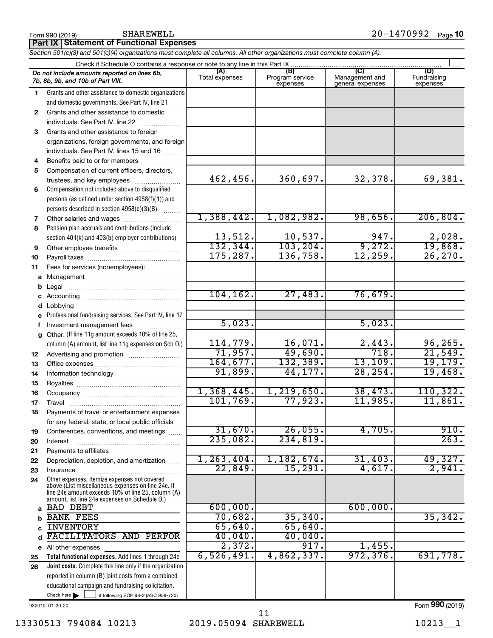|              | Check if Schedule O contains a response or note to any line in this Part IX                                    |                       |                                    |                                           |                                |
|--------------|----------------------------------------------------------------------------------------------------------------|-----------------------|------------------------------------|-------------------------------------------|--------------------------------|
|              | Do not include amounts reported on lines 6b,<br>7b, 8b, 9b, and 10b of Part VIII.                              | (A)<br>Total expenses | (B)<br>Program service<br>expenses | (C)<br>Management and<br>general expenses | (D)<br>Fundraising<br>expenses |
| 1.           | Grants and other assistance to domestic organizations                                                          |                       |                                    |                                           |                                |
|              | and domestic governments. See Part IV, line 21                                                                 |                       |                                    |                                           |                                |
| $\mathbf{2}$ | Grants and other assistance to domestic                                                                        |                       |                                    |                                           |                                |
|              | individuals. See Part IV, line 22                                                                              |                       |                                    |                                           |                                |
| 3            | Grants and other assistance to foreign                                                                         |                       |                                    |                                           |                                |
|              | organizations, foreign governments, and foreign                                                                |                       |                                    |                                           |                                |
|              | individuals. See Part IV, lines 15 and 16                                                                      |                       |                                    |                                           |                                |
| 4            | Benefits paid to or for members                                                                                |                       |                                    |                                           |                                |
| 5            | Compensation of current officers, directors,                                                                   |                       |                                    |                                           |                                |
|              | trustees, and key employees                                                                                    | 462,456.              | 360,697.                           | 32,378.                                   | 69,381.                        |
| 6            | Compensation not included above to disqualified                                                                |                       |                                    |                                           |                                |
|              | persons (as defined under section 4958(f)(1)) and                                                              |                       |                                    |                                           |                                |
|              | persons described in section 4958(c)(3)(B)                                                                     |                       |                                    |                                           |                                |
| 7            | Other salaries and wages                                                                                       | 1,388,442.            | 1,082,982.                         | 98,656.                                   | 206, 804.                      |
| 8            | Pension plan accruals and contributions (include                                                               |                       |                                    | 947.                                      |                                |
|              | section 401(k) and 403(b) employer contributions)                                                              | 13,512.<br>132, 344.  | $\frac{10,537}{103,204}$           | 9,272.                                    | 2,028.<br>19,868.              |
| 9            |                                                                                                                | 175, 287.             | 136,758.                           | 12, 259.                                  | 26, 270.                       |
| 10           |                                                                                                                |                       |                                    |                                           |                                |
| 11           | Fees for services (nonemployees):                                                                              |                       |                                    |                                           |                                |
| a            |                                                                                                                |                       |                                    |                                           |                                |
| b            |                                                                                                                | 104, 162.             | 27,483.                            | 76,679.                                   |                                |
|              |                                                                                                                |                       |                                    |                                           |                                |
| d<br>e       | Professional fundraising services. See Part IV, line 17                                                        |                       |                                    |                                           |                                |
| f            | Investment management fees                                                                                     | 5,023.                |                                    | 5,023.                                    |                                |
| a            | Other. (If line 11g amount exceeds 10% of line 25,                                                             |                       |                                    |                                           |                                |
|              | column (A) amount, list line 11g expenses on Sch O.)                                                           | 114,779.              | 16,071.                            |                                           | 96, 265.                       |
| 12           |                                                                                                                | 71,957.               | 49,690.                            | $\frac{2,443}{718}$                       | 21,549.                        |
| 13           |                                                                                                                | 164,677.              | 132, 389.                          | 13, 109.                                  | 19, 179.                       |
| 14           |                                                                                                                | 91,899.               | 44,177.                            | 28, 254.                                  | 19,468.                        |
| 15           |                                                                                                                |                       |                                    |                                           |                                |
| 16           |                                                                                                                | 1,368,445.            | 1, 219, 650.                       | 38,473.                                   | 110, 322.                      |
| 17           |                                                                                                                | 101,769.              | 77,923.                            | 11,985.                                   | 11,861.                        |
| 18           | Payments of travel or entertainment expenses                                                                   |                       |                                    |                                           |                                |
|              | for any federal, state, or local public officials                                                              |                       |                                    |                                           |                                |
| 19           | Conferences, conventions, and meetings                                                                         | 31,670.               | 26,055.                            | 4,705.                                    | 910.                           |
| 20           | Interest                                                                                                       | 235,082.              | 234,819.                           |                                           | 263.                           |
| 21           |                                                                                                                |                       |                                    |                                           |                                |
| 22           | Depreciation, depletion, and amortization                                                                      | 1, 263, 404.          | 1,182,674.                         | 31,403.                                   | 49,327.                        |
| 23           | Insurance                                                                                                      | 22,849.               | 15,291.                            | 4,617.                                    | 2,941.                         |
| 24           | Other expenses. Itemize expenses not covered<br>above (List miscellaneous expenses on line 24e. If             |                       |                                    |                                           |                                |
|              | line 24e amount exceeds 10% of line 25, column (A)                                                             |                       |                                    |                                           |                                |
|              | amount, list line 24e expenses on Schedule O.)                                                                 |                       |                                    |                                           |                                |
| a            | <b>BAD DEBT</b>                                                                                                | 600,000.              |                                    | 600,000.                                  |                                |
| b            | <b>BANK FEES</b>                                                                                               | 70,682.               | 35, 340.                           |                                           | 35,342.                        |
| C            | <b>INVENTORY</b>                                                                                               | 65,640.               | 65,640.                            |                                           |                                |
| d            | FACILITATORS AND PERFOR                                                                                        | 40,040.               | 40,040.<br>917.                    |                                           |                                |
|              | e All other expenses                                                                                           | 2,372.<br>6,526,491.  | 4,862,337.                         | 1,455.<br>972, 376.                       | 691,778.                       |
| 25           | Total functional expenses. Add lines 1 through 24e                                                             |                       |                                    |                                           |                                |
| 26           | Joint costs. Complete this line only if the organization<br>reported in column (B) joint costs from a combined |                       |                                    |                                           |                                |
|              | educational campaign and fundraising solicitation.                                                             |                       |                                    |                                           |                                |
|              | Check here $\blacktriangleright$<br>if following SOP 98-2 (ASC 958-720)                                        |                       |                                    |                                           |                                |
|              |                                                                                                                |                       |                                    |                                           |                                |

**Part IX Statement of Functional Expenses**

*Section 501(c)(3) and 501(c)(4) organizations must complete all columns. All other organizations must complete column (A).*

Form 990 (2019) Page **10** SHAREWELL 20-1470992

 $\Box$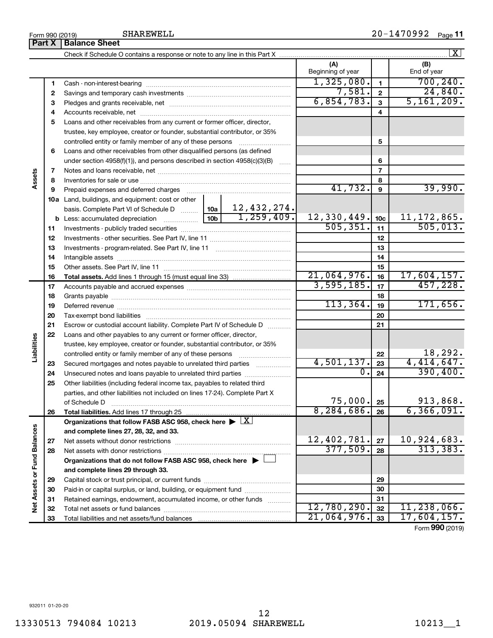|                             |                          |                                                                                                                |             |                          |                 | $\vert X \vert$    |
|-----------------------------|--------------------------|----------------------------------------------------------------------------------------------------------------|-------------|--------------------------|-----------------|--------------------|
|                             |                          |                                                                                                                |             | (A)<br>Beginning of year |                 | (B)<br>End of year |
|                             | 1                        |                                                                                                                |             | 1,325,080.               | $\mathbf{1}$    | 700, 240.          |
|                             | 2                        |                                                                                                                | 7,581.      | $\mathbf{2}$             | 24,840.         |                    |
|                             | 3                        |                                                                                                                |             | 6,854,783.               | $\mathbf{3}$    | 5, 161, 209.       |
|                             | 4                        |                                                                                                                |             |                          | 4               |                    |
|                             | 5                        | Loans and other receivables from any current or former officer, director,                                      |             |                          |                 |                    |
|                             |                          | trustee, key employee, creator or founder, substantial contributor, or 35%                                     |             |                          |                 |                    |
|                             |                          |                                                                                                                |             |                          | 5               |                    |
|                             | 6                        | Loans and other receivables from other disqualified persons (as defined                                        |             |                          |                 |                    |
|                             |                          | under section $4958(f)(1)$ , and persons described in section $4958(c)(3)(B)$                                  |             |                          | 6               |                    |
| Assets                      | $\overline{\phantom{a}}$ |                                                                                                                |             |                          | 7               |                    |
|                             | 8                        |                                                                                                                |             |                          | 8               |                    |
|                             | 9                        | Prepaid expenses and deferred charges [11] [11] [11] [12] [12] [12] [12] [13] [13] [13] [13] [13] [13] [13] [1 |             | 41,732.                  | 9               | 39,990.            |
|                             |                          | 10a Land, buildings, and equipment: cost or other                                                              |             |                          |                 |                    |
|                             |                          | basis. Complete Part VI of Schedule D    10a                                                                   | 12,432,274. |                          |                 |                    |
|                             |                          |                                                                                                                | 1,259,409.  | 12,330,449.              | 10 <sub>c</sub> | 11, 172, 865.      |
|                             | 11                       |                                                                                                                |             | 505, 351.                | 11              | 505,013.           |
|                             | 12                       |                                                                                                                |             |                          | 12              |                    |
|                             | 13                       |                                                                                                                |             |                          | 13              |                    |
|                             | 14                       |                                                                                                                |             |                          | 14              |                    |
|                             | 15                       |                                                                                                                | 21,064,976. | 15                       | 17,604,157.     |                    |
|                             | 16                       |                                                                                                                |             | 3,595,185.               | 16              | 457,228.           |
|                             | 17                       |                                                                                                                |             | 17                       |                 |                    |
|                             | 18                       |                                                                                                                | 113,364.    | 18<br>19                 | 171,656.        |                    |
|                             | 19<br>20                 |                                                                                                                |             |                          | 20              |                    |
|                             | 21                       | Escrow or custodial account liability. Complete Part IV of Schedule D                                          |             |                          | 21              |                    |
|                             | 22                       | Loans and other payables to any current or former officer, director,                                           |             |                          |                 |                    |
| Liabilities                 |                          | trustee, key employee, creator or founder, substantial contributor, or 35%                                     |             |                          |                 |                    |
|                             |                          |                                                                                                                |             |                          | 22              | 18,292.            |
|                             | 23                       | Secured mortgages and notes payable to unrelated third parties                                                 |             | 4,501,137.               | 23              | 4,414,647.         |
|                             | 24                       |                                                                                                                |             | $\overline{0}$ .         | 24              | 390, 400.          |
|                             | 25                       | Other liabilities (including federal income tax, payables to related third                                     |             |                          |                 |                    |
|                             |                          | parties, and other liabilities not included on lines 17-24). Complete Part X                                   |             |                          |                 |                    |
|                             |                          | of Schedule D                                                                                                  |             | 75,000.]                 | 25              | 913,868.           |
|                             | 26                       | Total liabilities. Add lines 17 through 25                                                                     |             | 8, 284, 686.             | 26              | 6, 366, 091.       |
|                             |                          | Organizations that follow FASB ASC 958, check here $\blacktriangleright \lfloor \underline{X} \rfloor$         |             |                          |                 |                    |
|                             |                          | and complete lines 27, 28, 32, and 33.                                                                         |             |                          |                 |                    |
|                             | 27                       |                                                                                                                |             | 12,402,781.              | 27              | 10,924,683.        |
|                             | 28                       |                                                                                                                |             | 377,509.                 | 28              | 313, 383.          |
|                             |                          | Organizations that do not follow FASB ASC 958, check here ▶ □                                                  |             |                          |                 |                    |
|                             |                          | and complete lines 29 through 33.                                                                              |             |                          |                 |                    |
|                             | 29                       |                                                                                                                |             |                          | 29              |                    |
| Net Assets or Fund Balances | 30                       | Paid-in or capital surplus, or land, building, or equipment fund                                               |             |                          | 30              |                    |
|                             | 31                       | Retained earnings, endowment, accumulated income, or other funds                                               |             |                          | 31              |                    |
|                             | 32                       |                                                                                                                |             | 12,780,290.              | 32              | 11, 238, 066.      |
|                             | 33                       |                                                                                                                |             | 21,064,976.              | 33              | 17,604,157.        |

Form (2019) **990**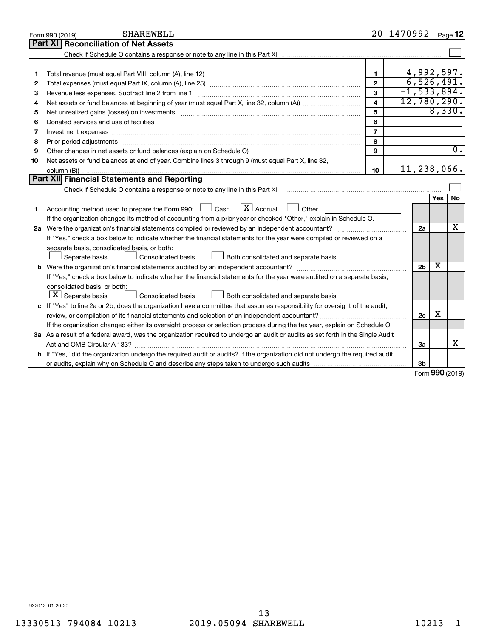|    | <b>SHAREWELL</b><br>Form 990 (2019)                                                                                             |                         | $20 - 1470992$ Page 12 |                  |
|----|---------------------------------------------------------------------------------------------------------------------------------|-------------------------|------------------------|------------------|
|    | Part XI<br><b>Reconciliation of Net Assets</b>                                                                                  |                         |                        |                  |
|    |                                                                                                                                 |                         |                        |                  |
|    |                                                                                                                                 |                         |                        |                  |
| 1  |                                                                                                                                 | $\blacksquare$          |                        | 4,992,597.       |
| 2  |                                                                                                                                 | $\mathfrak{p}$          |                        | 6,526,491.       |
| 3  | Revenue less expenses. Subtract line 2 from line 1                                                                              | $\overline{3}$          | $-1, 533, 894.$        |                  |
| 4  |                                                                                                                                 | $\overline{\mathbf{4}}$ | 12,780,290.            |                  |
| 5  | Net unrealized gains (losses) on investments [111] www.martime.community.community.community.community.communi                  | 5                       |                        | $-8,330.$        |
| 6  |                                                                                                                                 | 6                       |                        |                  |
| 7  | Investment expenses www.communication.com/www.communication.com/www.communication.com/www.com                                   | $\overline{7}$          |                        |                  |
| 8  | Prior period adjustments www.communication.communication.communication.com/                                                     | 8                       |                        |                  |
| 9  | Other changes in net assets or fund balances (explain on Schedule O)                                                            | 9                       |                        | $\overline{0}$ . |
| 10 | Net assets or fund balances at end of year. Combine lines 3 through 9 (must equal Part X, line 32,                              |                         |                        |                  |
|    |                                                                                                                                 | 10                      | 11,238,066.            |                  |
|    | Part XII Financial Statements and Reporting                                                                                     |                         |                        |                  |
|    |                                                                                                                                 |                         |                        |                  |
|    |                                                                                                                                 |                         |                        | <b>No</b><br>Yes |
| 1  | $\lfloor \mathbf{X} \rfloor$ Accrual<br>Accounting method used to prepare the Form 990: [130] Cash<br>$\Box$ Other              |                         |                        |                  |
|    | If the organization changed its method of accounting from a prior year or checked "Other," explain in Schedule O.               |                         |                        |                  |
|    |                                                                                                                                 |                         | 2a                     | х                |
|    | If "Yes," check a box below to indicate whether the financial statements for the year were compiled or reviewed on a            |                         |                        |                  |
|    | separate basis, consolidated basis, or both:                                                                                    |                         |                        |                  |
|    | Both consolidated and separate basis<br>Separate basis<br>Consolidated basis                                                    |                         |                        |                  |
|    | <b>b</b> Were the organization's financial statements audited by an independent accountant?                                     |                         | 2 <sub>b</sub>         | х                |
|    | If "Yes," check a box below to indicate whether the financial statements for the year were audited on a separate basis,         |                         |                        |                  |
|    | consolidated basis, or both:                                                                                                    |                         |                        |                  |
|    | $\lfloor \underline{X} \rfloor$ Separate basis<br>Consolidated basis<br>Both consolidated and separate basis                    |                         |                        |                  |
|    | c If "Yes" to line 2a or 2b, does the organization have a committee that assumes responsibility for oversight of the audit,     |                         |                        |                  |
|    | review, or compilation of its financial statements and selection of an independent accountant?                                  |                         | 2c                     | X                |
|    | If the organization changed either its oversight process or selection process during the tax year, explain on Schedule O.       |                         |                        |                  |
|    | 3a As a result of a federal award, was the organization required to undergo an audit or audits as set forth in the Single Audit |                         |                        |                  |
|    |                                                                                                                                 |                         | За                     | x                |
|    | b If "Yes," did the organization undergo the required audit or audits? If the organization did not undergo the required audit   |                         |                        |                  |
|    |                                                                                                                                 |                         | 3b                     | <b>000</b>       |

Form (2019) **990**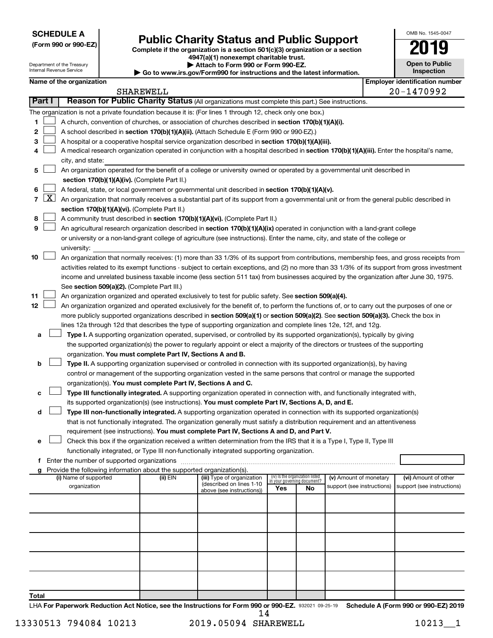| <b>SCHEDULE A</b> |  |
|-------------------|--|
|-------------------|--|

| (Form 990 or 990-EZ) |  |  |  |  |
|----------------------|--|--|--|--|
|----------------------|--|--|--|--|

Department of the Treasury Internal Revenue Service

# Form 990 or 990-EZ) **Public Charity Status and Public Support**<br>
Complete if the organization is a section 501(c)(3) organization or a section<br> **2019**

**4947(a)(1) nonexempt charitable trust. | Attach to Form 990 or Form 990-EZ.** 

**| Go to www.irs.gov/Form990 for instructions and the latest information.**

| <b>Open to Public</b><br>Inspection |
|-------------------------------------|
| dentification numi                  |

OMB No. 1545-0047

| <b>Employer identification number</b><br>Name of the organization |              |                                                                                                                                               |           |                                                        |     |                                                                |                            |  |                            |
|-------------------------------------------------------------------|--------------|-----------------------------------------------------------------------------------------------------------------------------------------------|-----------|--------------------------------------------------------|-----|----------------------------------------------------------------|----------------------------|--|----------------------------|
|                                                                   |              |                                                                                                                                               | SHAREWELL |                                                        |     |                                                                |                            |  | 20-1470992                 |
|                                                                   | Part I       | Reason for Public Charity Status (All organizations must complete this part.) See instructions.                                               |           |                                                        |     |                                                                |                            |  |                            |
|                                                                   |              | The organization is not a private foundation because it is: (For lines 1 through 12, check only one box.)                                     |           |                                                        |     |                                                                |                            |  |                            |
| 1                                                                 |              | A church, convention of churches, or association of churches described in section 170(b)(1)(A)(i).                                            |           |                                                        |     |                                                                |                            |  |                            |
| 2                                                                 |              | A school described in section 170(b)(1)(A)(ii). (Attach Schedule E (Form 990 or 990-EZ).)                                                     |           |                                                        |     |                                                                |                            |  |                            |
| 3                                                                 |              | A hospital or a cooperative hospital service organization described in section 170(b)(1)(A)(iii).                                             |           |                                                        |     |                                                                |                            |  |                            |
| 4                                                                 |              | A medical research organization operated in conjunction with a hospital described in section 170(b)(1)(A)(iii). Enter the hospital's name,    |           |                                                        |     |                                                                |                            |  |                            |
|                                                                   |              | city, and state:                                                                                                                              |           |                                                        |     |                                                                |                            |  |                            |
| 5                                                                 |              | An organization operated for the benefit of a college or university owned or operated by a governmental unit described in                     |           |                                                        |     |                                                                |                            |  |                            |
|                                                                   |              | section 170(b)(1)(A)(iv). (Complete Part II.)                                                                                                 |           |                                                        |     |                                                                |                            |  |                            |
| 6                                                                 |              | A federal, state, or local government or governmental unit described in section 170(b)(1)(A)(v).                                              |           |                                                        |     |                                                                |                            |  |                            |
| 7                                                                 | $\mathbf{X}$ | An organization that normally receives a substantial part of its support from a governmental unit or from the general public described in     |           |                                                        |     |                                                                |                            |  |                            |
|                                                                   |              | section 170(b)(1)(A)(vi). (Complete Part II.)                                                                                                 |           |                                                        |     |                                                                |                            |  |                            |
| 8                                                                 |              | A community trust described in section 170(b)(1)(A)(vi). (Complete Part II.)                                                                  |           |                                                        |     |                                                                |                            |  |                            |
| 9                                                                 |              | An agricultural research organization described in section 170(b)(1)(A)(ix) operated in conjunction with a land-grant college                 |           |                                                        |     |                                                                |                            |  |                            |
|                                                                   |              | or university or a non-land-grant college of agriculture (see instructions). Enter the name, city, and state of the college or                |           |                                                        |     |                                                                |                            |  |                            |
|                                                                   |              | university:                                                                                                                                   |           |                                                        |     |                                                                |                            |  |                            |
| 10                                                                |              | An organization that normally receives: (1) more than 33 1/3% of its support from contributions, membership fees, and gross receipts from     |           |                                                        |     |                                                                |                            |  |                            |
|                                                                   |              | activities related to its exempt functions - subject to certain exceptions, and (2) no more than 33 1/3% of its support from gross investment |           |                                                        |     |                                                                |                            |  |                            |
|                                                                   |              | income and unrelated business taxable income (less section 511 tax) from businesses acquired by the organization after June 30, 1975.         |           |                                                        |     |                                                                |                            |  |                            |
|                                                                   |              | See section 509(a)(2). (Complete Part III.)                                                                                                   |           |                                                        |     |                                                                |                            |  |                            |
| 11                                                                |              | An organization organized and operated exclusively to test for public safety. See section 509(a)(4).                                          |           |                                                        |     |                                                                |                            |  |                            |
| 12                                                                |              | An organization organized and operated exclusively for the benefit of, to perform the functions of, or to carry out the purposes of one or    |           |                                                        |     |                                                                |                            |  |                            |
|                                                                   |              | more publicly supported organizations described in section 509(a)(1) or section 509(a)(2). See section 509(a)(3). Check the box in            |           |                                                        |     |                                                                |                            |  |                            |
|                                                                   |              | lines 12a through 12d that describes the type of supporting organization and complete lines 12e, 12f, and 12g.                                |           |                                                        |     |                                                                |                            |  |                            |
| a                                                                 |              | Type I. A supporting organization operated, supervised, or controlled by its supported organization(s), typically by giving                   |           |                                                        |     |                                                                |                            |  |                            |
|                                                                   |              | the supported organization(s) the power to regularly appoint or elect a majority of the directors or trustees of the supporting               |           |                                                        |     |                                                                |                            |  |                            |
|                                                                   |              | organization. You must complete Part IV, Sections A and B.                                                                                    |           |                                                        |     |                                                                |                            |  |                            |
| b                                                                 |              | Type II. A supporting organization supervised or controlled in connection with its supported organization(s), by having                       |           |                                                        |     |                                                                |                            |  |                            |
|                                                                   |              | control or management of the supporting organization vested in the same persons that control or manage the supported                          |           |                                                        |     |                                                                |                            |  |                            |
|                                                                   |              | organization(s). You must complete Part IV, Sections A and C.                                                                                 |           |                                                        |     |                                                                |                            |  |                            |
|                                                                   |              | Type III functionally integrated. A supporting organization operated in connection with, and functionally integrated with,                    |           |                                                        |     |                                                                |                            |  |                            |
|                                                                   |              | its supported organization(s) (see instructions). You must complete Part IV, Sections A, D, and E.                                            |           |                                                        |     |                                                                |                            |  |                            |
| d                                                                 |              | Type III non-functionally integrated. A supporting organization operated in connection with its supported organization(s)                     |           |                                                        |     |                                                                |                            |  |                            |
|                                                                   |              | that is not functionally integrated. The organization generally must satisfy a distribution requirement and an attentiveness                  |           |                                                        |     |                                                                |                            |  |                            |
|                                                                   |              | requirement (see instructions). You must complete Part IV, Sections A and D, and Part V.                                                      |           |                                                        |     |                                                                |                            |  |                            |
| е                                                                 |              | Check this box if the organization received a written determination from the IRS that it is a Type I, Type II, Type III                       |           |                                                        |     |                                                                |                            |  |                            |
|                                                                   |              | functionally integrated, or Type III non-functionally integrated supporting organization.                                                     |           |                                                        |     |                                                                |                            |  |                            |
|                                                                   |              |                                                                                                                                               |           |                                                        |     |                                                                |                            |  |                            |
|                                                                   |              | Provide the following information about the supported organization(s).                                                                        |           |                                                        |     |                                                                |                            |  |                            |
|                                                                   |              | (i) Name of supported                                                                                                                         | (ii) EIN  | (iii) Type of organization<br>(described on lines 1-10 |     | (iv) Is the organization listed<br>in your governing document? | (v) Amount of monetary     |  | (vi) Amount of other       |
|                                                                   |              | organization                                                                                                                                  |           | above (see instructions))                              | Yes | No                                                             | support (see instructions) |  | support (see instructions) |
|                                                                   |              |                                                                                                                                               |           |                                                        |     |                                                                |                            |  |                            |
|                                                                   |              |                                                                                                                                               |           |                                                        |     |                                                                |                            |  |                            |
|                                                                   |              |                                                                                                                                               |           |                                                        |     |                                                                |                            |  |                            |
|                                                                   |              |                                                                                                                                               |           |                                                        |     |                                                                |                            |  |                            |
|                                                                   |              |                                                                                                                                               |           |                                                        |     |                                                                |                            |  |                            |
|                                                                   |              |                                                                                                                                               |           |                                                        |     |                                                                |                            |  |                            |
|                                                                   |              |                                                                                                                                               |           |                                                        |     |                                                                |                            |  |                            |
|                                                                   |              |                                                                                                                                               |           |                                                        |     |                                                                |                            |  |                            |
|                                                                   |              |                                                                                                                                               |           |                                                        |     |                                                                |                            |  |                            |
|                                                                   |              |                                                                                                                                               |           |                                                        |     |                                                                |                            |  |                            |
| Total                                                             |              |                                                                                                                                               |           |                                                        |     |                                                                |                            |  |                            |

LHA For Paperwork Reduction Act Notice, see the Instructions for Form 990 or 990-EZ. 932021 09-25-19 Schedule A (Form 990 or 990-EZ) 2019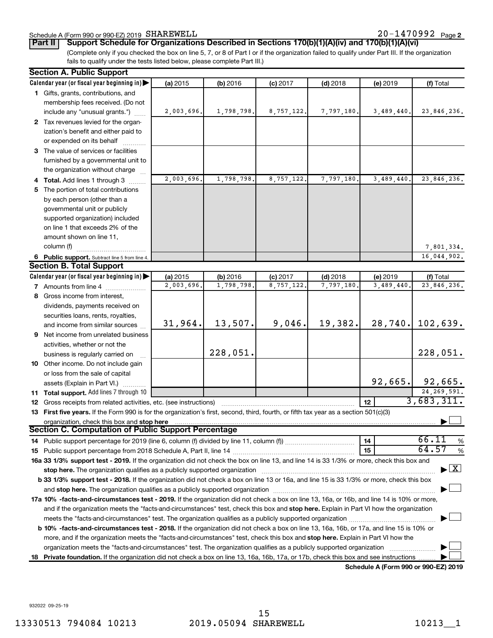# Schedule A (Form 990 or 990-EZ) 2019 SHAREWELL

(Complete only if you checked the box on line 5, 7, or 8 of Part I or if the organization failed to qualify under Part III. If the organization fails to qualify under the tests listed below, please complete Part III.) **Part II Support Schedule for Organizations Described in Sections 170(b)(1)(A)(iv) and 170(b)(1)(A)(vi)**

| <b>Section A. Public Support</b>                                                                                                                                                                            |            |            |            |            |                 |                                          |
|-------------------------------------------------------------------------------------------------------------------------------------------------------------------------------------------------------------|------------|------------|------------|------------|-----------------|------------------------------------------|
| Calendar year (or fiscal year beginning in)                                                                                                                                                                 | (a) 2015   | (b) 2016   | $(c)$ 2017 | $(d)$ 2018 | (e) 2019        | (f) Total                                |
| 1 Gifts, grants, contributions, and                                                                                                                                                                         |            |            |            |            |                 |                                          |
| membership fees received. (Do not                                                                                                                                                                           |            |            |            |            |                 |                                          |
| include any "unusual grants.")                                                                                                                                                                              | 2,003,696. | 1,798,798. | 8,757,122. | 7,797,180. | 3,489,440.      | 23,846,236.                              |
| 2 Tax revenues levied for the organ-                                                                                                                                                                        |            |            |            |            |                 |                                          |
| ization's benefit and either paid to                                                                                                                                                                        |            |            |            |            |                 |                                          |
| or expended on its behalf                                                                                                                                                                                   |            |            |            |            |                 |                                          |
| 3 The value of services or facilities                                                                                                                                                                       |            |            |            |            |                 |                                          |
| furnished by a governmental unit to                                                                                                                                                                         |            |            |            |            |                 |                                          |
| the organization without charge                                                                                                                                                                             |            |            |            |            |                 |                                          |
| 4 Total. Add lines 1 through 3                                                                                                                                                                              | 2,003,696. | 1,798,798. | 8,757,122. | 7,797,180. | 3,489,440.      | 23,846,236.                              |
| 5 The portion of total contributions                                                                                                                                                                        |            |            |            |            |                 |                                          |
| by each person (other than a                                                                                                                                                                                |            |            |            |            |                 |                                          |
| governmental unit or publicly                                                                                                                                                                               |            |            |            |            |                 |                                          |
| supported organization) included                                                                                                                                                                            |            |            |            |            |                 |                                          |
| on line 1 that exceeds 2% of the                                                                                                                                                                            |            |            |            |            |                 |                                          |
| amount shown on line 11,                                                                                                                                                                                    |            |            |            |            |                 |                                          |
| column (f)                                                                                                                                                                                                  |            |            |            |            |                 | 7,801,334.                               |
| 6 Public support. Subtract line 5 from line 4.                                                                                                                                                              |            |            |            |            |                 | 16,044,902.                              |
| <b>Section B. Total Support</b>                                                                                                                                                                             |            |            |            |            |                 |                                          |
| Calendar year (or fiscal year beginning in)                                                                                                                                                                 | (a) 2015   | (b) 2016   | $(c)$ 2017 | $(d)$ 2018 | (e) 2019        | (f) Total                                |
| 7 Amounts from line 4                                                                                                                                                                                       | 2,003,696. | 1,798,798  | 8,757,122  | 7,797,180  | 3,489,440.      | 23,846,236.                              |
| 8 Gross income from interest,                                                                                                                                                                               |            |            |            |            |                 |                                          |
| dividends, payments received on                                                                                                                                                                             |            |            |            |            |                 |                                          |
| securities loans, rents, royalties,                                                                                                                                                                         |            |            |            |            |                 |                                          |
| and income from similar sources                                                                                                                                                                             | 31,964.    | 13,507.    | 9,046.     | 19,382.    |                 | 28,740. 102,639.                         |
| <b>9</b> Net income from unrelated business                                                                                                                                                                 |            |            |            |            |                 |                                          |
| activities, whether or not the                                                                                                                                                                              |            | 228,051.   |            |            |                 |                                          |
| business is regularly carried on                                                                                                                                                                            |            |            |            |            |                 | 228,051.                                 |
| 10 Other income. Do not include gain                                                                                                                                                                        |            |            |            |            |                 |                                          |
| or loss from the sale of capital                                                                                                                                                                            |            |            |            |            |                 | $92,665.$ 92,665.                        |
| assets (Explain in Part VI.)                                                                                                                                                                                |            |            |            |            |                 | 24,269,591.                              |
| 11 Total support. Add lines 7 through 10                                                                                                                                                                    |            |            |            |            | 12 <sup>2</sup> | 3,683,311.                               |
| 12 Gross receipts from related activities, etc. (see instructions)<br>13 First five years. If the Form 990 is for the organization's first, second, third, fourth, or fifth tax year as a section 501(c)(3) |            |            |            |            |                 |                                          |
| organization, check this box and stop here                                                                                                                                                                  |            |            |            |            |                 |                                          |
| Section C. Computation of Public Support Percentage                                                                                                                                                         |            |            |            |            |                 |                                          |
|                                                                                                                                                                                                             |            |            |            |            | 14              | 66.11<br>$\%$                            |
|                                                                                                                                                                                                             |            |            |            |            | 15              | 64.57<br>$\%$                            |
| 16a 33 1/3% support test - 2019. If the organization did not check the box on line 13, and line 14 is 33 1/3% or more, check this box and                                                                   |            |            |            |            |                 |                                          |
|                                                                                                                                                                                                             |            |            |            |            |                 | $\blacktriangleright$ $\boxed{\text{X}}$ |
| <b>b 33 1/3% support test - 2018.</b> If the organization did not check a box on line 13 or 16a, and line 15 is 33 1/3% or more, check this box                                                             |            |            |            |            |                 |                                          |
|                                                                                                                                                                                                             |            |            |            |            |                 |                                          |
| 17a 10% -facts-and-circumstances test - 2019. If the organization did not check a box on line 13, 16a, or 16b, and line 14 is 10% or more,                                                                  |            |            |            |            |                 |                                          |
| and if the organization meets the "facts-and-circumstances" test, check this box and stop here. Explain in Part VI how the organization                                                                     |            |            |            |            |                 |                                          |
|                                                                                                                                                                                                             |            |            |            |            |                 |                                          |
| b 10% -facts-and-circumstances test - 2018. If the organization did not check a box on line 13, 16a, 16b, or 17a, and line 15 is 10% or                                                                     |            |            |            |            |                 |                                          |
| more, and if the organization meets the "facts-and-circumstances" test, check this box and stop here. Explain in Part VI how the                                                                            |            |            |            |            |                 |                                          |
|                                                                                                                                                                                                             |            |            |            |            |                 |                                          |
| 18 Private foundation. If the organization did not check a box on line 13, 16a, 16b, 17a, or 17b, check this box and see instructions                                                                       |            |            |            |            |                 |                                          |

**Schedule A (Form 990 or 990-EZ) 2019**

932022 09-25-19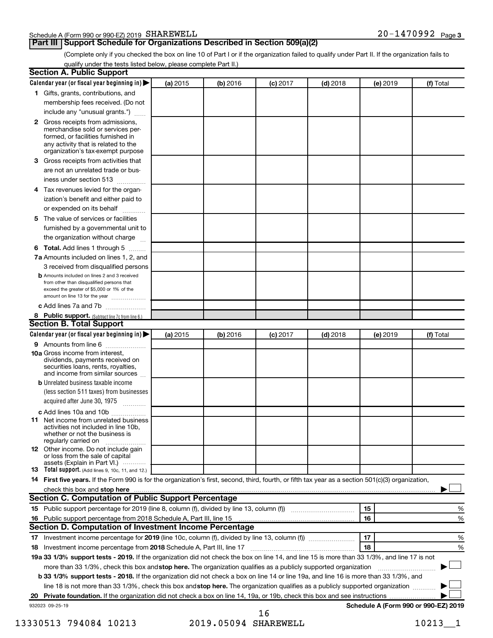#### Schedule A (Form 990 or 990-EZ) 2019 SHAREWELL

# **Part III Support Schedule for Organizations Described in Section 509(a)(2)**

(Complete only if you checked the box on line 10 of Part I or if the organization failed to qualify under Part II. If the organization fails to qualify under the tests listed below, please complete Part II.)

|    | <b>Section A. Public Support</b>                                                                                                                                                                                                        |          |          |            |            |          |                                      |
|----|-----------------------------------------------------------------------------------------------------------------------------------------------------------------------------------------------------------------------------------------|----------|----------|------------|------------|----------|--------------------------------------|
|    | Calendar year (or fiscal year beginning in)                                                                                                                                                                                             | (a) 2015 | (b) 2016 | $(c)$ 2017 | $(d)$ 2018 | (e) 2019 | (f) Total                            |
|    | 1 Gifts, grants, contributions, and                                                                                                                                                                                                     |          |          |            |            |          |                                      |
|    | membership fees received. (Do not                                                                                                                                                                                                       |          |          |            |            |          |                                      |
|    | include any "unusual grants.")                                                                                                                                                                                                          |          |          |            |            |          |                                      |
|    | <b>2</b> Gross receipts from admissions,<br>merchandise sold or services per-<br>formed, or facilities furnished in<br>any activity that is related to the<br>organization's tax-exempt purpose                                         |          |          |            |            |          |                                      |
|    | 3 Gross receipts from activities that<br>are not an unrelated trade or bus-                                                                                                                                                             |          |          |            |            |          |                                      |
|    | iness under section 513                                                                                                                                                                                                                 |          |          |            |            |          |                                      |
|    | 4 Tax revenues levied for the organ-                                                                                                                                                                                                    |          |          |            |            |          |                                      |
|    | ization's benefit and either paid to<br>or expended on its behalf                                                                                                                                                                       |          |          |            |            |          |                                      |
|    | 5 The value of services or facilities                                                                                                                                                                                                   |          |          |            |            |          |                                      |
|    | furnished by a governmental unit to                                                                                                                                                                                                     |          |          |            |            |          |                                      |
|    | the organization without charge                                                                                                                                                                                                         |          |          |            |            |          |                                      |
|    | 6 Total. Add lines 1 through 5                                                                                                                                                                                                          |          |          |            |            |          |                                      |
|    | 7a Amounts included on lines 1, 2, and                                                                                                                                                                                                  |          |          |            |            |          |                                      |
|    | 3 received from disqualified persons                                                                                                                                                                                                    |          |          |            |            |          |                                      |
|    | <b>b</b> Amounts included on lines 2 and 3 received<br>from other than disqualified persons that<br>exceed the greater of \$5,000 or 1% of the<br>amount on line 13 for the year                                                        |          |          |            |            |          |                                      |
|    | c Add lines 7a and 7b                                                                                                                                                                                                                   |          |          |            |            |          |                                      |
|    | 8 Public support. (Subtract line 7c from line 6.)                                                                                                                                                                                       |          |          |            |            |          |                                      |
|    | <b>Section B. Total Support</b>                                                                                                                                                                                                         |          |          |            |            |          |                                      |
|    | Calendar year (or fiscal year beginning in)                                                                                                                                                                                             | (a) 2015 | (b) 2016 | $(c)$ 2017 | $(d)$ 2018 | (e) 2019 | (f) Total                            |
|    | 9 Amounts from line 6                                                                                                                                                                                                                   |          |          |            |            |          |                                      |
|    | <b>10a</b> Gross income from interest,<br>dividends, payments received on<br>securities loans, rents, royalties,<br>and income from similar sources                                                                                     |          |          |            |            |          |                                      |
|    | <b>b</b> Unrelated business taxable income                                                                                                                                                                                              |          |          |            |            |          |                                      |
|    | (less section 511 taxes) from businesses                                                                                                                                                                                                |          |          |            |            |          |                                      |
|    | acquired after June 30, 1975                                                                                                                                                                                                            |          |          |            |            |          |                                      |
|    | c Add lines 10a and 10b                                                                                                                                                                                                                 |          |          |            |            |          |                                      |
|    | <b>11</b> Net income from unrelated business<br>activities not included in line 10b.<br>whether or not the business is<br>regularly carried on                                                                                          |          |          |            |            |          |                                      |
|    | 12 Other income. Do not include gain<br>or loss from the sale of capital                                                                                                                                                                |          |          |            |            |          |                                      |
|    | assets (Explain in Part VI.)<br><b>13</b> Total support. (Add lines 9, 10c, 11, and 12.)                                                                                                                                                |          |          |            |            |          |                                      |
|    | 14 First five years. If the Form 990 is for the organization's first, second, third, fourth, or fifth tax year as a section 501(c)(3) organization,                                                                                     |          |          |            |            |          |                                      |
|    | check this box and stop here <b>contained and the contained and stop here</b> check this box and stop here <b>contained and the contained and stop here</b> contained and stop here contained and and stop here contained and stop here |          |          |            |            |          |                                      |
|    | Section C. Computation of Public Support Percentage                                                                                                                                                                                     |          |          |            |            |          |                                      |
|    | 15 Public support percentage for 2019 (line 8, column (f), divided by line 13, column (f) <i></i>                                                                                                                                       |          |          |            |            | 15       | %                                    |
|    | 16 Public support percentage from 2018 Schedule A, Part III, line 15                                                                                                                                                                    |          |          |            |            | 16       | %                                    |
|    | Section D. Computation of Investment Income Percentage                                                                                                                                                                                  |          |          |            |            |          |                                      |
|    |                                                                                                                                                                                                                                         |          |          |            |            | 17       | %                                    |
|    | 18 Investment income percentage from 2018 Schedule A, Part III, line 17                                                                                                                                                                 |          |          |            |            | 18       | %                                    |
|    | 19a 33 1/3% support tests - 2019. If the organization did not check the box on line 14, and line 15 is more than 33 1/3%, and line 17 is not                                                                                            |          |          |            |            |          |                                      |
|    | more than 33 1/3%, check this box and stop here. The organization qualifies as a publicly supported organization                                                                                                                        |          |          |            |            |          |                                      |
|    | b 33 1/3% support tests - 2018. If the organization did not check a box on line 14 or line 19a, and line 16 is more than 33 1/3%, and                                                                                                   |          |          |            |            |          |                                      |
|    | line 18 is not more than 33 1/3%, check this box and stop here. The organization qualifies as a publicly supported organization                                                                                                         |          |          |            |            |          |                                      |
| 20 |                                                                                                                                                                                                                                         |          |          |            |            |          |                                      |
|    | 932023 09-25-19                                                                                                                                                                                                                         |          |          |            |            |          | Schedule A (Form 990 or 990-EZ) 2019 |
|    |                                                                                                                                                                                                                                         |          |          |            |            |          |                                      |

13330513 794084 10213 2019.05094 SHAREWELL 10213\_1 16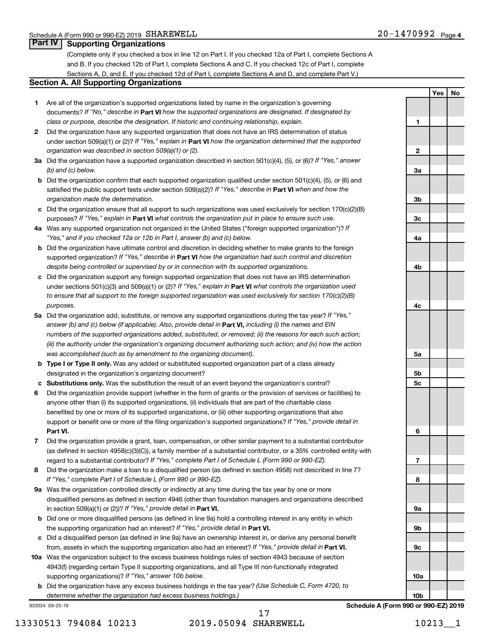### **Part IV Supporting Organizations**

(Complete only if you checked a box in line 12 on Part I. If you checked 12a of Part I, complete Sections A and B. If you checked 12b of Part I, complete Sections A and C. If you checked 12c of Part I, complete Sections A, D, and E. If you checked 12d of Part I, complete Sections A and D, and complete Part V.)

#### **Section A. All Supporting Organizations**

- **1** Are all of the organization's supported organizations listed by name in the organization's governing documents? If "No," describe in Part VI how the supported organizations are designated. If designated by *class or purpose, describe the designation. If historic and continuing relationship, explain.*
- **2** Did the organization have any supported organization that does not have an IRS determination of status under section 509(a)(1) or (2)? If "Yes," explain in Part **VI** how the organization determined that the supported *organization was described in section 509(a)(1) or (2).*
- **3a** Did the organization have a supported organization described in section 501(c)(4), (5), or (6)? If "Yes," answer *(b) and (c) below.*
- **b** Did the organization confirm that each supported organization qualified under section 501(c)(4), (5), or (6) and satisfied the public support tests under section 509(a)(2)? If "Yes," describe in Part VI when and how the *organization made the determination.*
- **c** Did the organization ensure that all support to such organizations was used exclusively for section 170(c)(2)(B) purposes? If "Yes," explain in Part VI what controls the organization put in place to ensure such use.
- **4 a** *If* Was any supported organization not organized in the United States ("foreign supported organization")? *"Yes," and if you checked 12a or 12b in Part I, answer (b) and (c) below.*
- **b** Did the organization have ultimate control and discretion in deciding whether to make grants to the foreign supported organization? If "Yes," describe in Part VI how the organization had such control and discretion *despite being controlled or supervised by or in connection with its supported organizations.*
- **c** Did the organization support any foreign supported organization that does not have an IRS determination under sections 501(c)(3) and 509(a)(1) or (2)? If "Yes," explain in Part VI what controls the organization used *to ensure that all support to the foreign supported organization was used exclusively for section 170(c)(2)(B) purposes.*
- **5a** Did the organization add, substitute, or remove any supported organizations during the tax year? If "Yes," answer (b) and (c) below (if applicable). Also, provide detail in **Part VI,** including (i) the names and EIN *numbers of the supported organizations added, substituted, or removed; (ii) the reasons for each such action; (iii) the authority under the organization's organizing document authorizing such action; and (iv) how the action was accomplished (such as by amendment to the organizing document).*
- **b** Type I or Type II only. Was any added or substituted supported organization part of a class already designated in the organization's organizing document?
- **c Substitutions only.**  Was the substitution the result of an event beyond the organization's control?
- **6** Did the organization provide support (whether in the form of grants or the provision of services or facilities) to **Part VI.** support or benefit one or more of the filing organization's supported organizations? If "Yes," provide detail in anyone other than (i) its supported organizations, (ii) individuals that are part of the charitable class benefited by one or more of its supported organizations, or (iii) other supporting organizations that also
- **7** Did the organization provide a grant, loan, compensation, or other similar payment to a substantial contributor regard to a substantial contributor? If "Yes," complete Part I of Schedule L (Form 990 or 990-EZ). (as defined in section 4958(c)(3)(C)), a family member of a substantial contributor, or a 35% controlled entity with
- **8** Did the organization make a loan to a disqualified person (as defined in section 4958) not described in line 7? *If "Yes," complete Part I of Schedule L (Form 990 or 990-EZ).*
- **9 a** Was the organization controlled directly or indirectly at any time during the tax year by one or more in section 509(a)(1) or (2))? If "Yes," provide detail in **Part VI.** disqualified persons as defined in section 4946 (other than foundation managers and organizations described
- **b** Did one or more disqualified persons (as defined in line 9a) hold a controlling interest in any entity in which the supporting organization had an interest? If "Yes," provide detail in Part VI.
- **c** Did a disqualified person (as defined in line 9a) have an ownership interest in, or derive any personal benefit from, assets in which the supporting organization also had an interest? If "Yes," provide detail in Part VI.
- **10 a** Was the organization subject to the excess business holdings rules of section 4943 because of section supporting organizations)? If "Yes," answer 10b below. 4943(f) (regarding certain Type II supporting organizations, and all Type III non-functionally integrated
	- **b** Did the organization have any excess business holdings in the tax year? (Use Schedule C, Form 4720, to *determine whether the organization had excess business holdings.)*

932024 09-25-19

17

**Yes No 1 2 3a 3b 3c 4a 4b 4c 5a 5b 5c 6 7 8 9a 9b 9c 10a 10b**

**Schedule A (Form 990 or 990-EZ) 2019**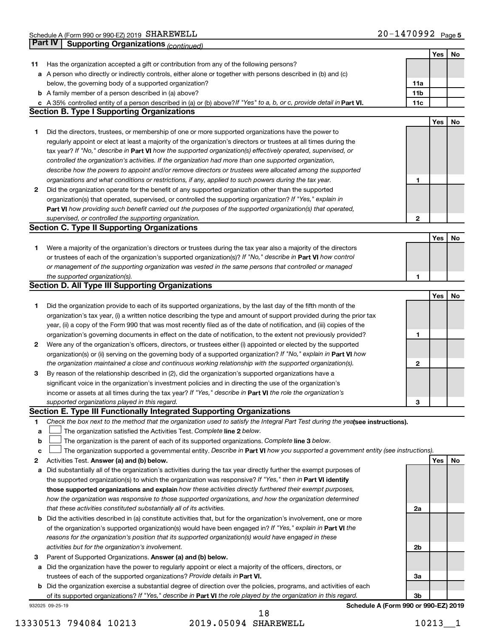|             | Part IV<br><b>Supporting Organizations (continued)</b>                                                                          |                 |     |    |
|-------------|---------------------------------------------------------------------------------------------------------------------------------|-----------------|-----|----|
|             |                                                                                                                                 |                 | Yes | No |
| 11          | Has the organization accepted a gift or contribution from any of the following persons?                                         |                 |     |    |
|             | a A person who directly or indirectly controls, either alone or together with persons described in (b) and (c)                  |                 |     |    |
|             | below, the governing body of a supported organization?                                                                          | 11a             |     |    |
|             | <b>b</b> A family member of a person described in (a) above?                                                                    | 11 <sub>b</sub> |     |    |
|             | c A 35% controlled entity of a person described in (a) or (b) above? If "Yes" to a, b, or c, provide detail in Part VI.         | 11c             |     |    |
|             | <b>Section B. Type I Supporting Organizations</b>                                                                               |                 |     |    |
|             |                                                                                                                                 |                 | Yes | No |
| 1           | Did the directors, trustees, or membership of one or more supported organizations have the power to                             |                 |     |    |
|             | regularly appoint or elect at least a majority of the organization's directors or trustees at all times during the              |                 |     |    |
|             | tax year? If "No," describe in Part VI how the supported organization(s) effectively operated, supervised, or                   |                 |     |    |
|             | controlled the organization's activities. If the organization had more than one supported organization,                         |                 |     |    |
|             | describe how the powers to appoint and/or remove directors or trustees were allocated among the supported                       |                 |     |    |
|             | organizations and what conditions or restrictions, if any, applied to such powers during the tax year.                          | 1               |     |    |
| 2           | Did the organization operate for the benefit of any supported organization other than the supported                             |                 |     |    |
|             | organization(s) that operated, supervised, or controlled the supporting organization? If "Yes," explain in                      |                 |     |    |
|             | Part VI how providing such benefit carried out the purposes of the supported organization(s) that operated,                     |                 |     |    |
|             | supervised, or controlled the supporting organization.                                                                          | 2               |     |    |
|             | <b>Section C. Type II Supporting Organizations</b>                                                                              |                 |     |    |
|             |                                                                                                                                 |                 | Yes | No |
| 1           | Were a majority of the organization's directors or trustees during the tax year also a majority of the directors                |                 |     |    |
|             | or trustees of each of the organization's supported organization(s)? If "No," describe in Part VI how control                   |                 |     |    |
|             | or management of the supporting organization was vested in the same persons that controlled or managed                          |                 |     |    |
|             | the supported organization(s).                                                                                                  | 1               |     |    |
|             | <b>Section D. All Type III Supporting Organizations</b>                                                                         |                 |     |    |
|             |                                                                                                                                 |                 | Yes | No |
| 1           | Did the organization provide to each of its supported organizations, by the last day of the fifth month of the                  |                 |     |    |
|             | organization's tax year, (i) a written notice describing the type and amount of support provided during the prior tax           |                 |     |    |
|             | year, (ii) a copy of the Form 990 that was most recently filed as of the date of notification, and (iii) copies of the          |                 |     |    |
|             | organization's governing documents in effect on the date of notification, to the extent not previously provided?                | 1               |     |    |
| 2           | Were any of the organization's officers, directors, or trustees either (i) appointed or elected by the supported                |                 |     |    |
|             | organization(s) or (ii) serving on the governing body of a supported organization? If "No," explain in Part VI how              |                 |     |    |
|             | the organization maintained a close and continuous working relationship with the supported organization(s).                     | $\mathbf{2}$    |     |    |
| 3           | By reason of the relationship described in (2), did the organization's supported organizations have a                           |                 |     |    |
|             | significant voice in the organization's investment policies and in directing the use of the organization's                      |                 |     |    |
|             | income or assets at all times during the tax year? If "Yes," describe in Part VI the role the organization's                    |                 |     |    |
|             | supported organizations played in this regard.                                                                                  | з               |     |    |
|             | Section E. Type III Functionally Integrated Supporting Organizations                                                            |                 |     |    |
| 1           | Check the box next to the method that the organization used to satisfy the Integral Part Test during the yealsee instructions). |                 |     |    |
| a           | The organization satisfied the Activities Test. Complete line 2 below.                                                          |                 |     |    |
| $\mathbf b$ | The organization is the parent of each of its supported organizations. Complete line 3 below.                                   |                 |     |    |
| c           | The organization supported a governmental entity. Describe in Part VI how you supported a government entity (see instructions). |                 |     |    |
| 2           | Activities Test. Answer (a) and (b) below.                                                                                      |                 | Yes | No |
| а           | Did substantially all of the organization's activities during the tax year directly further the exempt purposes of              |                 |     |    |
|             | the supported organization(s) to which the organization was responsive? If "Yes," then in Part VI identify                      |                 |     |    |
|             | those supported organizations and explain how these activities directly furthered their exempt purposes,                        |                 |     |    |
|             | how the organization was responsive to those supported organizations, and how the organization determined                       |                 |     |    |
|             | that these activities constituted substantially all of its activities.                                                          | 2a              |     |    |
|             | <b>b</b> Did the activities described in (a) constitute activities that, but for the organization's involvement, one or more    |                 |     |    |
|             | of the organization's supported organization(s) would have been engaged in? If "Yes," explain in Part VI the                    |                 |     |    |
|             | reasons for the organization's position that its supported organization(s) would have engaged in these                          |                 |     |    |
|             | activities but for the organization's involvement.                                                                              | 2b              |     |    |
| З           | Parent of Supported Organizations. Answer (a) and (b) below.                                                                    |                 |     |    |
|             | a Did the organization have the power to regularly appoint or elect a majority of the officers, directors, or                   |                 |     |    |
|             | trustees of each of the supported organizations? Provide details in Part VI.                                                    | За              |     |    |
|             | <b>b</b> Did the organization exercise a substantial degree of direction over the policies, programs, and activities of each    |                 |     |    |
|             | of its supported organizations? If "Yes," describe in Part VI the role played by the organization in this regard.               | 3b              |     |    |
|             | Schedule A (Form 990 or 990-EZ) 2019<br>932025 09-25-19                                                                         |                 |     |    |

13330513 794084 10213 2019.05094 SHAREWELL 10213\_1 18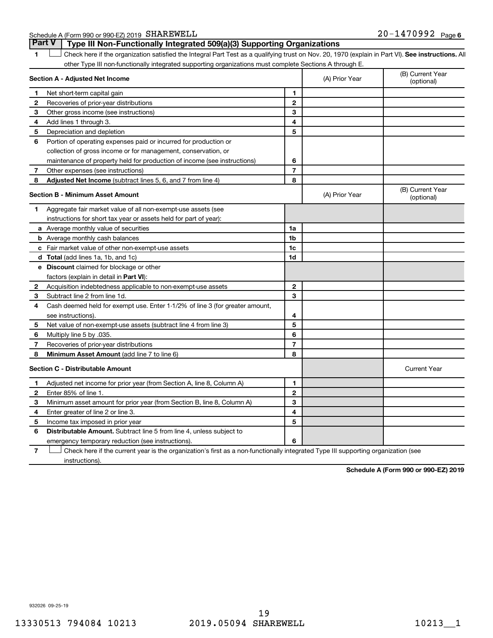Schedule A (Form 990 or 990-EZ) 2019 SHAREWELL

1 **Letter See instructions.** All Check here if the organization satisfied the Integral Part Test as a qualifying trust on Nov. 20, 1970 (explain in Part VI). See instructions. All other Type III non-functionally integrated supporting organizations must complete Sections A through E. **Part V Type III Non-Functionally Integrated 509(a)(3) Supporting Organizations** 

|                | Section A - Adjusted Net Income                                              |                | (A) Prior Year | (B) Current Year<br>(optional) |
|----------------|------------------------------------------------------------------------------|----------------|----------------|--------------------------------|
| 1.             | Net short-term capital gain                                                  | 1              |                |                                |
| 2              | Recoveries of prior-year distributions                                       | $\overline{2}$ |                |                                |
| З              | Other gross income (see instructions)                                        | 3              |                |                                |
| 4              | Add lines 1 through 3.                                                       | 4              |                |                                |
| 5              | Depreciation and depletion                                                   | 5              |                |                                |
| 6              | Portion of operating expenses paid or incurred for production or             |                |                |                                |
|                | collection of gross income or for management, conservation, or               |                |                |                                |
|                | maintenance of property held for production of income (see instructions)     | 6              |                |                                |
| 7              | Other expenses (see instructions)                                            | $\overline{7}$ |                |                                |
| 8              | Adjusted Net Income (subtract lines 5, 6, and 7 from line 4)                 | 8              |                |                                |
|                | <b>Section B - Minimum Asset Amount</b>                                      |                | (A) Prior Year | (B) Current Year<br>(optional) |
| 1              | Aggregate fair market value of all non-exempt-use assets (see                |                |                |                                |
|                | instructions for short tax year or assets held for part of year):            |                |                |                                |
|                | a Average monthly value of securities                                        | 1a             |                |                                |
|                | <b>b</b> Average monthly cash balances                                       | 1b             |                |                                |
|                | c Fair market value of other non-exempt-use assets                           | 1c             |                |                                |
|                | d Total (add lines 1a, 1b, and 1c)                                           | 1 <sub>d</sub> |                |                                |
|                | e Discount claimed for blockage or other                                     |                |                |                                |
|                | factors (explain in detail in <b>Part VI</b> ):                              |                |                |                                |
| 2              | Acquisition indebtedness applicable to non-exempt-use assets                 | $\mathbf{2}$   |                |                                |
| З              | Subtract line 2 from line 1d.                                                | 3              |                |                                |
| 4              | Cash deemed held for exempt use. Enter 1-1/2% of line 3 (for greater amount, |                |                |                                |
|                | see instructions).                                                           | 4              |                |                                |
| 5              | Net value of non-exempt-use assets (subtract line 4 from line 3)             | 5              |                |                                |
| 6              | Multiply line 5 by .035.                                                     | 6              |                |                                |
| $\overline{7}$ | Recoveries of prior-year distributions                                       | 7              |                |                                |
| 8              | <b>Minimum Asset Amount (add line 7 to line 6)</b>                           | 8              |                |                                |
|                | <b>Section C - Distributable Amount</b>                                      |                |                | <b>Current Year</b>            |
| 1              | Adjusted net income for prior year (from Section A, line 8, Column A)        | 1              |                |                                |
| $\mathbf{2}$   | Enter 85% of line 1.                                                         | $\mathbf{2}$   |                |                                |
| 3              | Minimum asset amount for prior year (from Section B, line 8, Column A)       | 3              |                |                                |
| 4              | Enter greater of line 2 or line 3.                                           | 4              |                |                                |
| 5              | Income tax imposed in prior year                                             | 5              |                |                                |
| 6              | <b>Distributable Amount.</b> Subtract line 5 from line 4, unless subject to  |                |                |                                |
|                | emergency temporary reduction (see instructions).                            | 6              |                |                                |
|                |                                                                              |                |                |                                |

**7** Check here if the current year is the organization's first as a non-functionally integrated Type III supporting organization (see † instructions).

**Schedule A (Form 990 or 990-EZ) 2019**

932026 09-25-19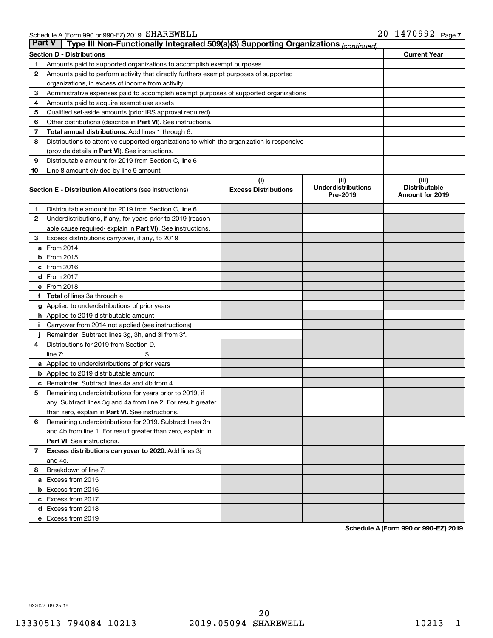| <b>Part V</b><br>Type III Non-Functionally Integrated 509(a)(3) Supporting Organizations (continued) |                                                                                            |                             |                                       |                                                |  |  |
|------------------------------------------------------------------------------------------------------|--------------------------------------------------------------------------------------------|-----------------------------|---------------------------------------|------------------------------------------------|--|--|
|                                                                                                      | <b>Current Year</b><br><b>Section D - Distributions</b>                                    |                             |                                       |                                                |  |  |
| 1                                                                                                    | Amounts paid to supported organizations to accomplish exempt purposes                      |                             |                                       |                                                |  |  |
| $\mathbf{2}$                                                                                         | Amounts paid to perform activity that directly furthers exempt purposes of supported       |                             |                                       |                                                |  |  |
|                                                                                                      | organizations, in excess of income from activity                                           |                             |                                       |                                                |  |  |
| 3                                                                                                    | Administrative expenses paid to accomplish exempt purposes of supported organizations      |                             |                                       |                                                |  |  |
| 4                                                                                                    | Amounts paid to acquire exempt-use assets                                                  |                             |                                       |                                                |  |  |
| 5                                                                                                    | Qualified set-aside amounts (prior IRS approval required)                                  |                             |                                       |                                                |  |  |
| 6                                                                                                    | Other distributions (describe in <b>Part VI</b> ). See instructions.                       |                             |                                       |                                                |  |  |
| 7                                                                                                    | Total annual distributions. Add lines 1 through 6.                                         |                             |                                       |                                                |  |  |
| 8                                                                                                    | Distributions to attentive supported organizations to which the organization is responsive |                             |                                       |                                                |  |  |
|                                                                                                      | (provide details in Part VI). See instructions.                                            |                             |                                       |                                                |  |  |
| 9                                                                                                    | Distributable amount for 2019 from Section C, line 6                                       |                             |                                       |                                                |  |  |
| 10                                                                                                   | Line 8 amount divided by line 9 amount                                                     |                             |                                       |                                                |  |  |
|                                                                                                      |                                                                                            | (i)                         | (ii)                                  | (iii)                                          |  |  |
|                                                                                                      | <b>Section E - Distribution Allocations (see instructions)</b>                             | <b>Excess Distributions</b> | <b>Underdistributions</b><br>Pre-2019 | <b>Distributable</b><br><b>Amount for 2019</b> |  |  |
| 1                                                                                                    | Distributable amount for 2019 from Section C, line 6                                       |                             |                                       |                                                |  |  |
| $\mathbf{2}$                                                                                         | Underdistributions, if any, for years prior to 2019 (reason-                               |                             |                                       |                                                |  |  |
|                                                                                                      | able cause required-explain in Part VI). See instructions.                                 |                             |                                       |                                                |  |  |
| 3                                                                                                    | Excess distributions carryover, if any, to 2019                                            |                             |                                       |                                                |  |  |
|                                                                                                      | a From 2014                                                                                |                             |                                       |                                                |  |  |
|                                                                                                      | <b>b</b> From 2015                                                                         |                             |                                       |                                                |  |  |
|                                                                                                      | c From 2016                                                                                |                             |                                       |                                                |  |  |
|                                                                                                      | <b>d</b> From 2017                                                                         |                             |                                       |                                                |  |  |
|                                                                                                      | e From 2018                                                                                |                             |                                       |                                                |  |  |
|                                                                                                      | f Total of lines 3a through e                                                              |                             |                                       |                                                |  |  |
|                                                                                                      | <b>g</b> Applied to underdistributions of prior years                                      |                             |                                       |                                                |  |  |
|                                                                                                      | h Applied to 2019 distributable amount                                                     |                             |                                       |                                                |  |  |
| Ť.                                                                                                   | Carryover from 2014 not applied (see instructions)                                         |                             |                                       |                                                |  |  |
|                                                                                                      | Remainder. Subtract lines 3g, 3h, and 3i from 3f.                                          |                             |                                       |                                                |  |  |
| 4                                                                                                    | Distributions for 2019 from Section D,                                                     |                             |                                       |                                                |  |  |
|                                                                                                      | line $7:$                                                                                  |                             |                                       |                                                |  |  |
|                                                                                                      | a Applied to underdistributions of prior years                                             |                             |                                       |                                                |  |  |
|                                                                                                      | <b>b</b> Applied to 2019 distributable amount                                              |                             |                                       |                                                |  |  |
| с                                                                                                    | Remainder. Subtract lines 4a and 4b from 4.                                                |                             |                                       |                                                |  |  |
| 5                                                                                                    | Remaining underdistributions for years prior to 2019, if                                   |                             |                                       |                                                |  |  |
|                                                                                                      | any. Subtract lines 3g and 4a from line 2. For result greater                              |                             |                                       |                                                |  |  |
|                                                                                                      | than zero, explain in Part VI. See instructions.                                           |                             |                                       |                                                |  |  |
| 6                                                                                                    | Remaining underdistributions for 2019. Subtract lines 3h                                   |                             |                                       |                                                |  |  |
|                                                                                                      | and 4b from line 1. For result greater than zero, explain in                               |                             |                                       |                                                |  |  |
|                                                                                                      | <b>Part VI.</b> See instructions.                                                          |                             |                                       |                                                |  |  |
| $\mathbf{7}$                                                                                         | Excess distributions carryover to 2020. Add lines 3j                                       |                             |                                       |                                                |  |  |
|                                                                                                      | and 4c.                                                                                    |                             |                                       |                                                |  |  |
| 8                                                                                                    | Breakdown of line 7:                                                                       |                             |                                       |                                                |  |  |
|                                                                                                      | a Excess from 2015                                                                         |                             |                                       |                                                |  |  |
|                                                                                                      | <b>b</b> Excess from 2016                                                                  |                             |                                       |                                                |  |  |
|                                                                                                      | c Excess from 2017                                                                         |                             |                                       |                                                |  |  |
|                                                                                                      | d Excess from 2018                                                                         |                             |                                       |                                                |  |  |
|                                                                                                      | e Excess from 2019                                                                         |                             |                                       |                                                |  |  |

**Schedule A (Form 990 or 990-EZ) 2019**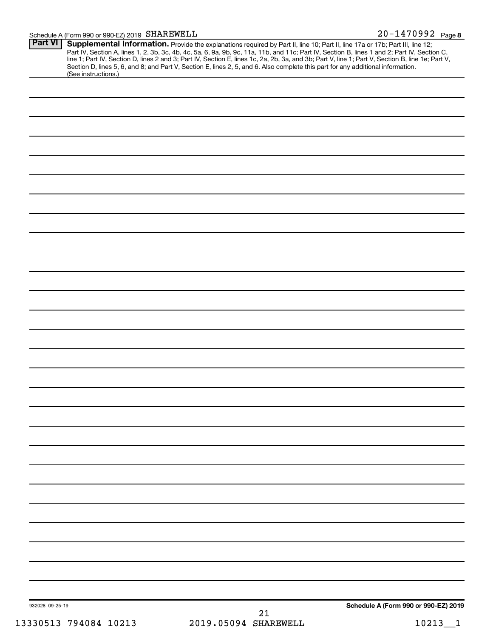# Schedule A (Form 990 or 990-EZ) 2019 SHAREWELL

| <b>Part VI</b><br>(See instructions.) |                            | <b>Supplemental Information.</b> Provide the explanations required by Part II, line 10; Part II, line 17a or 17b; Part III, line 12; Part IV, Section A, lines 1, 2, 3b, 3c, 4b, 4c, 5a, 6, 9a, 9b, 9c, 11a, 11b, and 11c; Part IV, |
|---------------------------------------|----------------------------|-------------------------------------------------------------------------------------------------------------------------------------------------------------------------------------------------------------------------------------|
|                                       |                            |                                                                                                                                                                                                                                     |
|                                       |                            |                                                                                                                                                                                                                                     |
|                                       |                            |                                                                                                                                                                                                                                     |
|                                       |                            |                                                                                                                                                                                                                                     |
|                                       |                            |                                                                                                                                                                                                                                     |
|                                       |                            |                                                                                                                                                                                                                                     |
|                                       |                            |                                                                                                                                                                                                                                     |
|                                       |                            |                                                                                                                                                                                                                                     |
|                                       |                            |                                                                                                                                                                                                                                     |
|                                       |                            |                                                                                                                                                                                                                                     |
|                                       |                            |                                                                                                                                                                                                                                     |
|                                       |                            |                                                                                                                                                                                                                                     |
|                                       |                            |                                                                                                                                                                                                                                     |
|                                       |                            |                                                                                                                                                                                                                                     |
|                                       |                            |                                                                                                                                                                                                                                     |
|                                       |                            |                                                                                                                                                                                                                                     |
|                                       |                            |                                                                                                                                                                                                                                     |
|                                       |                            |                                                                                                                                                                                                                                     |
|                                       |                            |                                                                                                                                                                                                                                     |
|                                       |                            |                                                                                                                                                                                                                                     |
|                                       |                            |                                                                                                                                                                                                                                     |
|                                       |                            |                                                                                                                                                                                                                                     |
|                                       |                            |                                                                                                                                                                                                                                     |
|                                       |                            |                                                                                                                                                                                                                                     |
|                                       |                            |                                                                                                                                                                                                                                     |
|                                       |                            |                                                                                                                                                                                                                                     |
|                                       |                            |                                                                                                                                                                                                                                     |
|                                       |                            |                                                                                                                                                                                                                                     |
|                                       |                            |                                                                                                                                                                                                                                     |
| 932028 09-25-19                       |                            | Schedule A (Form 990 or 990-EZ) 2019                                                                                                                                                                                                |
| 13330513 794084 10213                 | 21<br>2019.05094 SHAREWELL | $10213 - 1$                                                                                                                                                                                                                         |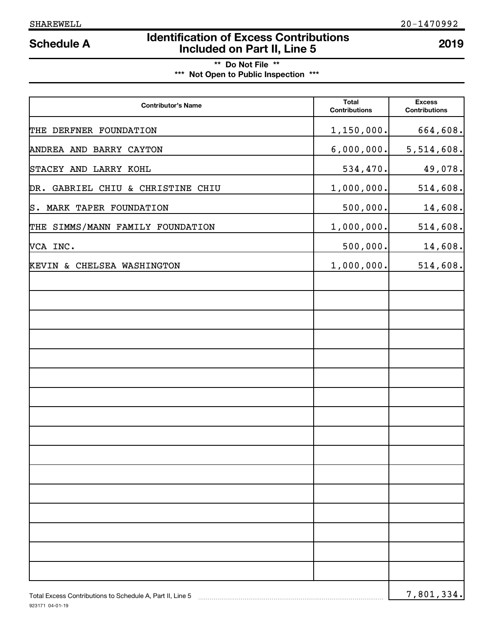# **Identification of Excess Contributions IDENTIFY Schedule A IDENTIFY Schedule A Included on Part II, Line 5 2019**

# **\*\* Do Not File \*\* \*\*\* Not Open to Public Inspection \*\*\***

| <b>Contributor's Name</b>         | <b>Total</b><br><b>Contributions</b> | <b>Excess</b><br><b>Contributions</b> |
|-----------------------------------|--------------------------------------|---------------------------------------|
| THE DERFNER FOUNDATION            | 1,150,000.                           | 664,608.                              |
| ANDREA AND BARRY CAYTON           | 6,000,000.                           | 5, 514, 608.                          |
| STACEY AND LARRY KOHL             | 534,470.                             | 49,078.                               |
| DR. GABRIEL CHIU & CHRISTINE CHIU | 1,000,000.                           | 514,608.                              |
| S. MARK TAPER FOUNDATION          | 500,000.                             | 14,608.                               |
| THE SIMMS/MANN FAMILY FOUNDATION  | 1,000,000.                           | 514,608.                              |
| VCA INC.                          | 500,000.                             | 14,608.                               |
| KEVIN & CHELSEA WASHINGTON        | 1,000,000.                           | 514,608.                              |
|                                   |                                      |                                       |
|                                   |                                      |                                       |
|                                   |                                      |                                       |
|                                   |                                      |                                       |
|                                   |                                      |                                       |
|                                   |                                      |                                       |
|                                   |                                      |                                       |
|                                   |                                      |                                       |
|                                   |                                      |                                       |
|                                   |                                      |                                       |
|                                   |                                      |                                       |
|                                   |                                      |                                       |
|                                   |                                      |                                       |
|                                   |                                      |                                       |
|                                   |                                      |                                       |
|                                   |                                      |                                       |
|                                   |                                      |                                       |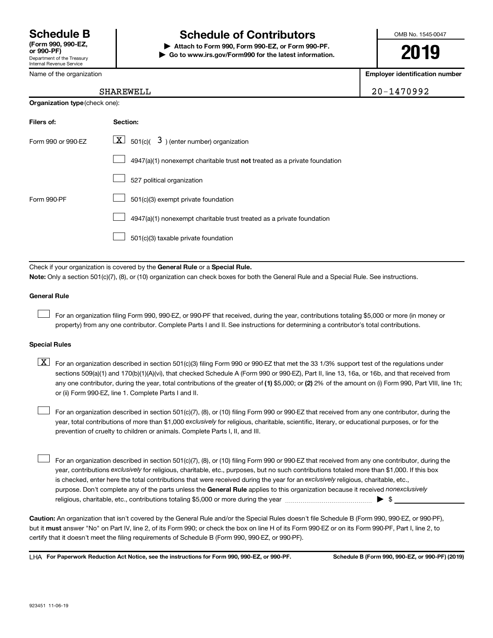Name of the organization

Internal Revenue Service

# **Schedule B Schedule of Contributors**

**or 990-PF) | Attach to Form 990, Form 990-EZ, or Form 990-PF. | Go to www.irs.gov/Form990 for the latest information.** OMB No. 1545-0047

**2019**

**Employer identification number**

| SHAREWELL | 20-1470992 |
|-----------|------------|

| <b>Organization type (check one):</b> |                                                                           |  |  |
|---------------------------------------|---------------------------------------------------------------------------|--|--|
| Filers of:                            | Section:                                                                  |  |  |
| Form 990 or 990-EZ                    | $\lfloor x \rfloor$ 501(c)( 3) (enter number) organization                |  |  |
|                                       | 4947(a)(1) nonexempt charitable trust not treated as a private foundation |  |  |
|                                       | 527 political organization                                                |  |  |
| Form 990-PF                           | 501(c)(3) exempt private foundation                                       |  |  |
|                                       | 4947(a)(1) nonexempt charitable trust treated as a private foundation     |  |  |
|                                       | 501(c)(3) taxable private foundation                                      |  |  |

Check if your organization is covered by the General Rule or a Special Rule.

**Note:**  Only a section 501(c)(7), (8), or (10) organization can check boxes for both the General Rule and a Special Rule. See instructions.

#### **General Rule**

 $\Box$ 

For an organization filing Form 990, 990-EZ, or 990-PF that received, during the year, contributions totaling \$5,000 or more (in money or property) from any one contributor. Complete Parts I and II. See instructions for determining a contributor's total contributions.

#### **Special Rules**

any one contributor, during the year, total contributions of the greater of (1) \$5,000; or (2) 2% of the amount on (i) Form 990, Part VIII, line 1h;  $\boxed{\text{X}}$  For an organization described in section 501(c)(3) filing Form 990 or 990-EZ that met the 33 1/3% support test of the regulations under sections 509(a)(1) and 170(b)(1)(A)(vi), that checked Schedule A (Form 990 or 990-EZ), Part II, line 13, 16a, or 16b, and that received from or (ii) Form 990-EZ, line 1. Complete Parts I and II.

year, total contributions of more than \$1,000 *exclusively* for religious, charitable, scientific, literary, or educational purposes, or for the For an organization described in section 501(c)(7), (8), or (10) filing Form 990 or 990-EZ that received from any one contributor, during the prevention of cruelty to children or animals. Complete Parts I, II, and III.  $\Box$ 

purpose. Don't complete any of the parts unless the General Rule applies to this organization because it received nonexclusively year, contributions exclusively for religious, charitable, etc., purposes, but no such contributions totaled more than \$1,000. If this box is checked, enter here the total contributions that were received during the year for an exclusively religious, charitable, etc., For an organization described in section 501(c)(7), (8), or (10) filing Form 990 or 990-EZ that received from any one contributor, during the religious, charitable, etc., contributions totaling \$5,000 or more during the year  $\ldots$  $\ldots$  $\ldots$  $\ldots$  $\ldots$  $\ldots$  $\Box$ 

**Caution:**  An organization that isn't covered by the General Rule and/or the Special Rules doesn't file Schedule B (Form 990, 990-EZ, or 990-PF),  **must** but it answer "No" on Part IV, line 2, of its Form 990; or check the box on line H of its Form 990-EZ or on its Form 990-PF, Part I, line 2, to certify that it doesn't meet the filing requirements of Schedule B (Form 990, 990-EZ, or 990-PF).

**For Paperwork Reduction Act Notice, see the instructions for Form 990, 990-EZ, or 990-PF. Schedule B (Form 990, 990-EZ, or 990-PF) (2019)** LHA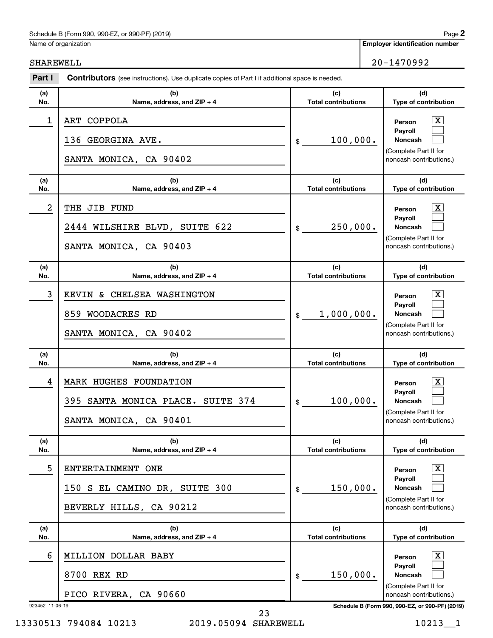#### Schedule B (Form 990, 990-EZ, or 990-PF) (2019)

Name of organization

**Employer identification number**

SHAREWELL 20-1470992

| (a)<br>No.           | (b)<br>Name, address, and ZIP + 4                                                     | (c)<br><b>Total contributions</b> | (d)<br>Type of contribution                                                                                                                            |
|----------------------|---------------------------------------------------------------------------------------|-----------------------------------|--------------------------------------------------------------------------------------------------------------------------------------------------------|
| 1                    | ART COPPOLA<br>136 GEORGINA AVE.<br>SANTA MONICA, CA 90402                            | 100,000.<br>$\frac{1}{2}$         | $\mathbf{X}$<br>Person<br>Payroll<br>Noncash<br>(Complete Part II for<br>noncash contributions.)                                                       |
| (a)<br>No.           | (b)<br>Name, address, and ZIP + 4                                                     | (c)<br><b>Total contributions</b> | (d)<br>Type of contribution                                                                                                                            |
| $\boldsymbol{2}$     | THE JIB FUND<br>2444 WILSHIRE BLVD, SUITE 622<br>SANTA MONICA, CA 90403               | 250,000.<br>$\frac{1}{2}$         | $\overline{\text{X}}$<br>Person<br>Payroll<br>Noncash<br>(Complete Part II for<br>noncash contributions.)                                              |
| (a)<br>No.           | (b)<br>Name, address, and ZIP + 4                                                     | (c)<br><b>Total contributions</b> | (d)<br>Type of contribution                                                                                                                            |
| 3                    | KEVIN & CHELSEA WASHINGTON<br>859 WOODACRES RD<br>SANTA MONICA, CA 90402              | 1,000,000.<br>$\frac{1}{2}$       | $\overline{\text{X}}$<br>Person<br>Payroll<br><b>Noncash</b><br>(Complete Part II for<br>noncash contributions.)                                       |
| (a)<br>No.           | (b)<br>Name, address, and ZIP + 4                                                     | (c)<br><b>Total contributions</b> | (d)<br>Type of contribution                                                                                                                            |
| 4                    | MARK HUGHES FOUNDATION<br>395 SANTA MONICA PLACE. SUITE 374<br>SANTA MONICA, CA 90401 | 100,000.<br>$\frac{1}{2}$         | $\overline{\text{X}}$<br>Person<br>Payroll<br><b>Noncash</b><br>(Complete Part II for<br>noncash contributions.)                                       |
| (a)<br>No.           | (b)<br>Name, address, and ZIP + 4                                                     | (c)<br><b>Total contributions</b> | (d)<br>Type of contribution                                                                                                                            |
| 5                    | ENTERTAINMENT ONE<br>150 S EL CAMINO DR, SUITE 300<br>BEVERLY HILLS, CA 90212         | 150,000.<br>\$                    | <u>x</u><br>Person<br>Payroll<br><b>Noncash</b><br>(Complete Part II for<br>noncash contributions.)                                                    |
| (a)<br>No.           | (b)<br>Name, address, and ZIP + 4                                                     | (c)<br><b>Total contributions</b> | (d)<br>Type of contribution                                                                                                                            |
| 6<br>923452 11-06-19 | MILLION DOLLAR BABY<br>8700 REX RD<br>PICO RIVERA, CA 90660                           | 150,000.<br>\$                    | <u>x</u><br>Person<br>Payroll<br><b>Noncash</b><br>(Complete Part II for<br>noncash contributions.)<br>Schedule B (Form 990, 990-EZ, or 990-PF) (2019) |

13330513 794084 10213 2019.05094 SHAREWELL 10213\_1

23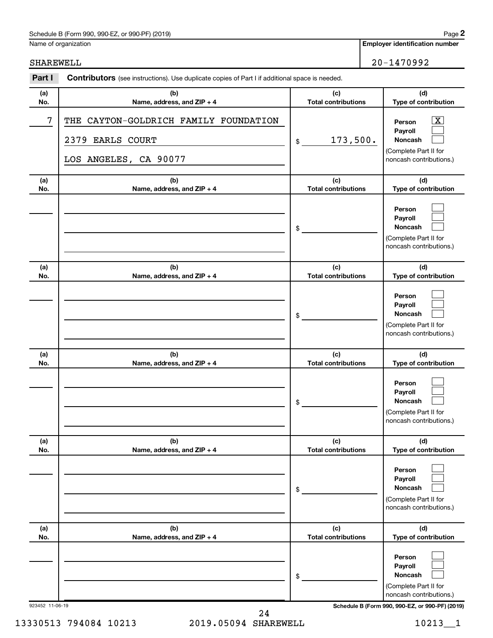### Schedule B (Form 990, 990-EZ, or 990-PF) (2019)

Name of organization

SHAREWELL 20-1470992

| Part I          | <b>Contributors</b> (see instructions). Use duplicate copies of Part I if additional space is needed. |                                   |                                                                                                                                     |
|-----------------|-------------------------------------------------------------------------------------------------------|-----------------------------------|-------------------------------------------------------------------------------------------------------------------------------------|
| (a)<br>No.      | (b)<br>Name, address, and ZIP + 4                                                                     | (c)<br><b>Total contributions</b> | (d)<br>Type of contribution                                                                                                         |
| 7               | THE CAYTON-GOLDRICH FAMILY FOUNDATION<br>2379 EARLS COURT<br>LOS ANGELES, CA 90077                    | 173,500.<br>$\$$                  | $\overline{\texttt{X}}$<br>Person<br>Payroll<br>Noncash<br>(Complete Part II for<br>noncash contributions.)                         |
| (a)<br>No.      | (b)<br>Name, address, and ZIP + 4                                                                     | (c)<br><b>Total contributions</b> | (d)<br>Type of contribution                                                                                                         |
|                 |                                                                                                       | \$                                | Person<br>Payroll<br>Noncash<br>(Complete Part II for<br>noncash contributions.)                                                    |
| (a)<br>No.      | (b)<br>Name, address, and ZIP + 4                                                                     | (c)<br><b>Total contributions</b> | (d)<br>Type of contribution                                                                                                         |
|                 |                                                                                                       | \$                                | Person<br>Payroll<br>Noncash<br>(Complete Part II for<br>noncash contributions.)                                                    |
| (a)<br>No.      | (b)<br>Name, address, and ZIP + 4                                                                     | (c)<br><b>Total contributions</b> | (d)<br>Type of contribution                                                                                                         |
|                 |                                                                                                       | \$                                | Person<br>Payroll<br>Noncash<br>(Complete Part II for<br>noncash contributions.)                                                    |
| (a)<br>No.      | (b)<br>Name, address, and ZIP + 4                                                                     | (c)<br><b>Total contributions</b> | (d)<br>Type of contribution                                                                                                         |
|                 |                                                                                                       | \$                                | Person<br>Payroll<br>Noncash<br>(Complete Part II for<br>noncash contributions.)                                                    |
| (a)<br>No.      | (b)<br>Name, address, and ZIP + 4                                                                     | (c)<br><b>Total contributions</b> | (d)<br>Type of contribution                                                                                                         |
| 923452 11-06-19 |                                                                                                       | \$                                | Person<br>Payroll<br>Noncash<br>(Complete Part II for<br>noncash contributions.)<br>Schedule B (Form 990, 990-EZ, or 990-PF) (2019) |

13330513 794084 10213 2019.05094 SHAREWELL 10213\_1 24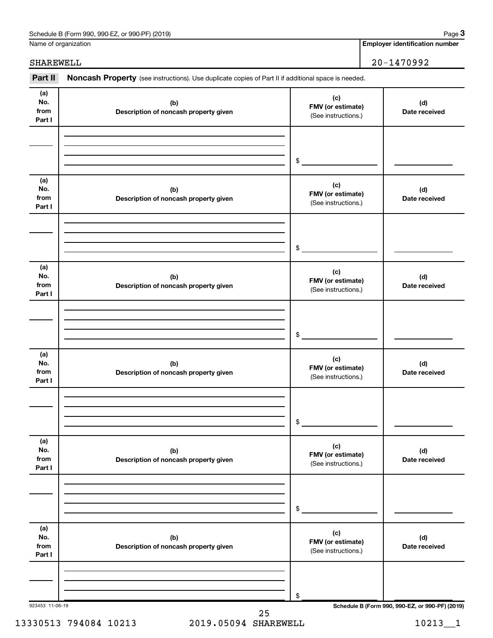| Schedule B (Form 990, 990-EZ, or 990-PF) (2019) | Page |
|-------------------------------------------------|------|
|-------------------------------------------------|------|

Name of organization

# SHAREWELL 20-1470992

Part II Noncash Property (see instructions). Use duplicate copies of Part II if additional space is needed.

| (a)<br>(c)<br>No.<br>(b)<br>(d)<br>FMV (or estimate)<br>from<br>Description of noncash property given<br>Date received<br>(See instructions.)<br>Part I<br>\$<br>(a)<br>(c)<br>No.<br>(b)<br>(d)<br>FMV (or estimate)<br>from<br>Description of noncash property given<br>Date received<br>(See instructions.)<br>Part I<br>\$<br>(a)<br>(c)<br>No.<br>(b)<br>(d)<br>FMV (or estimate)<br>from<br>Description of noncash property given<br>Date received<br>(See instructions.)<br>Part I<br>$$\mathbb{S}$$<br>(a)<br>(c)<br>No.<br>(b)<br>(d)<br>FMV (or estimate)<br>from<br>Description of noncash property given<br>Date received<br>(See instructions.)<br>Part I<br>$\$$<br>(a)<br>(c)<br>No.<br>(b)<br>(d)<br>FMV (or estimate)<br>from<br>Description of noncash property given<br>Date received<br>(See instructions.)<br>Part I<br>$\,$<br>(a)<br>(c)<br>No.<br>(b)<br>(d)<br>FMV (or estimate)<br>from<br>Description of noncash property given<br>Date received<br>(See instructions.)<br>Part I |  |    |
|--------------------------------------------------------------------------------------------------------------------------------------------------------------------------------------------------------------------------------------------------------------------------------------------------------------------------------------------------------------------------------------------------------------------------------------------------------------------------------------------------------------------------------------------------------------------------------------------------------------------------------------------------------------------------------------------------------------------------------------------------------------------------------------------------------------------------------------------------------------------------------------------------------------------------------------------------------------------------------------------------------------|--|----|
|                                                                                                                                                                                                                                                                                                                                                                                                                                                                                                                                                                                                                                                                                                                                                                                                                                                                                                                                                                                                              |  |    |
|                                                                                                                                                                                                                                                                                                                                                                                                                                                                                                                                                                                                                                                                                                                                                                                                                                                                                                                                                                                                              |  |    |
|                                                                                                                                                                                                                                                                                                                                                                                                                                                                                                                                                                                                                                                                                                                                                                                                                                                                                                                                                                                                              |  |    |
|                                                                                                                                                                                                                                                                                                                                                                                                                                                                                                                                                                                                                                                                                                                                                                                                                                                                                                                                                                                                              |  |    |
|                                                                                                                                                                                                                                                                                                                                                                                                                                                                                                                                                                                                                                                                                                                                                                                                                                                                                                                                                                                                              |  |    |
|                                                                                                                                                                                                                                                                                                                                                                                                                                                                                                                                                                                                                                                                                                                                                                                                                                                                                                                                                                                                              |  |    |
|                                                                                                                                                                                                                                                                                                                                                                                                                                                                                                                                                                                                                                                                                                                                                                                                                                                                                                                                                                                                              |  |    |
|                                                                                                                                                                                                                                                                                                                                                                                                                                                                                                                                                                                                                                                                                                                                                                                                                                                                                                                                                                                                              |  |    |
|                                                                                                                                                                                                                                                                                                                                                                                                                                                                                                                                                                                                                                                                                                                                                                                                                                                                                                                                                                                                              |  |    |
|                                                                                                                                                                                                                                                                                                                                                                                                                                                                                                                                                                                                                                                                                                                                                                                                                                                                                                                                                                                                              |  |    |
|                                                                                                                                                                                                                                                                                                                                                                                                                                                                                                                                                                                                                                                                                                                                                                                                                                                                                                                                                                                                              |  |    |
| Schedule B (Form 990, 990-EZ, or 990-PF) (2019)<br>923453 11-06-19                                                                                                                                                                                                                                                                                                                                                                                                                                                                                                                                                                                                                                                                                                                                                                                                                                                                                                                                           |  | \$ |

13330513 794084 10213 2019.05094 SHAREWELL 10213\_1 25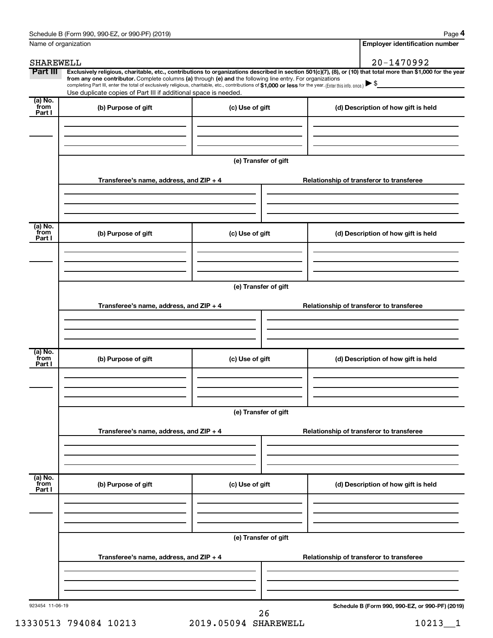| Schedule B (Form 990, 990-EZ, or 990-PF) (2019) | Page |
|-------------------------------------------------|------|
|-------------------------------------------------|------|

**4**

| Name of organization        |                                                                                                                                                                                                                                                                                                                                                                                                                                                                                                                                   |                      |                                          | <b>Employer identification number</b>           |
|-----------------------------|-----------------------------------------------------------------------------------------------------------------------------------------------------------------------------------------------------------------------------------------------------------------------------------------------------------------------------------------------------------------------------------------------------------------------------------------------------------------------------------------------------------------------------------|----------------------|------------------------------------------|-------------------------------------------------|
| SHAREWELL                   |                                                                                                                                                                                                                                                                                                                                                                                                                                                                                                                                   |                      |                                          | 20-1470992                                      |
| Part III                    | Exclusively religious, charitable, etc., contributions to organizations described in section 501(c)(7), (8), or (10) that total more than \$1,000 for the year<br>from any one contributor. Complete columns (a) through (e) and the following line entry. For organizations<br>completing Part III, enter the total of exclusively religious, charitable, etc., contributions of \$1,000 or less for the year. (Enter this info. once.) $\blacktriangleright$<br>Use duplicate copies of Part III if additional space is needed. |                      |                                          | <u> 1980 - Jan James James III, primeiran</u>   |
| $(a)$ No.<br>from<br>Part I | (b) Purpose of gift                                                                                                                                                                                                                                                                                                                                                                                                                                                                                                               | (c) Use of gift      |                                          | (d) Description of how gift is held             |
|                             |                                                                                                                                                                                                                                                                                                                                                                                                                                                                                                                                   |                      |                                          |                                                 |
|                             |                                                                                                                                                                                                                                                                                                                                                                                                                                                                                                                                   | (e) Transfer of gift |                                          |                                                 |
|                             | Transferee's name, address, and ZIP + 4                                                                                                                                                                                                                                                                                                                                                                                                                                                                                           |                      |                                          | Relationship of transferor to transferee        |
| $(a)$ No.<br>from           | (b) Purpose of gift                                                                                                                                                                                                                                                                                                                                                                                                                                                                                                               | (c) Use of gift      |                                          | (d) Description of how gift is held             |
| Part I                      |                                                                                                                                                                                                                                                                                                                                                                                                                                                                                                                                   |                      |                                          |                                                 |
|                             |                                                                                                                                                                                                                                                                                                                                                                                                                                                                                                                                   | (e) Transfer of gift |                                          |                                                 |
|                             | Transferee's name, address, and ZIP + 4                                                                                                                                                                                                                                                                                                                                                                                                                                                                                           |                      |                                          | Relationship of transferor to transferee        |
| $(a)$ No.                   |                                                                                                                                                                                                                                                                                                                                                                                                                                                                                                                                   |                      |                                          |                                                 |
| from<br>Part I              | (b) Purpose of gift                                                                                                                                                                                                                                                                                                                                                                                                                                                                                                               | (c) Use of gift      |                                          | (d) Description of how gift is held             |
|                             |                                                                                                                                                                                                                                                                                                                                                                                                                                                                                                                                   | (e) Transfer of gift |                                          |                                                 |
|                             | Transferee's name, address, and ZIP + 4                                                                                                                                                                                                                                                                                                                                                                                                                                                                                           |                      | Relationship of transferor to transferee |                                                 |
|                             |                                                                                                                                                                                                                                                                                                                                                                                                                                                                                                                                   |                      |                                          |                                                 |
| (a) No.<br>from<br>Part I   | (b) Purpose of gift                                                                                                                                                                                                                                                                                                                                                                                                                                                                                                               | (c) Use of gift      |                                          | (d) Description of how gift is held             |
|                             |                                                                                                                                                                                                                                                                                                                                                                                                                                                                                                                                   |                      |                                          |                                                 |
|                             | (e) Transfer of gift                                                                                                                                                                                                                                                                                                                                                                                                                                                                                                              |                      |                                          |                                                 |
|                             | Transferee's name, address, and ZIP + 4                                                                                                                                                                                                                                                                                                                                                                                                                                                                                           |                      |                                          | Relationship of transferor to transferee        |
|                             |                                                                                                                                                                                                                                                                                                                                                                                                                                                                                                                                   |                      |                                          |                                                 |
| 923454 11-06-19             |                                                                                                                                                                                                                                                                                                                                                                                                                                                                                                                                   | 26                   |                                          | Schedule B (Form 990, 990-EZ, or 990-PF) (2019) |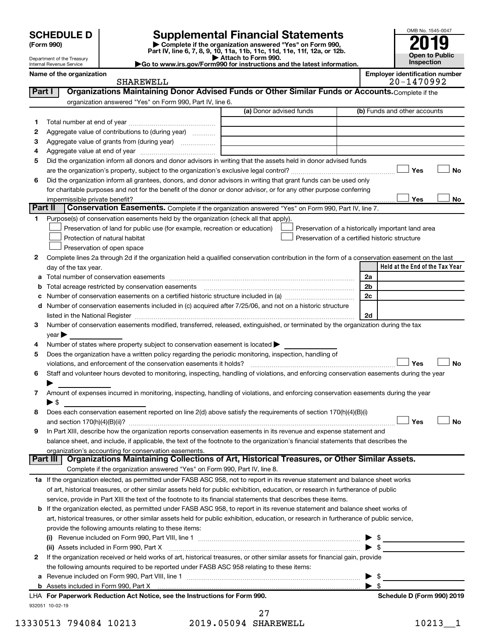Department of the Treasury Internal Revenue Service

| (Form 990) |  |
|------------|--|
|------------|--|

# **SCHEDULE D Supplemental Financial Statements**<br> **Form 990 2019**<br> **Part IV** line 6.7.8.9.10, 11a, 11b, 11d, 11d, 11d, 11d, 11d, 12a, 0r, 12b

**(Form 990) | Complete if the organization answered "Yes" on Form 990, Part IV, line 6, 7, 8, 9, 10, 11a, 11b, 11c, 11d, 11e, 11f, 12a, or 12b.**

**| Attach to Form 990. |Go to www.irs.gov/Form990 for instructions and the latest information.**



| Name of the organizatio |  |  |
|-------------------------|--|--|
|                         |  |  |

SHAREWELL 20-1470992

| Name of the organization | <b>Emplover identification number</b> |
|--------------------------|---------------------------------------|
| ATI2DHTI1                | 1170000<br>ົົ                         |

| Part I  | Organizations Maintaining Donor Advised Funds or Other Similar Funds or Accounts. Complete if the                                              |                         |                                                    |
|---------|------------------------------------------------------------------------------------------------------------------------------------------------|-------------------------|----------------------------------------------------|
|         | organization answered "Yes" on Form 990, Part IV, line 6.                                                                                      |                         |                                                    |
|         |                                                                                                                                                | (a) Donor advised funds | (b) Funds and other accounts                       |
| 1       |                                                                                                                                                |                         |                                                    |
| 2       | Aggregate value of contributions to (during year)                                                                                              |                         |                                                    |
| з       | Aggregate value of grants from (during year)                                                                                                   |                         |                                                    |
| 4       |                                                                                                                                                |                         |                                                    |
| 5       | Did the organization inform all donors and donor advisors in writing that the assets held in donor advised funds                               |                         |                                                    |
|         |                                                                                                                                                |                         | Yes<br>No                                          |
| 6       | Did the organization inform all grantees, donors, and donor advisors in writing that grant funds can be used only                              |                         |                                                    |
|         | for charitable purposes and not for the benefit of the donor or donor advisor, or for any other purpose conferring                             |                         |                                                    |
|         | impermissible private benefit?                                                                                                                 |                         | Yes<br>No                                          |
| Part II | Conservation Easements. Complete if the organization answered "Yes" on Form 990, Part IV, line 7.                                              |                         |                                                    |
| 1.      | Purpose(s) of conservation easements held by the organization (check all that apply).                                                          |                         |                                                    |
|         | Preservation of land for public use (for example, recreation or education)                                                                     |                         | Preservation of a historically important land area |
|         | Protection of natural habitat                                                                                                                  |                         | Preservation of a certified historic structure     |
|         | Preservation of open space                                                                                                                     |                         |                                                    |
| 2       | Complete lines 2a through 2d if the organization held a qualified conservation contribution in the form of a conservation easement on the last |                         |                                                    |
|         | day of the tax year.                                                                                                                           |                         | Held at the End of the Tax Year                    |
|         |                                                                                                                                                |                         | 2a                                                 |
|         | Total acreage restricted by conservation easements                                                                                             |                         | 2 <sub>b</sub>                                     |
|         |                                                                                                                                                |                         | 2c                                                 |
|         | d Number of conservation easements included in (c) acquired after 7/25/06, and not on a historic structure                                     |                         |                                                    |
|         | listed in the National Register [111] [12] The Marian Marian Marian Marian Marian Marian Marian Marian Marian M                                |                         | 2d                                                 |
| 3       | Number of conservation easements modified, transferred, released, extinguished, or terminated by the organization during the tax               |                         |                                                    |
|         | $year \triangleright$                                                                                                                          |                         |                                                    |
| 4       | Number of states where property subject to conservation easement is located >                                                                  |                         |                                                    |
| 5       | Does the organization have a written policy regarding the periodic monitoring, inspection, handling of                                         |                         |                                                    |
|         | violations, and enforcement of the conservation easements it holds?                                                                            |                         | <b>No</b><br>Yes                                   |
| 6       | Staff and volunteer hours devoted to monitoring, inspecting, handling of violations, and enforcing conservation easements during the year      |                         |                                                    |
|         | Amount of expenses incurred in monitoring, inspecting, handling of violations, and enforcing conservation easements during the year            |                         |                                                    |
| 7       | ► \$                                                                                                                                           |                         |                                                    |
| 8       | Does each conservation easement reported on line 2(d) above satisfy the requirements of section 170(h)(4)(B)(i)                                |                         |                                                    |
|         |                                                                                                                                                |                         | Yes<br><b>No</b>                                   |
| 9       | In Part XIII, describe how the organization reports conservation easements in its revenue and expense statement and                            |                         |                                                    |
|         | balance sheet, and include, if applicable, the text of the footnote to the organization's financial statements that describes the              |                         |                                                    |
|         | organization's accounting for conservation easements.                                                                                          |                         |                                                    |
|         | Organizations Maintaining Collections of Art, Historical Treasures, or Other Similar Assets.<br><b>Part III</b>                                |                         |                                                    |
|         | Complete if the organization answered "Yes" on Form 990, Part IV, line 8.                                                                      |                         |                                                    |
|         | 1a If the organization elected, as permitted under FASB ASC 958, not to report in its revenue statement and balance sheet works                |                         |                                                    |
|         | of art, historical treasures, or other similar assets held for public exhibition, education, or research in furtherance of public              |                         |                                                    |
|         | service, provide in Part XIII the text of the footnote to its financial statements that describes these items.                                 |                         |                                                    |
|         | <b>b</b> If the organization elected, as permitted under FASB ASC 958, to report in its revenue statement and balance sheet works of           |                         |                                                    |
|         | art, historical treasures, or other similar assets held for public exhibition, education, or research in furtherance of public service,        |                         |                                                    |
|         | provide the following amounts relating to these items:                                                                                         |                         |                                                    |
|         |                                                                                                                                                |                         | \$<br>▶                                            |
|         | (ii) Assets included in Form 990, Part X                                                                                                       |                         | $\blacktriangleright$ s                            |
| 2       | If the organization received or held works of art, historical treasures, or other similar assets for financial gain, provide                   |                         |                                                    |
|         | the following amounts required to be reported under FASB ASC 958 relating to these items:                                                      |                         |                                                    |
|         |                                                                                                                                                |                         | \$<br>▶                                            |
|         |                                                                                                                                                |                         | $\blacktriangleright$ \$                           |
|         | LHA For Paperwork Reduction Act Notice, see the Instructions for Form 990.                                                                     |                         | Schedule D (Form 990) 2019                         |
|         | 932051 10-02-19                                                                                                                                |                         |                                                    |

| 13330513 794084 10213 | 2019.05094 SHAREWELL | 10213 |  |
|-----------------------|----------------------|-------|--|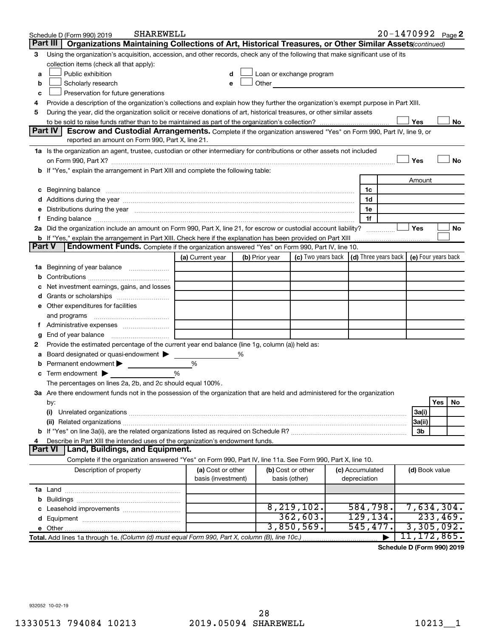|               | <b>SHAREWELL</b><br>Schedule D (Form 990) 2019                                                                                                                                                                                 |                                         |   |                |                                                                             |  |                                 | 20-1470992 Page 2 |                |          |    |
|---------------|--------------------------------------------------------------------------------------------------------------------------------------------------------------------------------------------------------------------------------|-----------------------------------------|---|----------------|-----------------------------------------------------------------------------|--|---------------------------------|-------------------|----------------|----------|----|
|               | Part III<br>Organizations Maintaining Collections of Art, Historical Treasures, or Other Similar Assets (continued)                                                                                                            |                                         |   |                |                                                                             |  |                                 |                   |                |          |    |
| 3             | Using the organization's acquisition, accession, and other records, check any of the following that make significant use of its                                                                                                |                                         |   |                |                                                                             |  |                                 |                   |                |          |    |
|               | collection items (check all that apply):                                                                                                                                                                                       |                                         |   |                |                                                                             |  |                                 |                   |                |          |    |
| a             | Public exhibition                                                                                                                                                                                                              | d                                       |   |                | Loan or exchange program                                                    |  |                                 |                   |                |          |    |
| b             | Scholarly research                                                                                                                                                                                                             |                                         |   | Other          |                                                                             |  |                                 |                   |                |          |    |
| с             | Preservation for future generations                                                                                                                                                                                            |                                         |   |                |                                                                             |  |                                 |                   |                |          |    |
| 4             | Provide a description of the organization's collections and explain how they further the organization's exempt purpose in Part XIII.                                                                                           |                                         |   |                |                                                                             |  |                                 |                   |                |          |    |
| 5             | During the year, did the organization solicit or receive donations of art, historical treasures, or other similar assets                                                                                                       |                                         |   |                |                                                                             |  |                                 |                   |                |          |    |
|               |                                                                                                                                                                                                                                |                                         |   |                |                                                                             |  |                                 |                   | Yes            |          | No |
|               | Part IV I<br><b>Escrow and Custodial Arrangements.</b> Complete if the organization answered "Yes" on Form 990, Part IV, line 9, or<br>reported an amount on Form 990, Part X, line 21.                                        |                                         |   |                |                                                                             |  |                                 |                   |                |          |    |
|               |                                                                                                                                                                                                                                |                                         |   |                |                                                                             |  |                                 |                   |                |          |    |
|               | 1a Is the organization an agent, trustee, custodian or other intermediary for contributions or other assets not included                                                                                                       |                                         |   |                |                                                                             |  |                                 |                   | Yes            |          | No |
|               | b If "Yes," explain the arrangement in Part XIII and complete the following table:                                                                                                                                             |                                         |   |                |                                                                             |  |                                 |                   |                |          |    |
|               |                                                                                                                                                                                                                                |                                         |   |                |                                                                             |  |                                 |                   | Amount         |          |    |
|               |                                                                                                                                                                                                                                |                                         |   |                |                                                                             |  | 1c                              |                   |                |          |    |
|               |                                                                                                                                                                                                                                |                                         |   |                |                                                                             |  | 1d                              |                   |                |          |    |
|               | e Distributions during the year measurement contained and all the control of the set of the set of the set of the set of the set of the set of the set of the set of the set of the set of the set of the set of the set of th |                                         |   |                |                                                                             |  | 1e                              |                   |                |          |    |
|               |                                                                                                                                                                                                                                |                                         |   |                |                                                                             |  | 1f                              |                   |                |          |    |
|               | 2a Did the organization include an amount on Form 990, Part X, line 21, for escrow or custodial account liability?                                                                                                             |                                         |   |                |                                                                             |  |                                 |                   | Yes            |          | No |
|               | <b>b</b> If "Yes," explain the arrangement in Part XIII. Check here if the explanation has been provided on Part XIII                                                                                                          |                                         |   |                |                                                                             |  |                                 |                   |                |          |    |
| <b>Part V</b> | Endowment Funds. Complete if the organization answered "Yes" on Form 990, Part IV, line 10.                                                                                                                                    |                                         |   |                |                                                                             |  |                                 |                   |                |          |    |
|               |                                                                                                                                                                                                                                | (a) Current year                        |   | (b) Prior year | (c) Two years back $\vert$ (d) Three years back $\vert$ (e) Four years back |  |                                 |                   |                |          |    |
|               | 1a Beginning of year balance                                                                                                                                                                                                   |                                         |   |                |                                                                             |  |                                 |                   |                |          |    |
| b             |                                                                                                                                                                                                                                |                                         |   |                |                                                                             |  |                                 |                   |                |          |    |
| с             | Net investment earnings, gains, and losses                                                                                                                                                                                     |                                         |   |                |                                                                             |  |                                 |                   |                |          |    |
|               |                                                                                                                                                                                                                                |                                         |   |                |                                                                             |  |                                 |                   |                |          |    |
|               | e Other expenditures for facilities                                                                                                                                                                                            |                                         |   |                |                                                                             |  |                                 |                   |                |          |    |
|               | and programs                                                                                                                                                                                                                   |                                         |   |                |                                                                             |  |                                 |                   |                |          |    |
|               |                                                                                                                                                                                                                                |                                         |   |                |                                                                             |  |                                 |                   |                |          |    |
| g             |                                                                                                                                                                                                                                |                                         |   |                |                                                                             |  |                                 |                   |                |          |    |
| 2             | Provide the estimated percentage of the current year end balance (line 1g, column (a)) held as:                                                                                                                                |                                         |   |                |                                                                             |  |                                 |                   |                |          |    |
| а             | Board designated or quasi-endowment                                                                                                                                                                                            |                                         | % |                |                                                                             |  |                                 |                   |                |          |    |
| b             | Permanent endowment                                                                                                                                                                                                            | %                                       |   |                |                                                                             |  |                                 |                   |                |          |    |
|               | <b>c</b> Term endowment $\blacktriangleright$                                                                                                                                                                                  | $\frac{0}{0}$                           |   |                |                                                                             |  |                                 |                   |                |          |    |
|               | The percentages on lines 2a, 2b, and 2c should equal 100%.                                                                                                                                                                     |                                         |   |                |                                                                             |  |                                 |                   |                |          |    |
|               | 3a Are there endowment funds not in the possession of the organization that are held and administered for the organization                                                                                                     |                                         |   |                |                                                                             |  |                                 |                   |                |          |    |
|               | by:                                                                                                                                                                                                                            |                                         |   |                |                                                                             |  |                                 |                   |                | Yes      | No |
|               | (i)                                                                                                                                                                                                                            |                                         |   |                |                                                                             |  |                                 |                   | 3a(i)          |          |    |
|               |                                                                                                                                                                                                                                |                                         |   |                |                                                                             |  |                                 |                   | 3a(ii)         |          |    |
|               |                                                                                                                                                                                                                                |                                         |   |                |                                                                             |  |                                 |                   | 3b             |          |    |
| 4             | Describe in Part XIII the intended uses of the organization's endowment funds.                                                                                                                                                 |                                         |   |                |                                                                             |  |                                 |                   |                |          |    |
|               | <b>Land, Buildings, and Equipment.</b><br><b>Part VI</b>                                                                                                                                                                       |                                         |   |                |                                                                             |  |                                 |                   |                |          |    |
|               | Complete if the organization answered "Yes" on Form 990, Part IV, line 11a. See Form 990, Part X, line 10.                                                                                                                     |                                         |   |                |                                                                             |  |                                 |                   |                |          |    |
|               | Description of property                                                                                                                                                                                                        | (a) Cost or other<br>basis (investment) |   | basis (other)  | (b) Cost or other                                                           |  | (c) Accumulated<br>depreciation |                   | (d) Book value |          |    |
|               |                                                                                                                                                                                                                                |                                         |   |                |                                                                             |  |                                 |                   |                |          |    |
|               |                                                                                                                                                                                                                                |                                         |   |                |                                                                             |  |                                 |                   |                |          |    |
|               |                                                                                                                                                                                                                                |                                         |   |                | 8, 219, 102.                                                                |  | 584,798.                        |                   | 7,634,304.     |          |    |
|               |                                                                                                                                                                                                                                |                                         |   |                | 362,603.                                                                    |  | 129, 134.                       |                   |                | 233,469. |    |
|               |                                                                                                                                                                                                                                |                                         |   |                | 3,850,569.                                                                  |  | 545,477.                        |                   | 3,305,092.     |          |    |
|               | Total. Add lines 1a through 1e. (Column (d) must equal Form 990, Part X, column (B), line 10c.)                                                                                                                                |                                         |   |                |                                                                             |  |                                 |                   | 11, 172, 865.  |          |    |

**Schedule D (Form 990) 2019**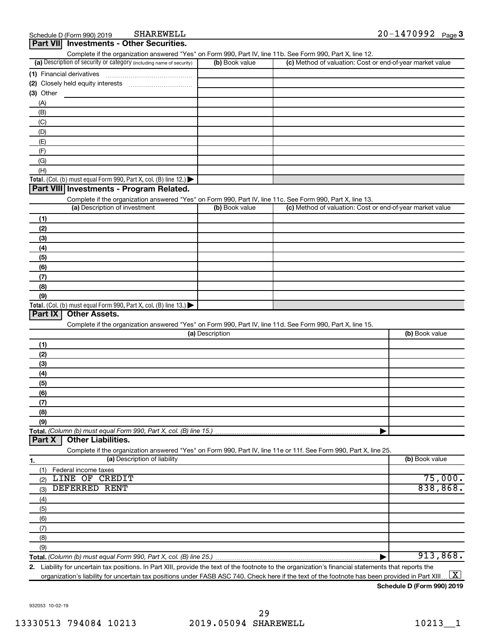**Part VII Investments - Other Securities.**

|             | Complete if the organization answered "Yes" on Form 990, Part IV, line 11b. See Form 990, Part X, line 12.        |                 |                                                           |                     |
|-------------|-------------------------------------------------------------------------------------------------------------------|-----------------|-----------------------------------------------------------|---------------------|
|             | (a) Description of security or category (including name of security)                                              | (b) Book value  | (c) Method of valuation: Cost or end-of-year market value |                     |
|             | (1) Financial derivatives                                                                                         |                 |                                                           |                     |
|             |                                                                                                                   |                 |                                                           |                     |
| $(3)$ Other |                                                                                                                   |                 |                                                           |                     |
| (A)         |                                                                                                                   |                 |                                                           |                     |
| (B)         |                                                                                                                   |                 |                                                           |                     |
| (C)         |                                                                                                                   |                 |                                                           |                     |
| (D)         |                                                                                                                   |                 |                                                           |                     |
| (E)         |                                                                                                                   |                 |                                                           |                     |
| (F)         |                                                                                                                   |                 |                                                           |                     |
|             |                                                                                                                   |                 |                                                           |                     |
| (G)         |                                                                                                                   |                 |                                                           |                     |
| (H)         |                                                                                                                   |                 |                                                           |                     |
|             | Total. (Col. (b) must equal Form 990, Part X, col. (B) line 12.)                                                  |                 |                                                           |                     |
|             | Part VIII Investments - Program Related.                                                                          |                 |                                                           |                     |
|             | Complete if the organization answered "Yes" on Form 990, Part IV, line 11c. See Form 990, Part X, line 13.        |                 |                                                           |                     |
|             | (a) Description of investment                                                                                     | (b) Book value  | (c) Method of valuation: Cost or end-of-year market value |                     |
| (1)         |                                                                                                                   |                 |                                                           |                     |
| (2)         |                                                                                                                   |                 |                                                           |                     |
| (3)         |                                                                                                                   |                 |                                                           |                     |
| (4)         |                                                                                                                   |                 |                                                           |                     |
| (5)         |                                                                                                                   |                 |                                                           |                     |
| (6)         |                                                                                                                   |                 |                                                           |                     |
| (7)         |                                                                                                                   |                 |                                                           |                     |
| (8)         |                                                                                                                   |                 |                                                           |                     |
| (9)         |                                                                                                                   |                 |                                                           |                     |
|             | Total. (Col. (b) must equal Form 990, Part X, col. (B) line 13.)                                                  |                 |                                                           |                     |
| Part IX     | <b>Other Assets.</b>                                                                                              |                 |                                                           |                     |
|             | Complete if the organization answered "Yes" on Form 990, Part IV, line 11d. See Form 990, Part X, line 15.        |                 |                                                           |                     |
|             |                                                                                                                   | (a) Description |                                                           | (b) Book value      |
|             |                                                                                                                   |                 |                                                           |                     |
| (1)         |                                                                                                                   |                 |                                                           |                     |
| (2)         |                                                                                                                   |                 |                                                           |                     |
| (3)         |                                                                                                                   |                 |                                                           |                     |
| (4)         |                                                                                                                   |                 |                                                           |                     |
| (5)         |                                                                                                                   |                 |                                                           |                     |
| (6)         |                                                                                                                   |                 |                                                           |                     |
| (7)         |                                                                                                                   |                 |                                                           |                     |
| (8)         |                                                                                                                   |                 |                                                           |                     |
| (9)         |                                                                                                                   |                 |                                                           |                     |
|             | Total. (Column (b) must equal Form 990, Part X, col. (B) line 15.)                                                |                 |                                                           |                     |
| Part X      | <b>Other Liabilities.</b>                                                                                         |                 |                                                           |                     |
|             |                                                                                                                   |                 |                                                           |                     |
|             |                                                                                                                   |                 |                                                           |                     |
|             | Complete if the organization answered "Yes" on Form 990, Part IV, line 11e or 11f. See Form 990, Part X, line 25. |                 |                                                           |                     |
| 1.          | (a) Description of liability                                                                                      |                 |                                                           | (b) Book value      |
| (1)         | Federal income taxes                                                                                              |                 |                                                           |                     |
| (2)         | LINE OF CREDIT                                                                                                    |                 |                                                           |                     |
| (3)         | <b>DEFERRED RENT</b>                                                                                              |                 |                                                           |                     |
| (4)         |                                                                                                                   |                 |                                                           |                     |
| (5)         |                                                                                                                   |                 |                                                           |                     |
| (6)         |                                                                                                                   |                 |                                                           |                     |
| (7)         |                                                                                                                   |                 |                                                           |                     |
|             |                                                                                                                   |                 |                                                           | 75,000.<br>838,868. |
| (8)<br>(9)  |                                                                                                                   |                 |                                                           |                     |

**2.** Liability for uncertain tax positions. In Part XIII, provide the text of the footnote to the organization's financial statements that reports the organization's liability for uncertain tax positions under FASB ASC 740. Check here if the text of the footnote has been provided in Part XIII…  $\boxed{\mathrm{X}}$ 

**Schedule D (Form 990) 2019**

932053 10-02-19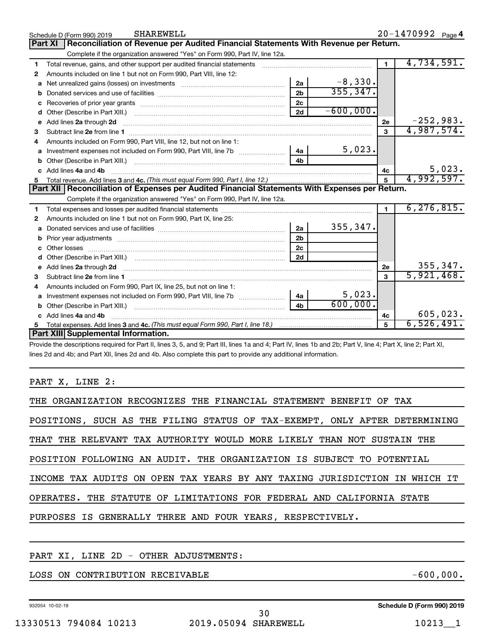|    | <b>SHAREWELL</b><br>Schedule D (Form 990) 2019                                                                                                                       |                |             |                | 20-1470992 Page 4 |
|----|----------------------------------------------------------------------------------------------------------------------------------------------------------------------|----------------|-------------|----------------|-------------------|
|    | Reconciliation of Revenue per Audited Financial Statements With Revenue per Return.<br><b>Part XI</b>                                                                |                |             |                |                   |
|    | Complete if the organization answered "Yes" on Form 990, Part IV, line 12a.                                                                                          |                |             |                |                   |
| 1  | Total revenue, gains, and other support per audited financial statements [11] [11] Total revenue, [21] Total revenue of the support per audited financial statements |                |             |                | 4,734,591.        |
| 2  | Amounts included on line 1 but not on Form 990, Part VIII, line 12:                                                                                                  |                |             |                |                   |
| a  | Net unrealized gains (losses) on investments [111] [12] matter and all the unrealized gains (losses) on investments                                                  | 2a             | $-8,330.$   |                |                   |
| b  |                                                                                                                                                                      | 2 <sub>b</sub> | 355, 347.   |                |                   |
| c  |                                                                                                                                                                      | 2c             |             |                |                   |
| d  | Other (Describe in Part XIII.) <b>Construction Contract Construction</b> Chemistry Chemistry Chemistry Chemistry Chemistry                                           | 2d             | $-600,000.$ |                |                   |
|    | e Add lines 2a through 2d                                                                                                                                            |                |             | 2e             | $-252,983.$       |
| 3  |                                                                                                                                                                      |                |             | 3              | 4,987,574.        |
| 4  | Amounts included on Form 990, Part VIII, line 12, but not on line 1:                                                                                                 |                |             |                |                   |
| a  |                                                                                                                                                                      |                | 5,023.      |                |                   |
|    |                                                                                                                                                                      | 4 <sub>h</sub> |             |                |                   |
| C. | Add lines 4a and 4b                                                                                                                                                  |                |             | 4c             | 5,023.            |
| 5  |                                                                                                                                                                      |                |             | 5              | 4,992,597.        |
|    |                                                                                                                                                                      |                |             |                |                   |
|    | Part XII   Reconciliation of Expenses per Audited Financial Statements With Expenses per Return.                                                                     |                |             |                |                   |
|    | Complete if the organization answered "Yes" on Form 990, Part IV, line 12a.                                                                                          |                |             |                |                   |
| 1  |                                                                                                                                                                      |                |             | $\blacksquare$ | 6, 276, 815.      |
| 2  | Amounts included on line 1 but not on Form 990, Part IX, line 25:                                                                                                    |                |             |                |                   |
| a  |                                                                                                                                                                      | 2a             | 355, 347.   |                |                   |
| b  | Prior year adjustments material contracts and a state of the material contracts and prior year adjustments                                                           | 2 <sub>b</sub> |             |                |                   |
|    |                                                                                                                                                                      | 2 <sub>c</sub> |             |                |                   |
|    |                                                                                                                                                                      | 2d             |             |                |                   |
|    |                                                                                                                                                                      |                |             | 2e             | 355, 347.         |
| 3  |                                                                                                                                                                      |                |             | 3              | 5,921,468.        |
| 4  | Amounts included on Form 990, Part IX, line 25, but not on line 1:                                                                                                   |                |             |                |                   |
| a  |                                                                                                                                                                      |                | 5,023.      |                |                   |
|    |                                                                                                                                                                      | 4 <sub>b</sub> | 600,000.    |                |                   |
|    | c Add lines 4a and 4b                                                                                                                                                |                |             | 4c             | 605,023.          |
|    | Part XIII Supplemental Information.                                                                                                                                  |                |             | 5              | 6,526,491.        |

Provide the descriptions required for Part II, lines 3, 5, and 9; Part III, lines 1a and 4; Part IV, lines 1b and 2b; Part V, line 4; Part X, line 2; Part XI, lines 2d and 4b; and Part XII, lines 2d and 4b. Also complete this part to provide any additional information.

#### PART X, LINE 2:

| THE ORGANIZATION RECOGNIZES THE FINANCIAL STATEMENT BENEFIT OF TAX         |
|----------------------------------------------------------------------------|
| POSITIONS, SUCH AS THE FILING STATUS OF TAX-EXEMPT, ONLY AFTER DETERMINING |
| THAT THE RELEVANT TAX AUTHORITY WOULD MORE LIKELY THAN NOT SUSTAIN THE     |
| POSITION FOLLOWING AN AUDIT. THE ORGANIZATION IS SUBJECT TO POTENTIAL      |
| INCOME TAX AUDITS ON OPEN TAX YEARS BY ANY TAXING JURISDICTION IN WHICH IT |
| OPERATES. THE STATUTE OF LIMITATIONS FOR FEDERAL AND CALIFORNIA STATE      |
| PURPOSES IS GENERALLY THREE AND FOUR YEARS, RESPECTIVELY.                  |
|                                                                            |

#### PART XI, LINE 2D - OTHER ADJUSTMENTS:

LOSS ON CONTRIBUTION RECEIVABLE  $-600,000$ .

932054 10-02-19

**Schedule D (Form 990) 2019**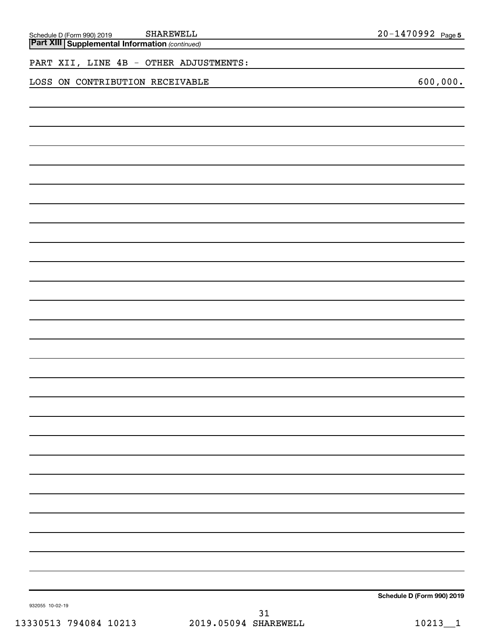| PART XII, LINE 4B - OTHER ADJUSTMENTS: |          |
|----------------------------------------|----------|
| LOSS ON CONTRIBUTION RECEIVABLE        | 600,000. |
|                                        |          |
|                                        |          |
|                                        |          |
|                                        |          |
|                                        |          |
|                                        |          |
|                                        |          |
|                                        |          |
|                                        |          |
|                                        |          |
|                                        |          |
|                                        |          |
|                                        |          |
|                                        |          |
|                                        |          |
|                                        |          |
|                                        |          |
|                                        |          |
|                                        |          |
|                                        |          |
|                                        |          |
|                                        |          |
|                                        |          |
|                                        |          |
|                                        |          |
|                                        |          |
|                                        |          |

**SHAREWELL** 20-1470992 <sub>Page 5</sub>

**Schedule D (Form 990) 2019**

932055 10-02-19

*(continued)* **Part XIII Supplemental Information**  Schedule D (Form 990) 2019 SHAREWELL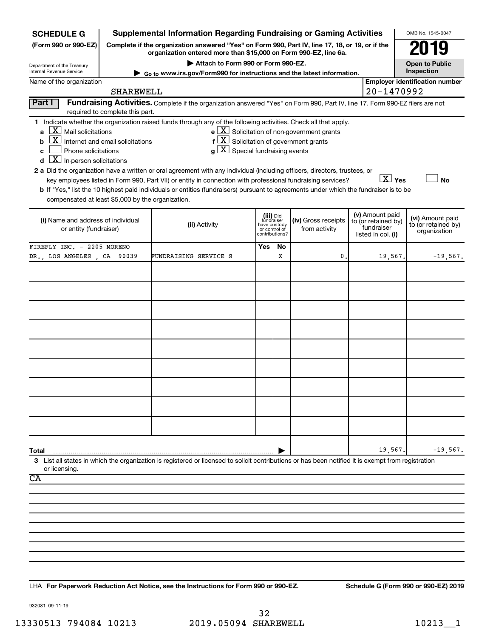| <b>SCHEDULE G</b>                                                                                                                                                                            |                                                                                                                                                                     | <b>Supplemental Information Regarding Fundraising or Gaming Activities</b>                                                                                                                                                                                                                                                                                                                                                                                                                                                                                                                |                                                          |                |                                                       |  |                                                                            | OMB No. 1545-0047                                       |  |
|----------------------------------------------------------------------------------------------------------------------------------------------------------------------------------------------|---------------------------------------------------------------------------------------------------------------------------------------------------------------------|-------------------------------------------------------------------------------------------------------------------------------------------------------------------------------------------------------------------------------------------------------------------------------------------------------------------------------------------------------------------------------------------------------------------------------------------------------------------------------------------------------------------------------------------------------------------------------------------|----------------------------------------------------------|----------------|-------------------------------------------------------|--|----------------------------------------------------------------------------|---------------------------------------------------------|--|
| (Form 990 or 990-EZ)                                                                                                                                                                         | Complete if the organization answered "Yes" on Form 990, Part IV, line 17, 18, or 19, or if the<br>organization entered more than \$15,000 on Form 990-EZ, line 6a. |                                                                                                                                                                                                                                                                                                                                                                                                                                                                                                                                                                                           |                                                          |                |                                                       |  |                                                                            |                                                         |  |
| Department of the Treasury                                                                                                                                                                   | Attach to Form 990 or Form 990-EZ.                                                                                                                                  |                                                                                                                                                                                                                                                                                                                                                                                                                                                                                                                                                                                           |                                                          |                |                                                       |  |                                                                            | <b>Open to Public</b>                                   |  |
| Internal Revenue Service                                                                                                                                                                     |                                                                                                                                                                     | ► Go to www.irs.gov/Form990 for instructions and the latest information.                                                                                                                                                                                                                                                                                                                                                                                                                                                                                                                  |                                                          |                |                                                       |  |                                                                            | Inspection                                              |  |
| Name of the organization                                                                                                                                                                     | <b>SHAREWELL</b>                                                                                                                                                    |                                                                                                                                                                                                                                                                                                                                                                                                                                                                                                                                                                                           |                                                          |                |                                                       |  | 20-1470992                                                                 | <b>Employer identification number</b>                   |  |
| Part I                                                                                                                                                                                       | required to complete this part.                                                                                                                                     | Fundraising Activities. Complete if the organization answered "Yes" on Form 990, Part IV, line 17. Form 990-EZ filers are not                                                                                                                                                                                                                                                                                                                                                                                                                                                             |                                                          |                |                                                       |  |                                                                            |                                                         |  |
| $ \mathbf{X} $ Mail solicitations<br>$\mathbf{a}$<br>b<br>Phone solicitations<br>C<br>$\boxed{\textbf{X}}$ In-person solicitations<br>d<br>compensated at least \$5,000 by the organization. | $\boxed{\text{X}}$ Internet and email solicitations                                                                                                                 | 1 Indicate whether the organization raised funds through any of the following activities. Check all that apply.<br>$f[X]$ Solicitation of government grants<br>$g\mid X$ Special fundraising events<br>2 a Did the organization have a written or oral agreement with any individual (including officers, directors, trustees, or<br>key employees listed in Form 990, Part VII) or entity in connection with professional fundraising services?<br>b If "Yes," list the 10 highest paid individuals or entities (fundraisers) pursuant to agreements under which the fundraiser is to be |                                                          |                | $e$ $\boxed{X}$ Solicitation of non-government grants |  | $X$ Yes                                                                    | <b>No</b>                                               |  |
| (i) Name and address of individual<br>or entity (fundraiser)                                                                                                                                 |                                                                                                                                                                     | (ii) Activity                                                                                                                                                                                                                                                                                                                                                                                                                                                                                                                                                                             | (iii) Did<br>fundraiser<br>have custody<br>or control of | contributions? | (iv) Gross receipts<br>from activity                  |  | (v) Amount paid<br>to (or retained by)<br>fundraiser<br>listed in col. (i) | (vi) Amount paid<br>to (or retained by)<br>organization |  |
| FIREFLY INC. - 2205 MORENO                                                                                                                                                                   |                                                                                                                                                                     |                                                                                                                                                                                                                                                                                                                                                                                                                                                                                                                                                                                           | Yes                                                      | No             |                                                       |  |                                                                            |                                                         |  |
| DR., LOS ANGELES, CA 90039                                                                                                                                                                   |                                                                                                                                                                     | FUNDRAISING SERVICE S                                                                                                                                                                                                                                                                                                                                                                                                                                                                                                                                                                     |                                                          | x              | 0                                                     |  | 19,567.                                                                    | $-19,567.$                                              |  |
|                                                                                                                                                                                              |                                                                                                                                                                     |                                                                                                                                                                                                                                                                                                                                                                                                                                                                                                                                                                                           |                                                          |                |                                                       |  |                                                                            |                                                         |  |
|                                                                                                                                                                                              |                                                                                                                                                                     |                                                                                                                                                                                                                                                                                                                                                                                                                                                                                                                                                                                           |                                                          |                |                                                       |  |                                                                            |                                                         |  |
|                                                                                                                                                                                              |                                                                                                                                                                     |                                                                                                                                                                                                                                                                                                                                                                                                                                                                                                                                                                                           |                                                          |                |                                                       |  |                                                                            |                                                         |  |
|                                                                                                                                                                                              |                                                                                                                                                                     |                                                                                                                                                                                                                                                                                                                                                                                                                                                                                                                                                                                           |                                                          |                |                                                       |  |                                                                            |                                                         |  |
|                                                                                                                                                                                              |                                                                                                                                                                     |                                                                                                                                                                                                                                                                                                                                                                                                                                                                                                                                                                                           |                                                          |                |                                                       |  |                                                                            |                                                         |  |
|                                                                                                                                                                                              |                                                                                                                                                                     |                                                                                                                                                                                                                                                                                                                                                                                                                                                                                                                                                                                           |                                                          |                |                                                       |  |                                                                            |                                                         |  |
|                                                                                                                                                                                              |                                                                                                                                                                     |                                                                                                                                                                                                                                                                                                                                                                                                                                                                                                                                                                                           |                                                          |                |                                                       |  |                                                                            |                                                         |  |
|                                                                                                                                                                                              |                                                                                                                                                                     |                                                                                                                                                                                                                                                                                                                                                                                                                                                                                                                                                                                           |                                                          |                |                                                       |  |                                                                            |                                                         |  |
|                                                                                                                                                                                              |                                                                                                                                                                     |                                                                                                                                                                                                                                                                                                                                                                                                                                                                                                                                                                                           |                                                          |                |                                                       |  |                                                                            |                                                         |  |
|                                                                                                                                                                                              |                                                                                                                                                                     |                                                                                                                                                                                                                                                                                                                                                                                                                                                                                                                                                                                           |                                                          |                |                                                       |  |                                                                            |                                                         |  |
|                                                                                                                                                                                              |                                                                                                                                                                     |                                                                                                                                                                                                                                                                                                                                                                                                                                                                                                                                                                                           |                                                          |                |                                                       |  |                                                                            |                                                         |  |
|                                                                                                                                                                                              |                                                                                                                                                                     |                                                                                                                                                                                                                                                                                                                                                                                                                                                                                                                                                                                           |                                                          |                |                                                       |  |                                                                            |                                                         |  |
|                                                                                                                                                                                              |                                                                                                                                                                     |                                                                                                                                                                                                                                                                                                                                                                                                                                                                                                                                                                                           |                                                          |                |                                                       |  |                                                                            |                                                         |  |
| Total                                                                                                                                                                                        |                                                                                                                                                                     |                                                                                                                                                                                                                                                                                                                                                                                                                                                                                                                                                                                           |                                                          |                |                                                       |  | 19,567                                                                     | $-19,567.$                                              |  |
|                                                                                                                                                                                              |                                                                                                                                                                     | 3 List all states in which the organization is registered or licensed to solicit contributions or has been notified it is exempt from registration                                                                                                                                                                                                                                                                                                                                                                                                                                        |                                                          |                |                                                       |  |                                                                            |                                                         |  |
| or licensing.<br>CA                                                                                                                                                                          |                                                                                                                                                                     |                                                                                                                                                                                                                                                                                                                                                                                                                                                                                                                                                                                           |                                                          |                |                                                       |  |                                                                            |                                                         |  |
|                                                                                                                                                                                              |                                                                                                                                                                     |                                                                                                                                                                                                                                                                                                                                                                                                                                                                                                                                                                                           |                                                          |                |                                                       |  |                                                                            |                                                         |  |
|                                                                                                                                                                                              |                                                                                                                                                                     |                                                                                                                                                                                                                                                                                                                                                                                                                                                                                                                                                                                           |                                                          |                |                                                       |  |                                                                            |                                                         |  |
|                                                                                                                                                                                              |                                                                                                                                                                     |                                                                                                                                                                                                                                                                                                                                                                                                                                                                                                                                                                                           |                                                          |                |                                                       |  |                                                                            |                                                         |  |
|                                                                                                                                                                                              |                                                                                                                                                                     |                                                                                                                                                                                                                                                                                                                                                                                                                                                                                                                                                                                           |                                                          |                |                                                       |  |                                                                            |                                                         |  |
|                                                                                                                                                                                              |                                                                                                                                                                     |                                                                                                                                                                                                                                                                                                                                                                                                                                                                                                                                                                                           |                                                          |                |                                                       |  |                                                                            |                                                         |  |
|                                                                                                                                                                                              |                                                                                                                                                                     |                                                                                                                                                                                                                                                                                                                                                                                                                                                                                                                                                                                           |                                                          |                |                                                       |  |                                                                            |                                                         |  |
|                                                                                                                                                                                              |                                                                                                                                                                     |                                                                                                                                                                                                                                                                                                                                                                                                                                                                                                                                                                                           |                                                          |                |                                                       |  |                                                                            |                                                         |  |
|                                                                                                                                                                                              |                                                                                                                                                                     |                                                                                                                                                                                                                                                                                                                                                                                                                                                                                                                                                                                           |                                                          |                |                                                       |  |                                                                            |                                                         |  |

**For Paperwork Reduction Act Notice, see the Instructions for Form 990 or 990-EZ. Schedule G (Form 990 or 990-EZ) 2019** LHA

932081 09-11-19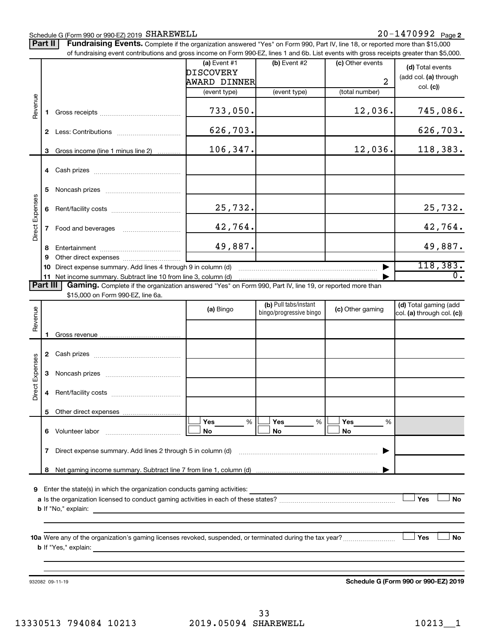### Schedule G (Form 990 or 990-EZ) 2019 SHAREWELL

#### **2** SHAREWELL 20-1470992

Part II | Fundraising Events. Complete if the organization answered "Yes" on Form 990, Part IV, line 18, or reported more than \$15,000

|                 |          | 932082 09-11-19                                                                                                                               |                                         |                                                  |                  | Schedule G (Form 990 or 990-EZ) 2019                |
|-----------------|----------|-----------------------------------------------------------------------------------------------------------------------------------------------|-----------------------------------------|--------------------------------------------------|------------------|-----------------------------------------------------|
|                 |          |                                                                                                                                               |                                         |                                                  |                  | Yes<br>No                                           |
| 9               |          | Enter the state(s) in which the organization conducts gaming activities:                                                                      |                                         |                                                  |                  | Yes<br><b>No</b>                                    |
|                 | 8        |                                                                                                                                               |                                         |                                                  |                  |                                                     |
|                 | 7        | Direct expense summary. Add lines 2 through 5 in column (d)                                                                                   |                                         |                                                  |                  |                                                     |
|                 | 6.       | Volunteer labor                                                                                                                               | %<br>Yes<br>No                          | Yes<br>%<br>No                                   | Yes<br>%<br>No   |                                                     |
|                 |          |                                                                                                                                               |                                         |                                                  |                  |                                                     |
|                 | 4        |                                                                                                                                               |                                         |                                                  |                  |                                                     |
| Direct Expenses | 3        |                                                                                                                                               |                                         |                                                  |                  |                                                     |
|                 |          |                                                                                                                                               |                                         |                                                  |                  |                                                     |
| Revenue         |          |                                                                                                                                               |                                         |                                                  |                  |                                                     |
|                 |          |                                                                                                                                               | (a) Bingo                               | (b) Pull tabs/instant<br>bingo/progressive bingo | (c) Other gaming | (d) Total gaming (add<br>col. (a) through col. (c)) |
|                 | Part III | Gaming. Complete if the organization answered "Yes" on Form 990, Part IV, line 19, or reported more than<br>\$15,000 on Form 990-EZ, line 6a. |                                         |                                                  |                  |                                                     |
|                 | 10<br>11 | Direct expense summary. Add lines 4 through 9 in column (d)<br>Net income summary. Subtract line 10 from line 3, column (d)                   |                                         |                                                  |                  | 0.                                                  |
|                 | 8<br>9   |                                                                                                                                               | 49,887.                                 |                                                  |                  | 49,887.<br>118,383.                                 |
| Direct Expenses | 7        |                                                                                                                                               | 42,764.                                 |                                                  |                  | 42,764.                                             |
|                 | 6        |                                                                                                                                               | 25,732.                                 |                                                  |                  | 25,732.                                             |
|                 | 5        |                                                                                                                                               |                                         |                                                  |                  |                                                     |
|                 | 4        |                                                                                                                                               |                                         |                                                  |                  |                                                     |
|                 | 3        | Gross income (line 1 minus line 2)                                                                                                            | 106,347.                                |                                                  | 12,036.          | 118,383.                                            |
|                 |          |                                                                                                                                               | 626,703.                                |                                                  |                  | 626,703.                                            |
| Revenue         | 1.       |                                                                                                                                               | 733,050.                                |                                                  | 12,036.          | 745,086.                                            |
|                 |          |                                                                                                                                               | (event type)                            | (event type)                                     | (total number)   | col. (c)                                            |
|                 |          |                                                                                                                                               | <b>DISCOVERY</b><br><b>AWARD DINNER</b> |                                                  | 2                | (add col. (a) through                               |
|                 |          | of fundraising event contributions and gross income on Form 990-EZ, lines 1 and 6b. List events with gross receipts greater than \$5,000.     | (a) Event $#1$                          | (b) Event #2                                     | (c) Other events | (d) Total events                                    |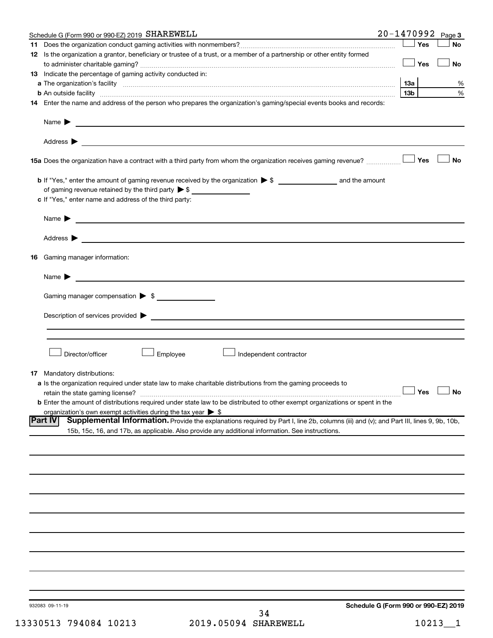| Schedule G (Form 990 or 990-EZ) 2019 SHAREWELL                                                                                                                                                                                                               | 20-1470992      |     | Page 3               |
|--------------------------------------------------------------------------------------------------------------------------------------------------------------------------------------------------------------------------------------------------------------|-----------------|-----|----------------------|
|                                                                                                                                                                                                                                                              |                 | Yes | No                   |
| 12 Is the organization a grantor, beneficiary or trustee of a trust, or a member of a partnership or other entity formed                                                                                                                                     |                 | Yes | <b>No</b>            |
| 13 Indicate the percentage of gaming activity conducted in:                                                                                                                                                                                                  |                 |     |                      |
|                                                                                                                                                                                                                                                              | 13a             |     | %                    |
|                                                                                                                                                                                                                                                              | 13 <sub>b</sub> |     | %                    |
| 14 Enter the name and address of the person who prepares the organization's gaming/special events books and records:                                                                                                                                         |                 |     |                      |
| Name $\blacktriangleright$ $\blacksquare$                                                                                                                                                                                                                    |                 |     |                      |
|                                                                                                                                                                                                                                                              |                 |     |                      |
| 15a Does the organization have a contract with a third party from whom the organization receives gaming revenue?                                                                                                                                             |                 | Yes | <b>No</b>            |
| of gaming revenue retained by the third party $\triangleright$ \$                                                                                                                                                                                            |                 |     |                      |
| c If "Yes," enter name and address of the third party:                                                                                                                                                                                                       |                 |     |                      |
| Name $\blacktriangleright$                                                                                                                                                                                                                                   |                 |     |                      |
|                                                                                                                                                                                                                                                              |                 |     |                      |
| <b>16</b> Gaming manager information:                                                                                                                                                                                                                        |                 |     |                      |
| Name $\blacktriangleright$                                                                                                                                                                                                                                   |                 |     |                      |
| Gaming manager compensation > \$                                                                                                                                                                                                                             |                 |     |                      |
|                                                                                                                                                                                                                                                              |                 |     |                      |
|                                                                                                                                                                                                                                                              |                 |     |                      |
| Director/officer<br>$\perp$ Employee<br>Independent contractor                                                                                                                                                                                               |                 |     |                      |
| <b>17</b> Mandatory distributions:                                                                                                                                                                                                                           |                 |     |                      |
| a Is the organization required under state law to make charitable distributions from the gaming proceeds to                                                                                                                                                  |                 |     | $\Box$ Yes $\Box$ No |
| <b>b</b> Enter the amount of distributions required under state law to be distributed to other exempt organizations or spent in the                                                                                                                          |                 |     |                      |
| organization's own exempt activities during the tax year $\triangleright$ \$                                                                                                                                                                                 |                 |     |                      |
| <b>Part IV</b><br>Supplemental Information. Provide the explanations required by Part I, line 2b, columns (iii) and (v); and Part III, lines 9, 9b, 10b,<br>15b, 15c, 16, and 17b, as applicable. Also provide any additional information. See instructions. |                 |     |                      |
|                                                                                                                                                                                                                                                              |                 |     |                      |
|                                                                                                                                                                                                                                                              |                 |     |                      |
|                                                                                                                                                                                                                                                              |                 |     |                      |
|                                                                                                                                                                                                                                                              |                 |     |                      |
|                                                                                                                                                                                                                                                              |                 |     |                      |
|                                                                                                                                                                                                                                                              |                 |     |                      |
|                                                                                                                                                                                                                                                              |                 |     |                      |
|                                                                                                                                                                                                                                                              |                 |     |                      |
|                                                                                                                                                                                                                                                              |                 |     |                      |
| Schedule G (Form 990 or 990-F7) 2019<br>032083 00-11-10                                                                                                                                                                                                      |                 |     |                      |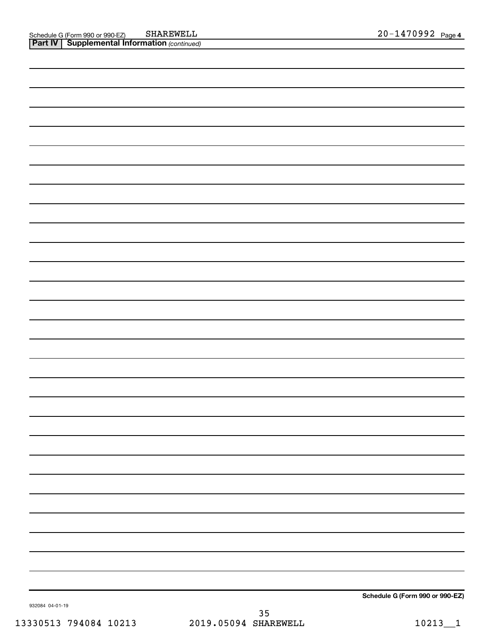**Schedule G (Form 990 or 990-EZ)**

932084 04-01-19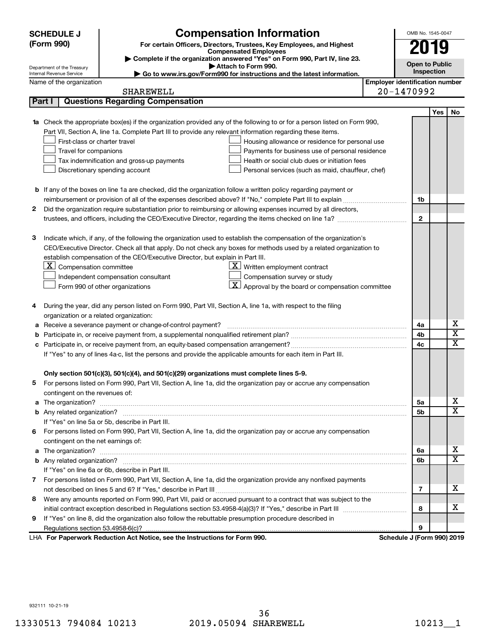|              | <b>SCHEDULE J</b>                       | <b>Compensation Information</b>                                                                                                  |                                       | OMB No. 1545-0047          |            |                         |
|--------------|-----------------------------------------|----------------------------------------------------------------------------------------------------------------------------------|---------------------------------------|----------------------------|------------|-------------------------|
|              | (Form 990)                              | For certain Officers, Directors, Trustees, Key Employees, and Highest                                                            |                                       | 2019                       |            |                         |
|              |                                         | <b>Compensated Employees</b>                                                                                                     |                                       |                            |            |                         |
|              | Department of the Treasury              | Complete if the organization answered "Yes" on Form 990, Part IV, line 23.<br>Attach to Form 990.                                |                                       | <b>Open to Public</b>      |            |                         |
|              | Internal Revenue Service                | Go to www.irs.gov/Form990 for instructions and the latest information.                                                           |                                       | Inspection                 |            |                         |
|              | Name of the organization                |                                                                                                                                  | <b>Employer identification number</b> |                            |            |                         |
|              |                                         | <b>SHAREWELL</b>                                                                                                                 |                                       | 20-1470992                 |            |                         |
|              | Part I                                  | <b>Questions Regarding Compensation</b>                                                                                          |                                       |                            |            |                         |
|              |                                         |                                                                                                                                  |                                       |                            | <b>Yes</b> | No                      |
|              |                                         | <b>1a</b> Check the appropriate box(es) if the organization provided any of the following to or for a person listed on Form 990, |                                       |                            |            |                         |
|              |                                         | Part VII, Section A, line 1a. Complete Part III to provide any relevant information regarding these items.                       |                                       |                            |            |                         |
|              | First-class or charter travel           | Housing allowance or residence for personal use                                                                                  |                                       |                            |            |                         |
|              | Travel for companions                   | Payments for business use of personal residence                                                                                  |                                       |                            |            |                         |
|              |                                         | Health or social club dues or initiation fees<br>Tax indemnification and gross-up payments                                       |                                       |                            |            |                         |
|              |                                         | Discretionary spending account<br>Personal services (such as maid, chauffeur, chef)                                              |                                       |                            |            |                         |
|              |                                         |                                                                                                                                  |                                       |                            |            |                         |
|              |                                         | <b>b</b> If any of the boxes on line 1a are checked, did the organization follow a written policy regarding payment or           |                                       |                            |            |                         |
|              |                                         |                                                                                                                                  |                                       | 1b                         |            |                         |
| $\mathbf{2}$ |                                         | Did the organization require substantiation prior to reimbursing or allowing expenses incurred by all directors,                 |                                       |                            |            |                         |
|              |                                         |                                                                                                                                  |                                       | $\mathbf{2}$               |            |                         |
|              |                                         |                                                                                                                                  |                                       |                            |            |                         |
| 3            |                                         | Indicate which, if any, of the following the organization used to establish the compensation of the organization's               |                                       |                            |            |                         |
|              |                                         | CEO/Executive Director. Check all that apply. Do not check any boxes for methods used by a related organization to               |                                       |                            |            |                         |
|              |                                         | establish compensation of the CEO/Executive Director, but explain in Part III.                                                   |                                       |                            |            |                         |
|              | $X$ Compensation committee              | $\underline{\mathbf{X}}$ Written employment contract                                                                             |                                       |                            |            |                         |
|              |                                         | Compensation survey or study<br>Independent compensation consultant                                                              |                                       |                            |            |                         |
|              |                                         | $ \mathbf{X} $ Approval by the board or compensation committee<br>Form 990 of other organizations                                |                                       |                            |            |                         |
| 4            |                                         | During the year, did any person listed on Form 990, Part VII, Section A, line 1a, with respect to the filing                     |                                       |                            |            |                         |
|              | organization or a related organization: |                                                                                                                                  |                                       |                            |            |                         |
| а            |                                         | Receive a severance payment or change-of-control payment?                                                                        |                                       | 4a                         |            | х                       |
| b            |                                         |                                                                                                                                  |                                       | 4b                         |            | $\overline{\mathbf{X}}$ |
| с            |                                         |                                                                                                                                  |                                       | 4c                         |            | X                       |
|              |                                         | If "Yes" to any of lines 4a-c, list the persons and provide the applicable amounts for each item in Part III.                    |                                       |                            |            |                         |
|              |                                         |                                                                                                                                  |                                       |                            |            |                         |
|              |                                         | Only section 501(c)(3), 501(c)(4), and 501(c)(29) organizations must complete lines 5-9.                                         |                                       |                            |            |                         |
|              |                                         | For persons listed on Form 990, Part VII, Section A, line 1a, did the organization pay or accrue any compensation                |                                       |                            |            |                         |
|              | contingent on the revenues of:          |                                                                                                                                  |                                       |                            |            |                         |
|              |                                         |                                                                                                                                  |                                       | 5а                         |            | х                       |
|              |                                         |                                                                                                                                  |                                       | 5b                         |            | X                       |
|              |                                         | If "Yes" on line 5a or 5b, describe in Part III.                                                                                 |                                       |                            |            |                         |
| 6.           |                                         | For persons listed on Form 990, Part VII, Section A, line 1a, did the organization pay or accrue any compensation                |                                       |                            |            |                         |
|              | contingent on the net earnings of:      |                                                                                                                                  |                                       |                            |            |                         |
|              |                                         |                                                                                                                                  |                                       | 6a                         |            | х                       |
|              |                                         |                                                                                                                                  |                                       | 6b                         |            | X                       |
|              |                                         | If "Yes" on line 6a or 6b, describe in Part III.                                                                                 |                                       |                            |            |                         |
|              |                                         | 7 For persons listed on Form 990, Part VII, Section A, line 1a, did the organization provide any nonfixed payments               |                                       |                            |            |                         |
|              |                                         |                                                                                                                                  |                                       | 7                          |            | x                       |
|              |                                         | 8 Were any amounts reported on Form 990, Part VII, paid or accrued pursuant to a contract that was subject to the                |                                       |                            |            |                         |
|              |                                         |                                                                                                                                  |                                       | 8                          |            | x                       |
| 9            |                                         | If "Yes" on line 8, did the organization also follow the rebuttable presumption procedure described in                           |                                       |                            |            |                         |
|              |                                         |                                                                                                                                  |                                       | 9                          |            |                         |
|              |                                         | LHA For Paperwork Reduction Act Notice, see the Instructions for Form 990.                                                       |                                       | Schedule J (Form 990) 2019 |            |                         |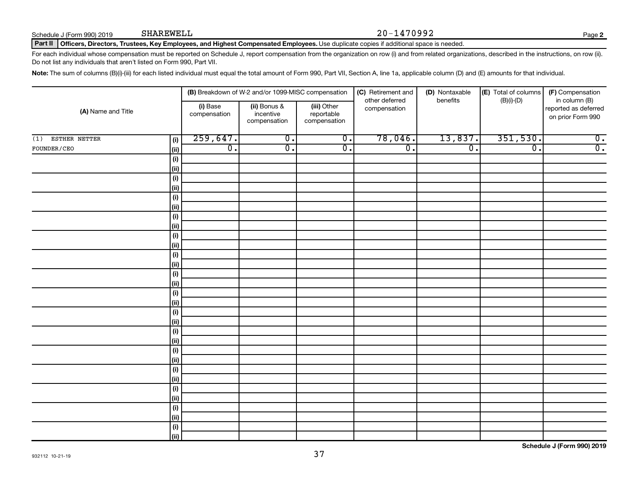Schedule J (Form 990) 2019 SHAREWELL

#### SHAREWELL 20-1470992

**2**

Part II | Officers, Directors, Trustees, Key Employees, and Highest Compensated Employees. Use duplicate copies if additional space is needed.

For each individual whose compensation must be reported on Schedule J, report compensation from the organization on row (i) and from related organizations, described in the instructions, on row (ii). Do not list any individuals that aren't listed on Form 990, Part VII.

Note: The sum of columns (B)(i)-(iii) for each listed individual must equal the total amount of Form 990, Part VII, Section A, line 1a, applicable column (D) and (E) amounts for that individual.

|                                   |                          | (B) Breakdown of W-2 and/or 1099-MISC compensation |                                           | (C) Retirement and<br>(D) Nontaxable<br>other deferred<br>benefits |                  | $\left  \textbf{(E)} \right $ Total of columns | (F) Compensation                                           |
|-----------------------------------|--------------------------|----------------------------------------------------|-------------------------------------------|--------------------------------------------------------------------|------------------|------------------------------------------------|------------------------------------------------------------|
| (A) Name and Title                | (i) Base<br>compensation | (ii) Bonus &<br>incentive<br>compensation          | (iii) Other<br>reportable<br>compensation | compensation                                                       |                  | $(B)(i)-(D)$                                   | in column (B)<br>reported as deferred<br>on prior Form 990 |
| ESTHER NETTER<br>(1)<br>(i)       | 259,647.                 | $\overline{0}$ .                                   | $\overline{0}$ .                          | 78,046.                                                            | 13,837.          | 351,530.                                       | $\overline{0}$ .                                           |
| ${\tt FOURN/CEO}$<br>$\vert$ (ii) | $\overline{0}$ .         | $\overline{0}$ .                                   | $\overline{\mathfrak{o}}$ .               | $\overline{0}$ .                                                   | $\overline{0}$ . | $\overline{0}$ .                               | $\overline{0}$ .                                           |
| (i)                               |                          |                                                    |                                           |                                                                    |                  |                                                |                                                            |
| (ii)                              |                          |                                                    |                                           |                                                                    |                  |                                                |                                                            |
| (i)                               |                          |                                                    |                                           |                                                                    |                  |                                                |                                                            |
| (ii)                              |                          |                                                    |                                           |                                                                    |                  |                                                |                                                            |
| (i)                               |                          |                                                    |                                           |                                                                    |                  |                                                |                                                            |
| (ii)                              |                          |                                                    |                                           |                                                                    |                  |                                                |                                                            |
| (i)                               |                          |                                                    |                                           |                                                                    |                  |                                                |                                                            |
| (ii)                              |                          |                                                    |                                           |                                                                    |                  |                                                |                                                            |
| (i)                               |                          |                                                    |                                           |                                                                    |                  |                                                |                                                            |
| (ii)                              |                          |                                                    |                                           |                                                                    |                  |                                                |                                                            |
| (i)                               |                          |                                                    |                                           |                                                                    |                  |                                                |                                                            |
| (ii)                              |                          |                                                    |                                           |                                                                    |                  |                                                |                                                            |
| (i)                               |                          |                                                    |                                           |                                                                    |                  |                                                |                                                            |
| (ii)                              |                          |                                                    |                                           |                                                                    |                  |                                                |                                                            |
| (i)<br>(ii)                       |                          |                                                    |                                           |                                                                    |                  |                                                |                                                            |
| (i)                               |                          |                                                    |                                           |                                                                    |                  |                                                |                                                            |
| (ii)                              |                          |                                                    |                                           |                                                                    |                  |                                                |                                                            |
| (i)                               |                          |                                                    |                                           |                                                                    |                  |                                                |                                                            |
| (ii)                              |                          |                                                    |                                           |                                                                    |                  |                                                |                                                            |
| (i)                               |                          |                                                    |                                           |                                                                    |                  |                                                |                                                            |
| (ii)                              |                          |                                                    |                                           |                                                                    |                  |                                                |                                                            |
| (i)                               |                          |                                                    |                                           |                                                                    |                  |                                                |                                                            |
| (ii)                              |                          |                                                    |                                           |                                                                    |                  |                                                |                                                            |
| (i)                               |                          |                                                    |                                           |                                                                    |                  |                                                |                                                            |
| (ii)                              |                          |                                                    |                                           |                                                                    |                  |                                                |                                                            |
| (i)                               |                          |                                                    |                                           |                                                                    |                  |                                                |                                                            |
| (ii)                              |                          |                                                    |                                           |                                                                    |                  |                                                |                                                            |
| (i)                               |                          |                                                    |                                           |                                                                    |                  |                                                |                                                            |
| (ii)                              |                          |                                                    |                                           |                                                                    |                  |                                                |                                                            |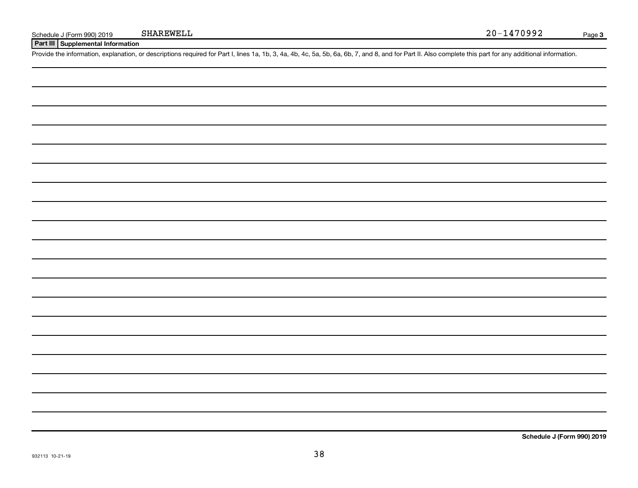**Part III Supplemental Information**

Provide the information, explanation, or descriptions required for Part I, lines 1a, 1b, 3, 4a, 4b, 4c, 5a, 5b, 6a, 6b, 7, and 8, and for Part II. Also complete this part for any additional information.

**Schedule J (Form 990) 2019**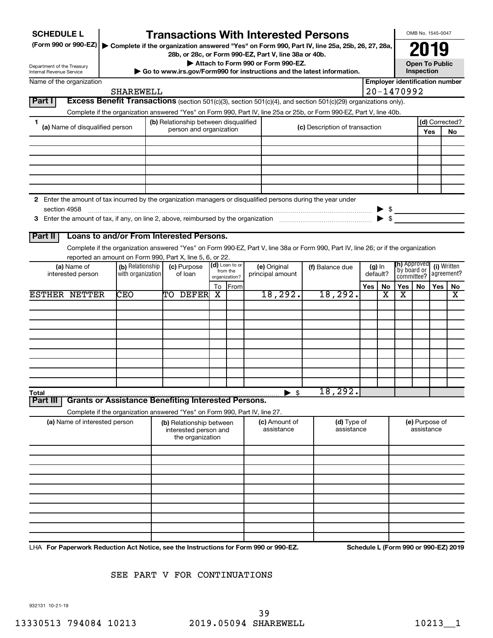| <b>SCHEDULE L</b><br>(Form 990 or 990-EZ)              |                                 |                   | <b>Transactions With Interested Persons</b><br>▶ Complete if the organization answered "Yes" on Form 990, Part IV, line 25a, 25b, 26, 27, 28a, |    |                           | 28b, or 28c, or Form 990-EZ, Part V, line 38a or 40b.<br>Attach to Form 990 or Form 990-EZ. |                                |     |          |                                       |            | OMB No. 1545-0047<br>2019<br><b>Open To Public</b> |                      |
|--------------------------------------------------------|---------------------------------|-------------------|------------------------------------------------------------------------------------------------------------------------------------------------|----|---------------------------|---------------------------------------------------------------------------------------------|--------------------------------|-----|----------|---------------------------------------|------------|----------------------------------------------------|----------------------|
| Department of the Treasury<br>Internal Revenue Service |                                 |                   | Go to www.irs.gov/Form990 for instructions and the latest information.                                                                         |    |                           |                                                                                             |                                |     |          |                                       | Inspection |                                                    |                      |
| Name of the organization                               |                                 |                   |                                                                                                                                                |    |                           |                                                                                             |                                |     |          | <b>Employer identification number</b> |            |                                                    |                      |
|                                                        |                                 | <b>SHAREWELL</b>  |                                                                                                                                                |    |                           |                                                                                             |                                |     |          | 20-1470992                            |            |                                                    |                      |
| <b>Part I</b>                                          |                                 |                   | <b>Excess Benefit Transactions</b> (section 501(c)(3), section 501(c)(4), and section 501(c)(29) organizations only).                          |    |                           |                                                                                             |                                |     |          |                                       |            |                                                    |                      |
|                                                        |                                 |                   | Complete if the organization answered "Yes" on Form 990, Part IV, line 25a or 25b, or Form 990-EZ, Part V, line 40b.                           |    |                           |                                                                                             |                                |     |          |                                       |            |                                                    |                      |
| 1                                                      | (a) Name of disqualified person |                   | (b) Relationship between disqualified<br>person and organization                                                                               |    |                           |                                                                                             | (c) Description of transaction |     |          |                                       |            | Yes                                                | (d) Corrected?<br>No |
|                                                        |                                 |                   |                                                                                                                                                |    |                           |                                                                                             |                                |     |          |                                       |            |                                                    |                      |
|                                                        |                                 |                   |                                                                                                                                                |    |                           |                                                                                             |                                |     |          |                                       |            |                                                    |                      |
|                                                        |                                 |                   |                                                                                                                                                |    |                           |                                                                                             |                                |     |          |                                       |            |                                                    |                      |
|                                                        |                                 |                   |                                                                                                                                                |    |                           |                                                                                             |                                |     |          |                                       |            |                                                    |                      |
|                                                        |                                 |                   |                                                                                                                                                |    |                           |                                                                                             |                                |     |          |                                       |            |                                                    |                      |
|                                                        |                                 |                   | 2 Enter the amount of tax incurred by the organization managers or disqualified persons during the year under                                  |    |                           |                                                                                             |                                |     |          |                                       |            |                                                    |                      |
| section 4958                                           |                                 |                   |                                                                                                                                                |    |                           |                                                                                             |                                |     |          | $\triangleright$ \$                   |            |                                                    |                      |
|                                                        |                                 |                   |                                                                                                                                                |    |                           |                                                                                             |                                |     |          | $\blacktriangleright$ \$              |            |                                                    |                      |
|                                                        |                                 |                   |                                                                                                                                                |    |                           |                                                                                             |                                |     |          |                                       |            |                                                    |                      |
| <b>Part II</b>                                         |                                 |                   | Loans to and/or From Interested Persons.                                                                                                       |    |                           |                                                                                             |                                |     |          |                                       |            |                                                    |                      |
|                                                        |                                 |                   | Complete if the organization answered "Yes" on Form 990-EZ, Part V, line 38a or Form 990, Part IV, line 26; or if the organization             |    |                           |                                                                                             |                                |     |          |                                       |            |                                                    |                      |
|                                                        | (a) Name of                     | (b) Relationship  | reported an amount on Form 990, Part X, line 5, 6, or 22.<br>(c) Purpose                                                                       |    | (d) Loan to or            | (e) Original                                                                                | (f) Balance due                |     | (g) In   | <b>(h)</b> Approved                   |            |                                                    | (i) Written          |
|                                                        | interested person               | with organization | of loan                                                                                                                                        |    | from the<br>organization? | principal amount                                                                            |                                |     | default? | `bv board or<br>committee?            |            |                                                    | agreement?           |
|                                                        |                                 |                   |                                                                                                                                                | To | From                      |                                                                                             |                                | Yes | No       | Yes                                   | No.        | Yes                                                | No                   |
| <b>ESTHER NETTER</b>                                   |                                 | <b>CEO</b>        | TO DEFER                                                                                                                                       | x  |                           | 18, 292.                                                                                    | 18, 292.                       |     | x        | x                                     |            |                                                    | х                    |
|                                                        |                                 |                   |                                                                                                                                                |    |                           |                                                                                             |                                |     |          |                                       |            |                                                    |                      |
|                                                        |                                 |                   |                                                                                                                                                |    |                           |                                                                                             |                                |     |          |                                       |            |                                                    |                      |
|                                                        |                                 |                   |                                                                                                                                                |    |                           |                                                                                             |                                |     |          |                                       |            |                                                    |                      |
|                                                        |                                 |                   |                                                                                                                                                |    |                           |                                                                                             |                                |     |          |                                       |            |                                                    |                      |
|                                                        |                                 |                   |                                                                                                                                                |    |                           |                                                                                             |                                |     |          |                                       |            |                                                    |                      |
|                                                        |                                 |                   |                                                                                                                                                |    |                           |                                                                                             |                                |     |          |                                       |            |                                                    |                      |
|                                                        |                                 |                   |                                                                                                                                                |    |                           |                                                                                             |                                |     |          |                                       |            |                                                    |                      |
|                                                        |                                 |                   |                                                                                                                                                |    |                           |                                                                                             |                                |     |          |                                       |            |                                                    |                      |
| Total<br>Part II                                       |                                 |                   | <b>Grants or Assistance Benefiting Interested Persons.</b>                                                                                     |    |                           | $\blacktriangleright$ \$                                                                    | 18,292.                        |     |          |                                       |            |                                                    |                      |
|                                                        |                                 |                   |                                                                                                                                                |    |                           |                                                                                             |                                |     |          |                                       |            |                                                    |                      |
|                                                        | (a) Name of interested person   |                   | Complete if the organization answered "Yes" on Form 990, Part IV, line 27.<br>(b) Relationship between                                         |    |                           | <b>(c)</b> Amount of                                                                        | (d) Type of                    |     |          |                                       |            | (e) Purpose of                                     |                      |
|                                                        |                                 |                   | interested person and                                                                                                                          |    |                           | assistance                                                                                  | assistance                     |     |          |                                       | assistance |                                                    |                      |
|                                                        |                                 |                   | the organization                                                                                                                               |    |                           |                                                                                             |                                |     |          |                                       |            |                                                    |                      |
|                                                        |                                 |                   |                                                                                                                                                |    |                           |                                                                                             |                                |     |          |                                       |            |                                                    |                      |
|                                                        |                                 |                   |                                                                                                                                                |    |                           |                                                                                             |                                |     |          |                                       |            |                                                    |                      |
|                                                        |                                 |                   |                                                                                                                                                |    |                           |                                                                                             |                                |     |          |                                       |            |                                                    |                      |
|                                                        |                                 |                   |                                                                                                                                                |    |                           |                                                                                             |                                |     |          |                                       |            |                                                    |                      |
|                                                        |                                 |                   |                                                                                                                                                |    |                           |                                                                                             |                                |     |          |                                       |            |                                                    |                      |
|                                                        |                                 |                   |                                                                                                                                                |    |                           |                                                                                             |                                |     |          |                                       |            |                                                    |                      |
|                                                        |                                 |                   |                                                                                                                                                |    |                           |                                                                                             |                                |     |          |                                       |            |                                                    |                      |
|                                                        |                                 |                   |                                                                                                                                                |    |                           |                                                                                             |                                |     |          |                                       |            |                                                    |                      |
|                                                        |                                 |                   |                                                                                                                                                |    |                           |                                                                                             |                                |     |          |                                       |            |                                                    |                      |

SEE PART V FOR CONTINUATIONS

932131 10-21-19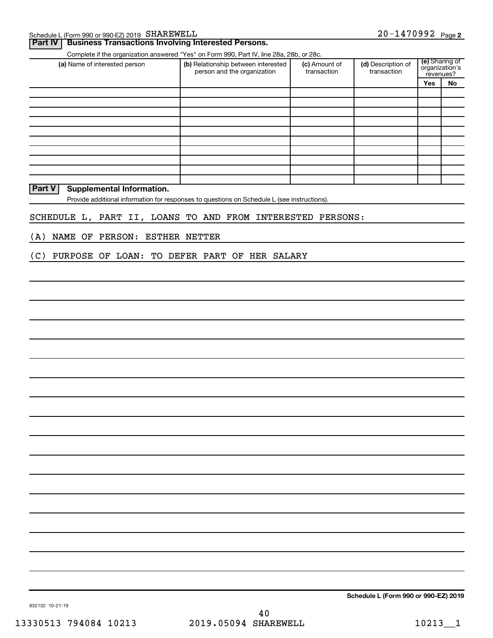| $20 - 1470992$ Page 2<br>Schedule L (Form 990 or 990-EZ) 2019 $\,$ SHAREWELL |  |
|------------------------------------------------------------------------------|--|
|------------------------------------------------------------------------------|--|

|                                                            | Complete if the organization answered "Yes" on Form 990, Part IV, line 28a, 28b, or 28c.    |                              |                                   | (e) Sharing of              |    |
|------------------------------------------------------------|---------------------------------------------------------------------------------------------|------------------------------|-----------------------------------|-----------------------------|----|
| (a) Name of interested person                              | (b) Relationship between interested<br>person and the organization                          | (c) Amount of<br>transaction | (d) Description of<br>transaction | organization's<br>revenues? |    |
|                                                            |                                                                                             |                              |                                   | Yes                         | No |
|                                                            |                                                                                             |                              |                                   |                             |    |
|                                                            |                                                                                             |                              |                                   |                             |    |
|                                                            |                                                                                             |                              |                                   |                             |    |
|                                                            |                                                                                             |                              |                                   |                             |    |
|                                                            |                                                                                             |                              |                                   |                             |    |
|                                                            |                                                                                             |                              |                                   |                             |    |
|                                                            |                                                                                             |                              |                                   |                             |    |
|                                                            |                                                                                             |                              |                                   |                             |    |
|                                                            |                                                                                             |                              |                                   |                             |    |
| Part V<br>Supplemental Information.                        |                                                                                             |                              |                                   |                             |    |
|                                                            | Provide additional information for responses to questions on Schedule L (see instructions). |                              |                                   |                             |    |
|                                                            |                                                                                             |                              |                                   |                             |    |
| SCHEDULE L, PART II, LOANS TO AND FROM INTERESTED PERSONS: |                                                                                             |                              |                                   |                             |    |
|                                                            |                                                                                             |                              |                                   |                             |    |
| NAME OF PERSON:<br>(A)                                     | <b>ESTHER NETTER</b>                                                                        |                              |                                   |                             |    |
|                                                            |                                                                                             |                              |                                   |                             |    |
| (C)<br>PURPOSE OF LOAN: TO DEFER PART OF HER SALARY        |                                                                                             |                              |                                   |                             |    |
|                                                            |                                                                                             |                              |                                   |                             |    |
|                                                            |                                                                                             |                              |                                   |                             |    |
|                                                            |                                                                                             |                              |                                   |                             |    |
|                                                            |                                                                                             |                              |                                   |                             |    |
|                                                            |                                                                                             |                              |                                   |                             |    |
|                                                            |                                                                                             |                              |                                   |                             |    |
|                                                            |                                                                                             |                              |                                   |                             |    |
|                                                            |                                                                                             |                              |                                   |                             |    |
|                                                            |                                                                                             |                              |                                   |                             |    |
|                                                            |                                                                                             |                              |                                   |                             |    |
|                                                            |                                                                                             |                              |                                   |                             |    |
|                                                            |                                                                                             |                              |                                   |                             |    |
|                                                            |                                                                                             |                              |                                   |                             |    |
|                                                            |                                                                                             |                              |                                   |                             |    |
|                                                            |                                                                                             |                              |                                   |                             |    |

**Schedule L (Form 990 or 990-EZ) 2019**

932132 10-21-19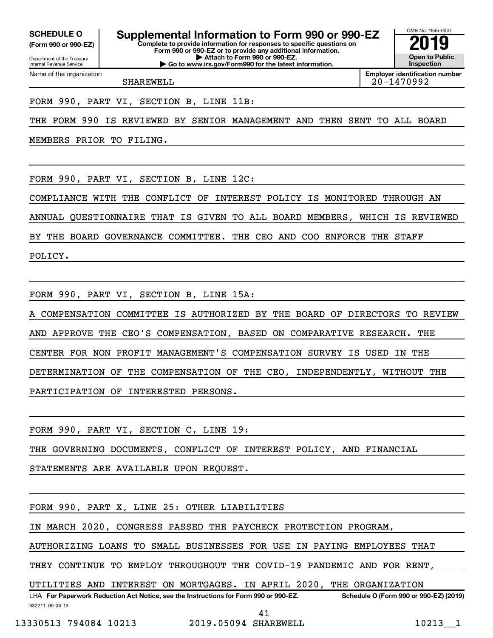Department of the Treasury **(Form 990 or 990-EZ)**

Name of the organization

Internal Revenue Service

**Complete to provide information for responses to specific questions on SCHEDULE O Supplemental Information to Form 990 or 990-EZ 2019** 

**Form 990 or 990-EZ or to provide any additional information. | Attach to Form 990 or 990-EZ. | Go to www.irs.gov/Form990 for the latest information.**

OMB No. 1545-0047 **Open to Public Inspection**

**Employer identification number** SHAREWELL 20-1470992

FORM 990, PART VI, SECTION B, LINE 11B:

THE FORM 990 IS REVIEWED BY SENIOR MANAGEMENT AND THEN SENT TO ALL BOARD

MEMBERS PRIOR TO FILING.

FORM 990, PART VI, SECTION B, LINE 12C:

COMPLIANCE WITH THE CONFLICT OF INTEREST POLICY IS MONITORED THROUGH AN

ANNUAL QUESTIONNAIRE THAT IS GIVEN TO ALL BOARD MEMBERS, WHICH IS REVIEWED

BY THE BOARD GOVERNANCE COMMITTEE. THE CEO AND COO ENFORCE THE STAFF

POLICY.

FORM 990, PART VI, SECTION B, LINE 15A:

COMPENSATION COMMITTEE IS AUTHORIZED BY THE BOARD OF DIRECTORS TO REVIEW AND APPROVE THE CEO'S COMPENSATION, BASED ON COMPARATIVE RESEARCH. THE CENTER FOR NON PROFIT MANAGEMENT'S COMPENSATION SURVEY IS USED IN THE DETERMINATION OF THE COMPENSATION OF THE CEO, INDEPENDENTLY, WITHOUT THE PARTICIPATION OF INTERESTED PERSONS.

FORM 990, PART VI, SECTION C, LINE 19:

THE GOVERNING DOCUMENTS, CONFLICT OF INTEREST POLICY, AND FINANCIAL

STATEMENTS ARE AVAILABLE UPON REQUEST.

FORM 990, PART X, LINE 25: OTHER LIABILITIES

IN MARCH 2020, CONGRESS PASSED THE PAYCHECK PROTECTION PROGRAM,

AUTHORIZING LOANS TO SMALL BUSINESSES FOR USE IN PAYING EMPLOYEES THAT

THEY CONTINUE TO EMPLOY THROUGHOUT THE COVID-19 PANDEMIC AND FOR RENT,

UTILITIES AND INTEREST ON MORTGAGES. IN APRIL 2020, THE ORGANIZATION

932211 09-06-19 LHA For Paperwork Reduction Act Notice, see the Instructions for Form 990 or 990-EZ. Schedule O (Form 990 or 990-EZ) (2019)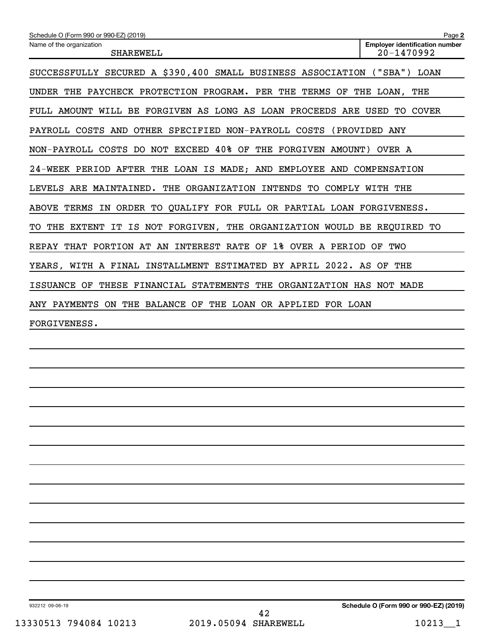| Schedule O (Form 990 or 990-EZ) (2019)                                     | Page 2                                              |
|----------------------------------------------------------------------------|-----------------------------------------------------|
| Name of the organization<br><b>SHAREWELL</b>                               | <b>Employer identification number</b><br>20-1470992 |
| SUCCESSFULLY SECURED A \$390,400 SMALL BUSINESS ASSOCIATION ("SBA") LOAN   |                                                     |
| UNDER THE PAYCHECK PROTECTION PROGRAM. PER THE TERMS OF THE LOAN, THE      |                                                     |
| FULL AMOUNT WILL BE FORGIVEN AS LONG AS LOAN PROCEEDS ARE USED TO COVER    |                                                     |
| PAYROLL COSTS AND OTHER SPECIFIED NON-PAYROLL COSTS                        | (PROVIDED ANY                                       |
| NON-PAYROLL COSTS DO NOT EXCEED 40% OF THE FORGIVEN AMOUNT)                | OVER A                                              |
| 24-WEEK PERIOD AFTER THE LOAN IS MADE; AND EMPLOYEE AND COMPENSATION       |                                                     |
| LEVELS ARE MAINTAINED. THE ORGANIZATION INTENDS TO COMPLY WITH THE         |                                                     |
| ABOVE TERMS IN ORDER TO OUALIFY FOR FULL OR PARTIAL LOAN FORGIVENESS.      |                                                     |
| THE EXTENT IT IS NOT FORGIVEN, THE ORGANIZATION WOULD BE REQUIRED TO<br>TO |                                                     |
| REPAY THAT PORTION AT AN INTEREST RATE OF 1% OVER A PERIOD OF TWO          |                                                     |
| YEARS, WITH A FINAL INSTALLMENT ESTIMATED BY APRIL 2022. AS OF THE         |                                                     |
| ISSUANCE OF THESE FINANCIAL STATEMENTS THE ORGANIZATION HAS NOT MADE       |                                                     |
| ANY PAYMENTS ON THE BALANCE OF THE LOAN OR APPLIED FOR LOAN                |                                                     |
| FORGIVENESS.                                                               |                                                     |
|                                                                            |                                                     |
|                                                                            |                                                     |

932212 09-06-19

**Schedule O (Form 990 or 990-EZ) (2019)**